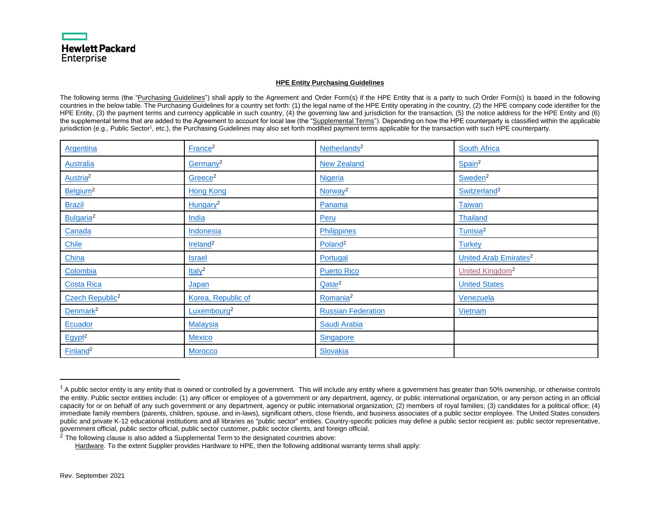#### <span id="page-0-60"></span><span id="page-0-59"></span><span id="page-0-58"></span><span id="page-0-57"></span><span id="page-0-56"></span><span id="page-0-55"></span><span id="page-0-54"></span><span id="page-0-53"></span><span id="page-0-52"></span><span id="page-0-51"></span><span id="page-0-50"></span><span id="page-0-49"></span><span id="page-0-48"></span><span id="page-0-46"></span><span id="page-0-45"></span><span id="page-0-44"></span><span id="page-0-43"></span><span id="page-0-42"></span><span id="page-0-41"></span><span id="page-0-40"></span><span id="page-0-39"></span><span id="page-0-38"></span><span id="page-0-37"></span><span id="page-0-36"></span><span id="page-0-35"></span><span id="page-0-34"></span><span id="page-0-33"></span><span id="page-0-32"></span><span id="page-0-18"></span><span id="page-0-17"></span><span id="page-0-16"></span>**HPE Entity Purchasing Guidelines**

The following terms (the "Purchasing Guidelines") shall apply to the Agreement and Order Form(s) if the HPE Entity that is a party to such Order Form(s) is based in the following countries in the below table. The Purchasing Guidelines for a country set forth: (1) the legal name of the HPE Entity operating in the country, (2) the HPE company code identifier for the HPE Entity, (3) the payment terms and currency applicable in such country, (4) the governing law and jurisdiction for the transaction, (5) the notice address for the HPE Entity and (6) the supplemental terms that are added to the Agreement to account for local law (the "Supplemental Terms"). Depending on how the HPE counterparty is classified within the applicable jurisdiction (e.g., Public Sector<sup>1</sup>, etc.), the Purchasing Guidelines may also set forth modified payment terms applicable for the transaction with such HPE counterparty.

<span id="page-0-24"></span><span id="page-0-23"></span><span id="page-0-22"></span><span id="page-0-21"></span><span id="page-0-20"></span><span id="page-0-19"></span><span id="page-0-8"></span><span id="page-0-7"></span><span id="page-0-6"></span><span id="page-0-5"></span><span id="page-0-4"></span><span id="page-0-3"></span><span id="page-0-2"></span><span id="page-0-1"></span><span id="page-0-0"></span>

| <b>Argentina</b>            | France <sup>2</sup>     | Netherlands <sup>2</sup>  | <b>South Africa</b>                     |
|-----------------------------|-------------------------|---------------------------|-----------------------------------------|
| <b>Australia</b>            | Germany <sup>2</sup>    | <b>New Zealand</b>        | Spain <sup>2</sup>                      |
| Austria <sup>2</sup>        | Greece <sup>2</sup>     | <b>Nigeria</b>            | Sweden <sup>2</sup>                     |
| Belgium <sup>2</sup>        | <b>Hong Kong</b>        | Norway <sup>2</sup>       | Switzerland <sup>2</sup>                |
| <b>Brazil</b>               | Hungary <sup>2</sup>    | Panama                    | <b>Taiwan</b>                           |
| Bulgaria <sup>2</sup>       | India                   | Peru                      | Thailand                                |
| Canada                      | Indonesia               | Philippines               | Tunisia <sup>2</sup>                    |
| Chile                       | Ireland <sup>2</sup>    | Poland <sup>2</sup>       | <b>Turkey</b>                           |
| China                       | <b>Israel</b>           | Portugal                  | <b>United Arab Emirates<sup>2</sup></b> |
| Colombia                    | ltaly <sup>2</sup>      | <b>Puerto Rico</b>        | United Kingdom <sup>2</sup>             |
| <b>Costa Rica</b>           | <u>Japan</u>            | Qatar <sup>2</sup>        | <b>United States</b>                    |
| Czech Republic <sup>2</sup> | Korea, Republic of      | Romania <sup>2</sup>      | Venezuela                               |
| Denmark <sup>2</sup>        | Luxembourg <sup>2</sup> | <b>Russian Federation</b> | Vietnam                                 |
| Ecuador                     | <b>Malaysia</b>         | Saudi Arabia              |                                         |
| $E$ gypt <sup>2</sup>       | <b>Mexico</b>           | <b>Singapore</b>          |                                         |
| Finland <sup>2</sup>        | <b>Morocco</b>          | Slovakia                  |                                         |

 $2$  The following clause is also added a Supplemental Term to the designated countries above:

Hardware. To the extent Supplier provides Hardware to HPE, then the following additional warranty terms shall apply:

<span id="page-0-47"></span><span id="page-0-31"></span><span id="page-0-30"></span><span id="page-0-29"></span><span id="page-0-28"></span><span id="page-0-27"></span><span id="page-0-26"></span><span id="page-0-25"></span><span id="page-0-15"></span><span id="page-0-14"></span><span id="page-0-13"></span><span id="page-0-12"></span><span id="page-0-11"></span><span id="page-0-10"></span><span id="page-0-9"></span> $1$  A public sector entity is any entity that is owned or controlled by a government. This will include any entity where a government has greater than 50% ownership, or otherwise controls the entity. Public sector entities include: (1) any officer or employee of a government or any department, agency, or public international organization, or any person acting in an official capacity for or on behalf of any such government or any department, agency or public international organization; (2) members of royal families; (3) candidates for a political office; (4) immediate family members (parents, children, spouse, and in-laws), significant others, close friends, and business associates of a public sector employee. The United States considers public and private K-12 educational institutions and all libraries as "public sector" entities. Country-specific policies may define a public sector recipient as: public sector representative, government official, public sector official, public sector customer, public sector clients, and foreign official.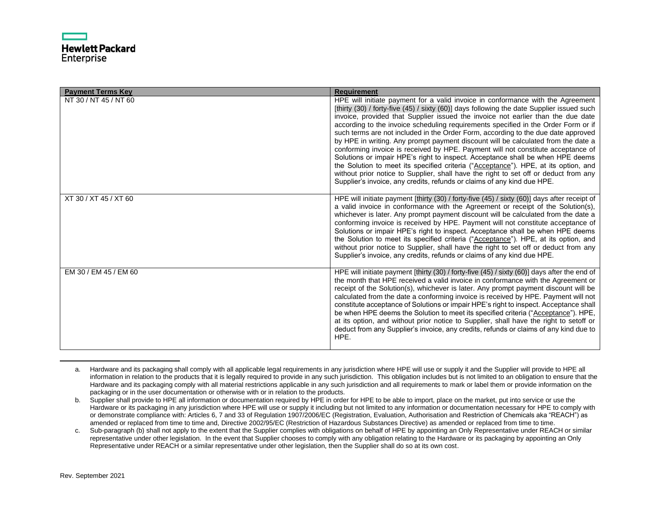| <b>Payment Terms Key</b> | <b>Requirement</b>                                                                                                                                                                                                                                                                                                                                                                                                                                                                                                                                                                                                                                                                                                                                                                                                                                                                                                                                               |
|--------------------------|------------------------------------------------------------------------------------------------------------------------------------------------------------------------------------------------------------------------------------------------------------------------------------------------------------------------------------------------------------------------------------------------------------------------------------------------------------------------------------------------------------------------------------------------------------------------------------------------------------------------------------------------------------------------------------------------------------------------------------------------------------------------------------------------------------------------------------------------------------------------------------------------------------------------------------------------------------------|
| NT 30 / NT 45 / NT 60    | HPE will initiate payment for a valid invoice in conformance with the Agreement<br>[thirty (30) / forty-five (45) / sixty (60)] days following the date Supplier issued such<br>invoice, provided that Supplier issued the invoice not earlier than the due date<br>according to the invoice scheduling requirements specified in the Order Form or if<br>such terms are not included in the Order Form, according to the due date approved<br>by HPE in writing. Any prompt payment discount will be calculated from the date a<br>conforming invoice is received by HPE. Payment will not constitute acceptance of<br>Solutions or impair HPE's right to inspect. Acceptance shall be when HPE deems<br>the Solution to meet its specified criteria ("Acceptance"). HPE, at its option, and<br>without prior notice to Supplier, shall have the right to set off or deduct from any<br>Supplier's invoice, any credits, refunds or claims of any kind due HPE. |
| XT 30 / XT 45 / XT 60    | HPE will initiate payment [thirty (30) / forty-five (45) / sixty (60)] days after receipt of<br>a valid invoice in conformance with the Agreement or receipt of the Solution(s),<br>whichever is later. Any prompt payment discount will be calculated from the date a<br>conforming invoice is received by HPE. Payment will not constitute acceptance of<br>Solutions or impair HPE's right to inspect. Acceptance shall be when HPE deems<br>the Solution to meet its specified criteria ("Acceptance"). HPE, at its option, and<br>without prior notice to Supplier, shall have the right to set off or deduct from any<br>Supplier's invoice, any credits, refunds or claims of any kind due HPE.                                                                                                                                                                                                                                                           |
| EM 30 / EM 45 / EM 60    | HPE will initiate payment [thirty (30) / forty-five (45) / sixty (60)] days after the end of<br>the month that HPE received a valid invoice in conformance with the Agreement or<br>receipt of the Solution(s), whichever is later. Any prompt payment discount will be<br>calculated from the date a conforming invoice is received by HPE. Payment will not<br>constitute acceptance of Solutions or impair HPE's right to inspect. Acceptance shall<br>be when HPE deems the Solution to meet its specified criteria ("Acceptance"). HPE,<br>at its option, and without prior notice to Supplier, shall have the right to setoff or<br>deduct from any Supplier's invoice, any credits, refunds or claims of any kind due to<br>HPE.                                                                                                                                                                                                                          |

a. Hardware and its packaging shall comply with all applicable legal requirements in any jurisdiction where HPE will use or supply it and the Supplier will provide to HPE all information in relation to the products that it is legally required to provide in any such jurisdiction. This obligation includes but is not limited to an obligation to ensure that the Hardware and its packaging comply with all material restrictions applicable in any such jurisdiction and all requirements to mark or label them or provide information on the packaging or in the user documentation or otherwise with or in relation to the products.

b. Supplier shall provide to HPE all information or documentation required by HPE in order for HPE to be able to import, place on the market, put into service or use the Hardware or its packaging in any jurisdiction where HPE will use or supply it including but not limited to any information or documentation necessary for HPE to comply with or demonstrate compliance with: Articles 6, 7 and 33 of Regulation 1907/2006/EC (Registration, Evaluation, Authorisation and Restriction of Chemicals aka "REACH") as amended or replaced from time to time and, Directive 2002/95/EC (Restriction of Hazardous Substances Directive) as amended or replaced from time to time.

c. Sub-paragraph (b) shall not apply to the extent that the Supplier complies with obligations on behalf of HPE by appointing an Only Representative under REACH or similar representative under other legislation. In the event that Supplier chooses to comply with any obligation relating to the Hardware or its packaging by appointing an Only Representative under REACH or a similar representative under other legislation, then the Supplier shall do so at its own cost.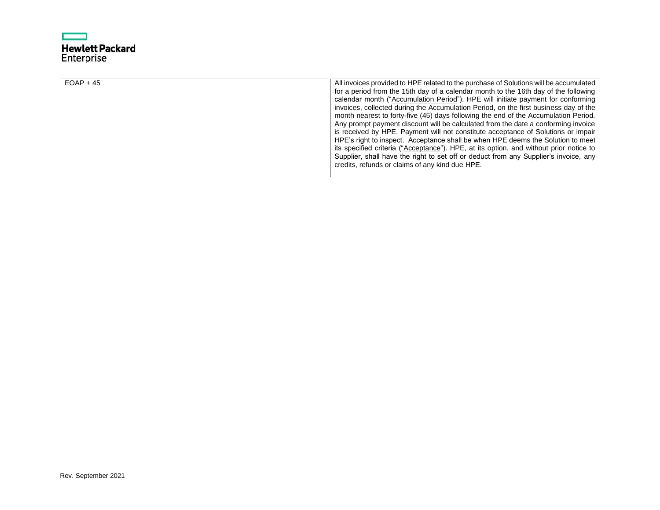# ┍ **Hewlett Packard**<br>Enterprise

| $EOAP + 45$ | All invoices provided to HPE related to the purchase of Solutions will be accumulated  |
|-------------|----------------------------------------------------------------------------------------|
|             | for a period from the 15th day of a calendar month to the 16th day of the following    |
|             | calendar month ("Accumulation Period"). HPE will initiate payment for conforming       |
|             | invoices, collected during the Accumulation Period, on the first business day of the   |
|             | month nearest to forty-five (45) days following the end of the Accumulation Period.    |
|             | Any prompt payment discount will be calculated from the date a conforming invoice      |
|             | is received by HPE. Payment will not constitute acceptance of Solutions or impair      |
|             | HPE's right to inspect. Acceptance shall be when HPE deems the Solution to meet        |
|             | its specified criteria ("Acceptance"). HPE, at its option, and without prior notice to |
|             | Supplier, shall have the right to set off or deduct from any Supplier's invoice, any   |
|             | credits, refunds or claims of any kind due HPE.                                        |
|             |                                                                                        |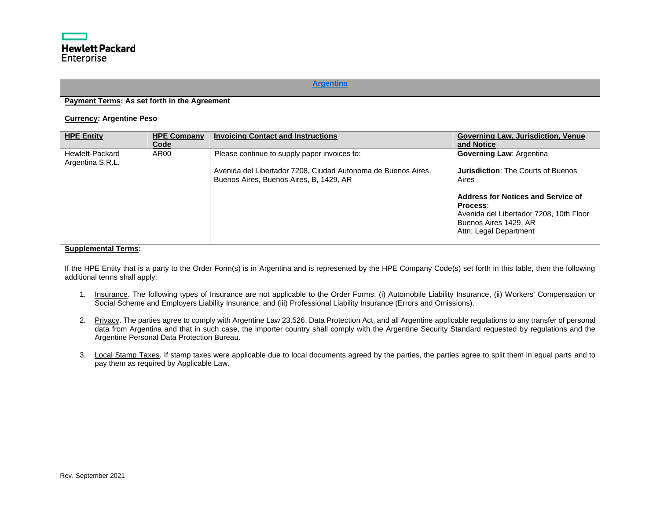## **[Argentina](#page-0-0)**

# <span id="page-3-0"></span>**Payment Terms: As set forth in the Agreement**

#### **Currency: Argentine Peso**

| <b>HPE Entity</b>                   | <b>HPE Company</b><br>Code | <b>Invoicing Contact and Instructions</b>                                                                                                                | <b>Governing Law, Jurisdiction, Venue</b><br>and Notice                                                                                      |
|-------------------------------------|----------------------------|----------------------------------------------------------------------------------------------------------------------------------------------------------|----------------------------------------------------------------------------------------------------------------------------------------------|
| Hewlett-Packard<br>Argentina S.R.L. | AR <sub>00</sub>           | Please continue to supply paper invoices to:<br>Avenida del Libertador 7208, Ciudad Autonoma de Buenos Aires,<br>Buenos Aires, Buenos Aires, B, 1429, AR | <b>Governing Law: Argentina</b><br><b>Jurisdiction: The Courts of Buenos</b><br>Aires                                                        |
|                                     |                            |                                                                                                                                                          | Address for Notices and Service of<br>Process:<br>Avenida del Libertador 7208, 10th Floor<br>Buenos Aires 1429, AR<br>Attn: Legal Department |

#### **Supplemental Terms:**

If the HPE Entity that is a party to the Order Form(s) is in Argentina and is represented by the HPE Company Code(s) set forth in this table, then the following additional terms shall apply:

- 1. Insurance. The following types of Insurance are not applicable to the Order Forms: (i) Automobile Liability Insurance, (ii) Workers' Compensation or Social Scheme and Employers Liability Insurance, and (iii) Professional Liability Insurance (Errors and Omissions).
- 2. Privacy. The parties agree to comply with Argentine Law 23.526, Data Protection Act, and all Argentine applicable regulations to any transfer of personal data from Argentina and that in such case, the importer country shall comply with the Argentine Security Standard requested by regulations and the Argentine Personal Data Protection Bureau.
- 3. Local Stamp Taxes. If stamp taxes were applicable due to local documents agreed by the parties, the parties agree to split them in equal parts and to pay them as required by Applicable Law.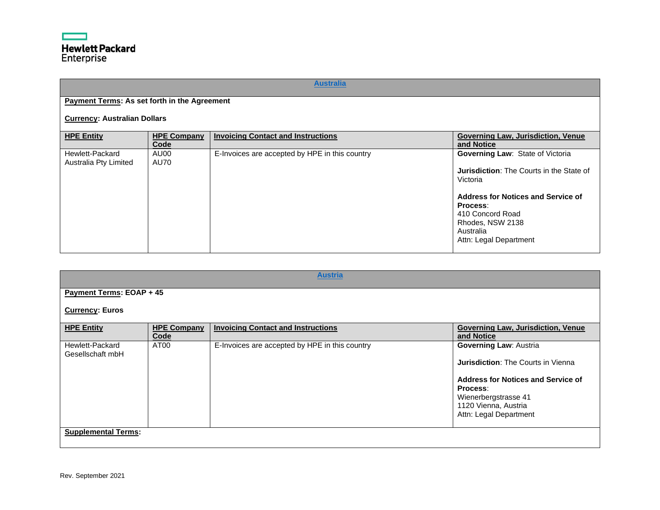# **[Australia](#page-0-1)**

# <span id="page-4-0"></span>**Payment Terms: As set forth in the Agreement**

# **Currency: Australian Dollars**

| <b>HPE Entity</b>                        | <b>HPE Company</b><br>Code | <b>Invoicing Contact and Instructions</b>      | <b>Governing Law, Jurisdiction, Venue</b><br>and Notice                                                                                                                                                                                 |
|------------------------------------------|----------------------------|------------------------------------------------|-----------------------------------------------------------------------------------------------------------------------------------------------------------------------------------------------------------------------------------------|
| Hewlett-Packard<br>Australia Pty Limited | AU00<br>AU70               | E-Invoices are accepted by HPE in this country | <b>Governing Law: State of Victoria</b><br><b>Jurisdiction:</b> The Courts in the State of<br>Victoria<br>Address for Notices and Service of<br>Process:<br>410 Concord Road<br>Rhodes, NSW 2138<br>Australia<br>Attn: Legal Department |

<span id="page-4-1"></span>

| <b>Austria</b>                      |                            |                                                |                                                                                                                                                                                                               |  |
|-------------------------------------|----------------------------|------------------------------------------------|---------------------------------------------------------------------------------------------------------------------------------------------------------------------------------------------------------------|--|
| Payment Terms: EOAP + 45            |                            |                                                |                                                                                                                                                                                                               |  |
| <b>Currency: Euros</b>              |                            |                                                |                                                                                                                                                                                                               |  |
| <b>HPE Entity</b>                   | <b>HPE Company</b><br>Code | <b>Invoicing Contact and Instructions</b>      | <b>Governing Law, Jurisdiction, Venue</b><br>and Notice                                                                                                                                                       |  |
| Hewlett-Packard<br>Gesellschaft mbH | AT <sub>00</sub>           | E-Invoices are accepted by HPE in this country | <b>Governing Law: Austria</b><br><b>Jurisdiction:</b> The Courts in Vienna<br><b>Address for Notices and Service of</b><br>Process:<br>Wienerbergstrasse 41<br>1120 Vienna, Austria<br>Attn: Legal Department |  |
| <b>Supplemental Terms:</b>          |                            |                                                |                                                                                                                                                                                                               |  |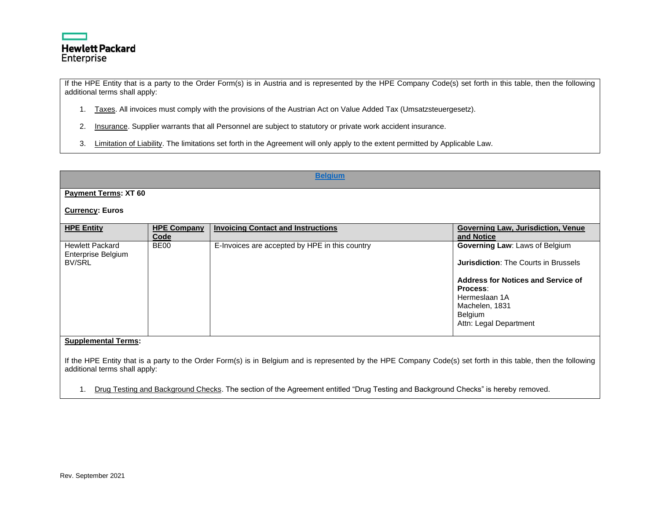

If the HPE Entity that is a party to the Order Form(s) is in Austria and is represented by the HPE Company Code(s) set forth in this table, then the following additional terms shall apply:

- 1. Taxes. All invoices must comply with the provisions of the Austrian Act on Value Added Tax (Umsatzsteuergesetz).
- 2. Insurance. Supplier warrants that all Personnel are subject to statutory or private work accident insurance.
- 3. Limitation of Liability. The limitations set forth in the Agreement will only apply to the extent permitted by Applicable Law.

<span id="page-5-0"></span>

|                                                               |                            | <b>Belgium</b>                                                                                                                                                 |                                                                                                                                                                                                                       |
|---------------------------------------------------------------|----------------------------|----------------------------------------------------------------------------------------------------------------------------------------------------------------|-----------------------------------------------------------------------------------------------------------------------------------------------------------------------------------------------------------------------|
| <b>Payment Terms: XT 60</b><br><b>Currency: Euros</b>         |                            |                                                                                                                                                                |                                                                                                                                                                                                                       |
| <b>HPE Entity</b>                                             | <b>HPE Company</b><br>Code | <b>Invoicing Contact and Instructions</b>                                                                                                                      | Governing Law, Jurisdiction, Venue<br>and Notice                                                                                                                                                                      |
| <b>Hewlett Packard</b><br>Enterprise Belgium<br><b>BV/SRL</b> | BE <sub>00</sub>           | E-Invoices are accepted by HPE in this country                                                                                                                 | <b>Governing Law: Laws of Belgium</b><br><b>Jurisdiction: The Courts in Brussels</b><br><b>Address for Notices and Service of</b><br>Process:<br>Hermeslaan 1A<br>Machelen, 1831<br>Belgium<br>Attn: Legal Department |
| <b>Supplemental Terms:</b>                                    |                            |                                                                                                                                                                |                                                                                                                                                                                                                       |
| additional terms shall apply:                                 |                            | If the HPE Entity that is a party to the Order Form(s) is in Belgium and is represented by the HPE Company Code(s) set forth in this table, then the following |                                                                                                                                                                                                                       |

1. Drug Testing and Background Checks. The section of the Agreement entitled "Drug Testing and Background Checks" is hereby removed.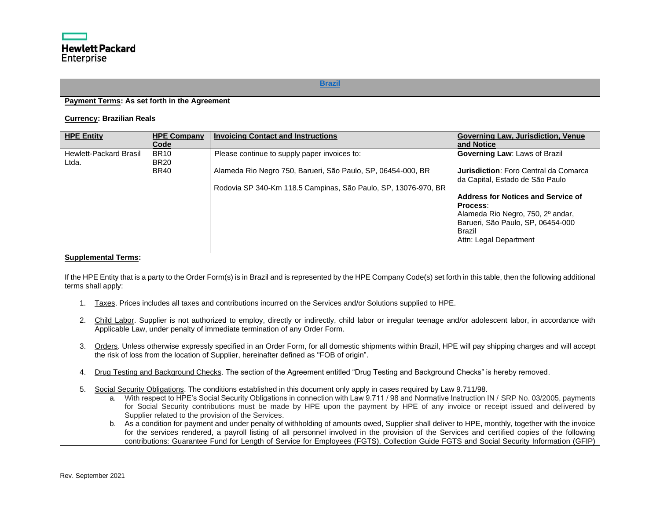### **[Brazil](#page-0-4)**

# <span id="page-6-0"></span>**Payment Terms: As set forth in the Agreement**

#### **Currency: Brazilian Reals**

| <b>HPE Entity</b>                      | <b>HPE Company</b><br>Code                | <b>Invoicing Contact and Instructions</b>                                                                                                                                      | <b>Governing Law, Jurisdiction, Venue</b><br>and Notice                                                                                                                                                                                                              |
|----------------------------------------|-------------------------------------------|--------------------------------------------------------------------------------------------------------------------------------------------------------------------------------|----------------------------------------------------------------------------------------------------------------------------------------------------------------------------------------------------------------------------------------------------------------------|
| <b>Hewlett-Packard Brasil</b><br>Ltda. | <b>BR10</b><br><b>BR20</b><br><b>BR40</b> | Please continue to supply paper invoices to:<br>Alameda Rio Negro 750, Barueri, São Paulo, SP, 06454-000, BR<br>Rodovia SP 340-Km 118.5 Campinas, São Paulo, SP, 13076-970, BR | <b>Governing Law: Laws of Brazil</b><br>Jurisdiction: Foro Central da Comarca<br>da Capital, Estado de São Paulo<br><b>Address for Notices and Service of</b><br>Process:<br>Alameda Rio Negro, 750, 2º andar,<br>Barueri, São Paulo, SP, 06454-000<br><b>Brazil</b> |
|                                        |                                           |                                                                                                                                                                                | Attn: Legal Department                                                                                                                                                                                                                                               |

#### **Supplemental Terms:**

If the HPE Entity that is a party to the Order Form(s) is in Brazil and is represented by the HPE Company Code(s) set forth in this table, then the following additional terms shall apply:

- 1. Taxes. Prices includes all taxes and contributions incurred on the Services and/or Solutions supplied to HPE.
- 2. Child Labor. Supplier is not authorized to employ, directly or indirectly, child labor or irregular teenage and/or adolescent labor, in accordance with Applicable Law, under penalty of immediate termination of any Order Form.
- 3. Orders. Unless otherwise expressly specified in an Order Form, for all domestic shipments within Brazil, HPE will pay shipping charges and will accept the risk of loss from the location of Supplier, hereinafter defined as "FOB of origin".
- 4. Drug Testing and Background Checks. The section of the Agreement entitled "Drug Testing and Background Checks" is hereby removed.
- 5. Social Security Obligations. The conditions established in this document only apply in cases required by Law 9.711/98.
	- a. With respect to HPE's Social Security Obligations in connection with Law 9.711 / 98 and Normative Instruction IN / SRP No. 03/2005, payments for Social Security contributions must be made by HPE upon the payment by HPE of any invoice or receipt issued and delivered by Supplier related to the provision of the Services.
	- b. As a condition for payment and under penalty of withholding of amounts owed, Supplier shall deliver to HPE, monthly, together with the invoice for the services rendered, a payroll listing of all personnel involved in the provision of the Services and certified copies of the following contributions: Guarantee Fund for Length of Service for Employees (FGTS), Collection Guide FGTS and Social Security Information (GFIP)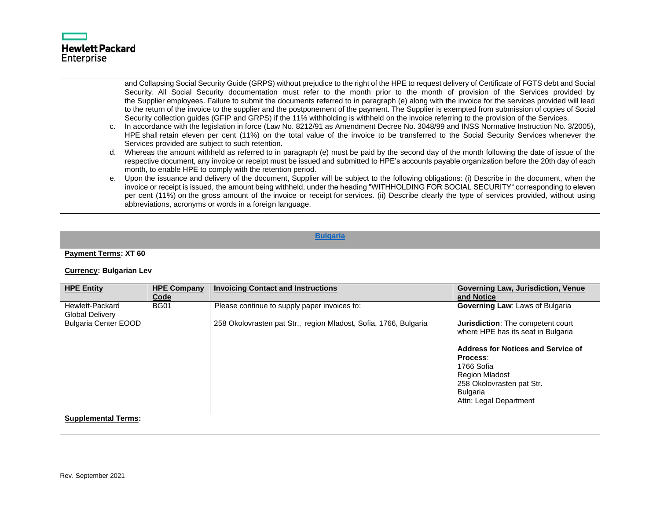

and Collapsing Social Security Guide (GRPS) without prejudice to the right of the HPE to request delivery of Certificate of FGTS debt and Social Security. All Social Security documentation must refer to the month prior to the month of provision of the Services provided by the Supplier employees. Failure to submit the documents referred to in paragraph (e) along with the invoice for the services provided will lead to the return of the invoice to the supplier and the postponement of the payment. The Supplier is exempted from submission of copies of Social Security collection guides (GFIP and GRPS) if the 11% withholding is withheld on the invoice referring to the provision of the Services.

- c. In accordance with the legislation in force (Law No. 8212/91 as Amendment Decree No. 3048/99 and INSS Normative Instruction No. 3/2005), HPE shall retain eleven per cent (11%) on the total value of the invoice to be transferred to the Social Security Services whenever the Services provided are subject to such retention.
- d. Whereas the amount withheld as referred to in paragraph (e) must be paid by the second day of the month following the date of issue of the respective document, any invoice or receipt must be issued and submitted to HPE's accounts payable organization before the 20th day of each month, to enable HPE to comply with the retention period.
- e. Upon the issuance and delivery of the document, Supplier will be subject to the following obligations: (i) Describe in the document, when the invoice or receipt is issued, the amount being withheld, under the heading "WITHHOLDING FOR SOCIAL SECURITY" corresponding to eleven per cent (11%) on the gross amount of the invoice or receipt for services. (ii) Describe clearly the type of services provided, without using abbreviations, acronyms or words in a foreign language.

#### **[Bulgaria](#page-0-5)**

#### <span id="page-7-0"></span>**Payment Terms: XT 60**

#### **Currency: Bulgarian Lev**

| <b>HPE Entity</b>                                                        | <b>HPE Company</b><br>Code | <b>Invoicing Contact and Instructions</b>                                                                        | <b>Governing Law, Jurisdiction, Venue</b><br>and Notice                                                                                                                                                                                                                                     |
|--------------------------------------------------------------------------|----------------------------|------------------------------------------------------------------------------------------------------------------|---------------------------------------------------------------------------------------------------------------------------------------------------------------------------------------------------------------------------------------------------------------------------------------------|
| Hewlett-Packard<br><b>Global Delivery</b><br><b>Bulgaria Center EOOD</b> | <b>BG01</b>                | Please continue to supply paper invoices to:<br>258 Okolovrasten pat Str., region Mladost, Sofia, 1766, Bulgaria | <b>Governing Law: Laws of Bulgaria</b><br><b>Jurisdiction:</b> The competent court<br>where HPE has its seat in Bulgaria<br>Address for Notices and Service of<br>Process:<br>1766 Sofia<br><b>Region Mladost</b><br>258 Okolovrasten pat Str.<br><b>Bulgaria</b><br>Attn: Legal Department |
| <b>Supplemental Terms:</b>                                               |                            |                                                                                                                  |                                                                                                                                                                                                                                                                                             |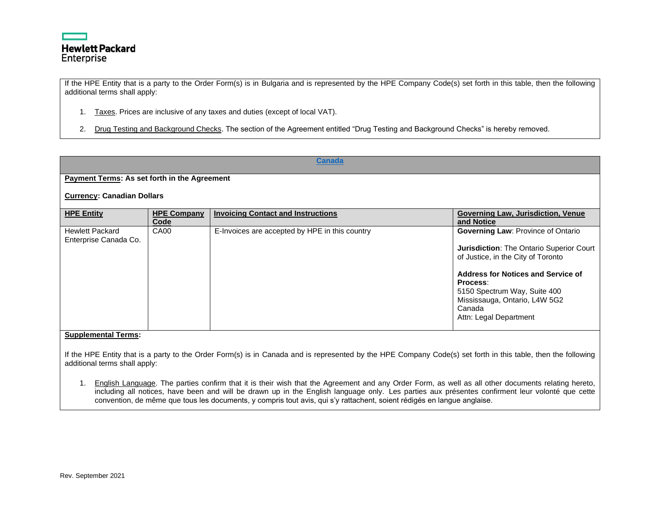

If the HPE Entity that is a party to the Order Form(s) is in Bulgaria and is represented by the HPE Company Code(s) set forth in this table, then the following additional terms shall apply:

- 1. Taxes. Prices are inclusive of any taxes and duties (except of local VAT).
- 2. Drug Testing and Background Checks. The section of the Agreement entitled "Drug Testing and Background Checks" is hereby removed.

<span id="page-8-0"></span>

| <b>Canada</b>                                       |                            |                                                |                                                                                                                                                                                                                                                                                    |
|-----------------------------------------------------|----------------------------|------------------------------------------------|------------------------------------------------------------------------------------------------------------------------------------------------------------------------------------------------------------------------------------------------------------------------------------|
| <b>Payment Terms: As set forth in the Agreement</b> |                            |                                                |                                                                                                                                                                                                                                                                                    |
| <b>Currency: Canadian Dollars</b>                   |                            |                                                |                                                                                                                                                                                                                                                                                    |
| <b>HPE Entity</b>                                   | <b>HPE Company</b><br>Code | <b>Invoicing Contact and Instructions</b>      | Governing Law, Jurisdiction, Venue<br>and Notice                                                                                                                                                                                                                                   |
| <b>Hewlett Packard</b><br>Enterprise Canada Co.     | CA00                       | E-Invoices are accepted by HPE in this country | <b>Governing Law: Province of Ontario</b><br>Jurisdiction: The Ontario Superior Court<br>of Justice, in the City of Toronto<br>Address for Notices and Service of<br>Process:<br>5150 Spectrum Way, Suite 400<br>Mississauga, Ontario, L4W 5G2<br>Canada<br>Attn: Legal Department |
| <b>Supplemental Terms:</b>                          |                            |                                                |                                                                                                                                                                                                                                                                                    |

If the HPE Entity that is a party to the Order Form(s) is in Canada and is represented by the HPE Company Code(s) set forth in this table, then the following additional terms shall apply:

1. English Language. The parties confirm that it is their wish that the Agreement and any Order Form, as well as all other documents relating hereto, including all notices, have been and will be drawn up in the English language only. Les parties aux présentes confirment leur volonté que cette convention, de même que tous les documents, y compris tout avis, qui s'y rattachent, soient rédigés en langue anglaise.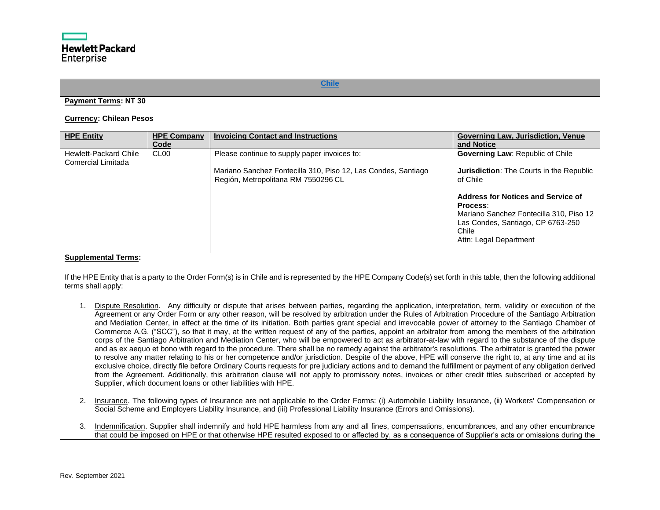## **[Chile](#page-0-7)**

# <span id="page-9-0"></span>**Payment Terms: NT 30**

#### **Currency: Chilean Pesos**

| <b>HPE Entity</b>                           | <b>HPE Company</b><br>Code | <b>Invoicing Contact and Instructions</b>                                                                                                            | <b>Governing Law, Jurisdiction, Venue</b><br>and Notice                                                                                                                                                                                                                            |
|---------------------------------------------|----------------------------|------------------------------------------------------------------------------------------------------------------------------------------------------|------------------------------------------------------------------------------------------------------------------------------------------------------------------------------------------------------------------------------------------------------------------------------------|
| Hewlett-Packard Chile<br>Comercial Limitada | CL <sub>00</sub>           | Please continue to supply paper invoices to:<br>Mariano Sanchez Fontecilla 310, Piso 12, Las Condes, Santiago<br>Región, Metropolitana RM 7550296 CL | <b>Governing Law: Republic of Chile</b><br><b>Jurisdiction:</b> The Courts in the Republic<br>of Chile<br><b>Address for Notices and Service of</b><br>Process:<br>Mariano Sanchez Fontecilla 310, Piso 12<br>Las Condes, Santiago, CP 6763-250<br>Chile<br>Attn: Legal Department |

#### **Supplemental Terms:**

If the HPE Entity that is a party to the Order Form(s) is in Chile and is represented by the HPE Company Code(s) set forth in this table, then the following additional terms shall apply:

- 1. Dispute Resolution. Any difficulty or dispute that arises between parties, regarding the application, interpretation, term, validity or execution of the Agreement or any Order Form or any other reason, will be resolved by arbitration under the Rules of Arbitration Procedure of the Santiago Arbitration and Mediation Center, in effect at the time of its initiation. Both parties grant special and irrevocable power of attorney to the Santiago Chamber of Commerce A.G. ("SCC"), so that it may, at the written request of any of the parties, appoint an arbitrator from among the members of the arbitration corps of the Santiago Arbitration and Mediation Center, who will be empowered to act as arbitrator-at-law with regard to the substance of the dispute and as ex aequo et bono with regard to the procedure. There shall be no remedy against the arbitrator's resolutions. The arbitrator is granted the power to resolve any matter relating to his or her competence and/or jurisdiction. Despite of the above, HPE will conserve the right to, at any time and at its exclusive choice, directly file before Ordinary Courts requests for pre judiciary actions and to demand the fulfillment or payment of any obligation derived from the Agreement. Additionally, this arbitration clause will not apply to promissory notes, invoices or other credit titles subscribed or accepted by Supplier, which document loans or other liabilities with HPE.
- 2. Insurance. The following types of Insurance are not applicable to the Order Forms: (i) Automobile Liability Insurance, (ii) Workers' Compensation or Social Scheme and Employers Liability Insurance, and (iii) Professional Liability Insurance (Errors and Omissions).
- 3. Indemnification. Supplier shall indemnify and hold HPE harmless from any and all fines, compensations, encumbrances, and any other encumbrance that could be imposed on HPE or that otherwise HPE resulted exposed to or affected by, as a consequence of Supplier's acts or omissions during the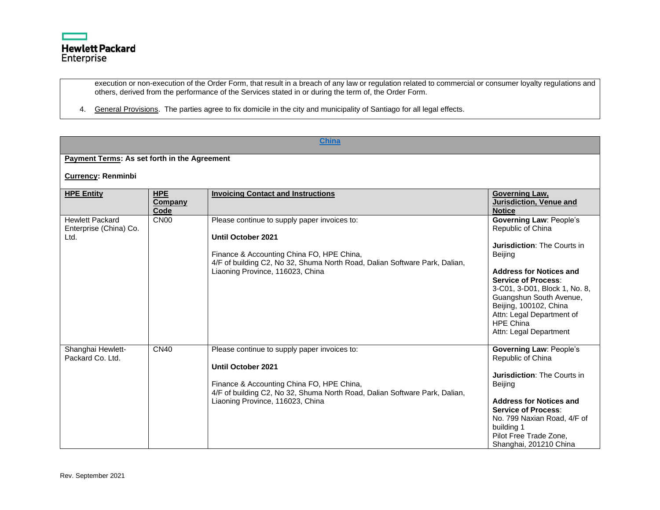

execution or non-execution of the Order Form, that result in a breach of any law or regulation related to commercial or consumer loyalty regulations and others, derived from the performance of the Services stated in or during the term of, the Order Form.

4. General Provisions. The parties agree to fix domicile in the city and municipality of Santiago for all legal effects.

<span id="page-10-0"></span>

| <b>China</b>                                             |                               |                                                                                                                                                                                                                                          |                                                                                                                                                                                                                                                                                                                                |  |
|----------------------------------------------------------|-------------------------------|------------------------------------------------------------------------------------------------------------------------------------------------------------------------------------------------------------------------------------------|--------------------------------------------------------------------------------------------------------------------------------------------------------------------------------------------------------------------------------------------------------------------------------------------------------------------------------|--|
| Payment Terms: As set forth in the Agreement             |                               |                                                                                                                                                                                                                                          |                                                                                                                                                                                                                                                                                                                                |  |
| <b>Currency: Renminbi</b>                                |                               |                                                                                                                                                                                                                                          |                                                                                                                                                                                                                                                                                                                                |  |
| <b>HPE Entity</b>                                        | <b>HPE</b><br>Company<br>Code | <b>Invoicing Contact and Instructions</b>                                                                                                                                                                                                | Governing Law,<br><b>Jurisdiction, Venue and</b><br><b>Notice</b>                                                                                                                                                                                                                                                              |  |
| <b>Hewlett Packard</b><br>Enterprise (China) Co.<br>Ltd. | CN <sub>00</sub>              | Please continue to supply paper invoices to:<br><b>Until October 2021</b><br>Finance & Accounting China FO, HPE China,<br>4/F of building C2, No 32, Shuma North Road, Dalian Software Park, Dalian,<br>Liaoning Province, 116023, China | <b>Governing Law: People's</b><br>Republic of China<br>Jurisdiction: The Courts in<br>Beijing<br><b>Address for Notices and</b><br><b>Service of Process:</b><br>3-C01, 3-D01, Block 1, No. 8,<br>Guangshun South Avenue,<br>Beijing, 100102, China<br>Attn: Legal Department of<br><b>HPE China</b><br>Attn: Legal Department |  |
| Shanghai Hewlett-<br>Packard Co. Ltd.                    | <b>CN40</b>                   | Please continue to supply paper invoices to:<br><b>Until October 2021</b><br>Finance & Accounting China FO, HPE China,<br>4/F of building C2, No 32, Shuma North Road, Dalian Software Park, Dalian,<br>Liaoning Province, 116023, China | <b>Governing Law: People's</b><br>Republic of China<br><b>Jurisdiction: The Courts in</b><br>Beijing<br><b>Address for Notices and</b><br><b>Service of Process:</b><br>No. 799 Naxian Road, 4/F of<br>building 1<br>Pilot Free Trade Zone,<br>Shanghai, 201210 China                                                          |  |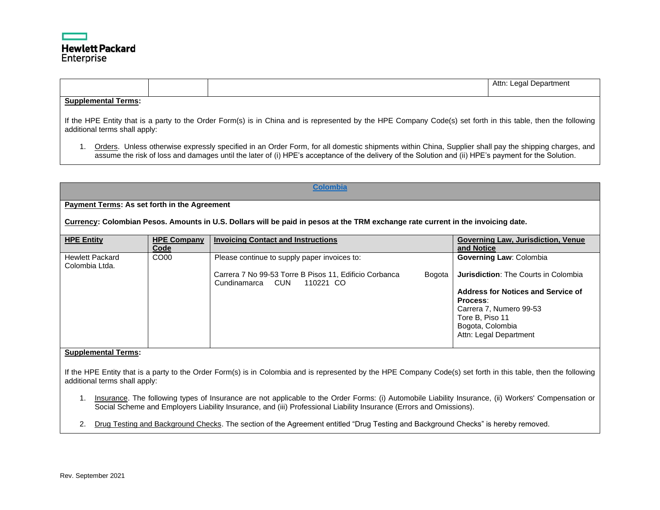# **Hewlett Packard** Enterprise

Attn: Legal Department

## **Supplemental Terms:**

If the HPE Entity that is a party to the Order Form(s) is in China and is represented by the HPE Company Code(s) set forth in this table, then the following additional terms shall apply:

1. Orders. Unless otherwise expressly specified in an Order Form, for all domestic shipments within China, Supplier shall pay the shipping charges, and assume the risk of loss and damages until the later of (i) HPE's acceptance of the delivery of the Solution and (ii) HPE's payment for the Solution.

#### **[Colombia](#page-0-9)**

#### <span id="page-11-0"></span>**Payment Terms: As set forth in the Agreement**

**Currency: Colombian Pesos. Amounts in U.S. Dollars will be paid in pesos at the TRM exchange rate current in the invoicing date.**

| <b>HPE Entity</b>                        | <b>HPE Company</b><br>Code | <b>Invoicing Contact and Instructions</b>                                                            | <b>Governing Law, Jurisdiction, Venue</b><br>and Notice      |
|------------------------------------------|----------------------------|------------------------------------------------------------------------------------------------------|--------------------------------------------------------------|
| <b>Hewlett Packard</b><br>Colombia Ltda. | CO <sub>00</sub>           | Please continue to supply paper invoices to:                                                         | <b>Governing Law: Colombia</b>                               |
|                                          |                            | Carrera 7 No 99-53 Torre B Pisos 11, Edificio Corbanca<br>Bogota<br>CUN<br>Cundinamarca<br>110221 CO | Jurisdiction: The Courts in Colombia                         |
|                                          |                            |                                                                                                      | <b>Address for Notices and Service of</b><br><b>Process:</b> |
|                                          |                            |                                                                                                      | Carrera 7, Numero 99-53<br>Tore B, Piso 11                   |
|                                          |                            |                                                                                                      | Bogota, Colombia<br>Attn: Legal Department                   |
|                                          |                            |                                                                                                      |                                                              |

# **Supplemental Terms:**

If the HPE Entity that is a party to the Order Form(s) is in Colombia and is represented by the HPE Company Code(s) set forth in this table, then the following additional terms shall apply:

- 1. Insurance. The following types of Insurance are not applicable to the Order Forms: (i) Automobile Liability Insurance, (ii) Workers' Compensation or Social Scheme and Employers Liability Insurance, and (iii) Professional Liability Insurance (Errors and Omissions).
- 2. Drug Testing and Background Checks. The section of the Agreement entitled "Drug Testing and Background Checks" is hereby removed.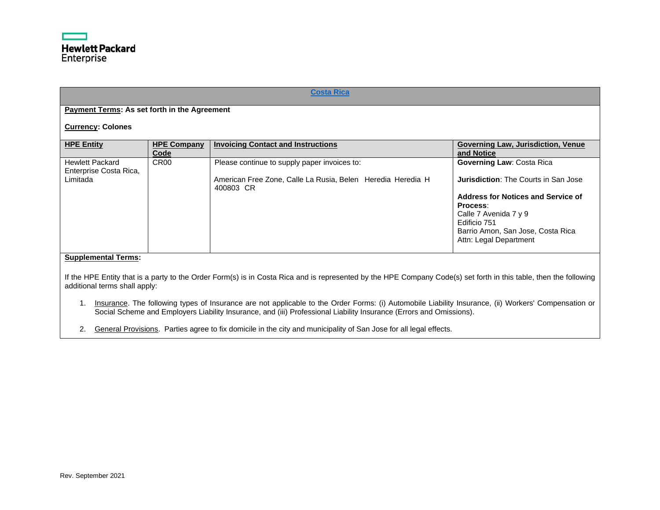<span id="page-12-0"></span>

| <b>Costa Rica</b>                                                                                                                                                                                                                                                                                                                                                                                                                                                                                               |                            |                                                                                                                          |                                                                                                                                                                                                                                           |  |
|-----------------------------------------------------------------------------------------------------------------------------------------------------------------------------------------------------------------------------------------------------------------------------------------------------------------------------------------------------------------------------------------------------------------------------------------------------------------------------------------------------------------|----------------------------|--------------------------------------------------------------------------------------------------------------------------|-------------------------------------------------------------------------------------------------------------------------------------------------------------------------------------------------------------------------------------------|--|
| <b>Payment Terms: As set forth in the Agreement</b>                                                                                                                                                                                                                                                                                                                                                                                                                                                             |                            |                                                                                                                          |                                                                                                                                                                                                                                           |  |
| <b>Currency: Colones</b>                                                                                                                                                                                                                                                                                                                                                                                                                                                                                        |                            |                                                                                                                          |                                                                                                                                                                                                                                           |  |
| <b>HPE Entity</b>                                                                                                                                                                                                                                                                                                                                                                                                                                                                                               | <b>HPE Company</b><br>Code | <b>Invoicing Contact and Instructions</b>                                                                                | Governing Law, Jurisdiction, Venue<br>and Notice                                                                                                                                                                                          |  |
| <b>Hewlett Packard</b><br>Enterprise Costa Rica,<br>Limitada                                                                                                                                                                                                                                                                                                                                                                                                                                                    | CR <sub>00</sub>           | Please continue to supply paper invoices to:<br>American Free Zone, Calle La Rusia, Belen Heredia Heredia H<br>400803 CR | <b>Governing Law: Costa Rica</b><br><b>Jurisdiction:</b> The Courts in San Jose<br>Address for Notices and Service of<br>Process:<br>Calle 7 Avenida 7 y 9<br>Edificio 751<br>Barrio Amon, San Jose, Costa Rica<br>Attn: Legal Department |  |
| <b>Supplemental Terms:</b><br>If the HPE Entity that is a party to the Order Form(s) is in Costa Rica and is represented by the HPE Company Code(s) set forth in this table, then the following<br>additional terms shall apply:<br>Insurance. The following types of Insurance are not applicable to the Order Forms: (i) Automobile Liability Insurance, (ii) Workers' Compensation or<br>Social Scheme and Employers Liability Insurance, and (iii) Professional Liability Insurance (Errors and Omissions). |                            |                                                                                                                          |                                                                                                                                                                                                                                           |  |

2. General Provisions. Parties agree to fix domicile in the city and municipality of San Jose for all legal effects.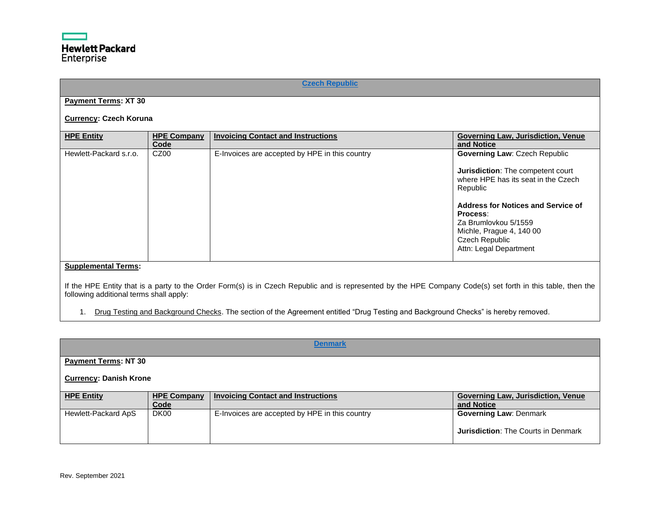<span id="page-13-0"></span>

|                                         |                            | <b>Czech Republic</b>                                                                                                                                       |                                                                                                                                                                                                                                        |
|-----------------------------------------|----------------------------|-------------------------------------------------------------------------------------------------------------------------------------------------------------|----------------------------------------------------------------------------------------------------------------------------------------------------------------------------------------------------------------------------------------|
| <b>Payment Terms: XT 30</b>             |                            |                                                                                                                                                             |                                                                                                                                                                                                                                        |
| <b>Currency: Czech Koruna</b>           |                            |                                                                                                                                                             |                                                                                                                                                                                                                                        |
| <b>HPE Entity</b>                       | <b>HPE Company</b><br>Code | <b>Invoicing Contact and Instructions</b>                                                                                                                   | <b>Governing Law, Jurisdiction, Venue</b><br>and Notice                                                                                                                                                                                |
| Hewlett-Packard s.r.o.                  | CZ <sub>00</sub>           | E-Invoices are accepted by HPE in this country                                                                                                              | <b>Governing Law: Czech Republic</b>                                                                                                                                                                                                   |
|                                         |                            |                                                                                                                                                             | Jurisdiction: The competent court<br>where HPE has its seat in the Czech<br>Republic<br>Address for Notices and Service of<br>Process:<br>Za Brumlovkou 5/1559<br>Michle, Prague 4, 140 00<br>Czech Republic<br>Attn: Legal Department |
| <b>Supplemental Terms:</b>              |                            |                                                                                                                                                             |                                                                                                                                                                                                                                        |
| following additional terms shall apply: |                            | If the HPE Entity that is a party to the Order Form(s) is in Czech Republic and is represented by the HPE Company Code(s) set forth in this table, then the |                                                                                                                                                                                                                                        |

1. Drug Testing and Background Checks. The section of the Agreement entitled "Drug Testing and Background Checks" is hereby removed.

<span id="page-13-1"></span>

| <b>Denmark</b>              |                               |                                                |                                                  |  |
|-----------------------------|-------------------------------|------------------------------------------------|--------------------------------------------------|--|
| <b>Payment Terms: NT 30</b> |                               |                                                |                                                  |  |
|                             | <b>Currency: Danish Krone</b> |                                                |                                                  |  |
| <b>HPE Entity</b>           | <b>HPE Company</b><br>Code    | <b>Invoicing Contact and Instructions</b>      | Governing Law, Jurisdiction, Venue<br>and Notice |  |
| Hewlett-Packard ApS         | DK <sub>00</sub>              | E-Invoices are accepted by HPE in this country | <b>Governing Law: Denmark</b>                    |  |
|                             |                               |                                                | <b>Jurisdiction:</b> The Courts in Denmark       |  |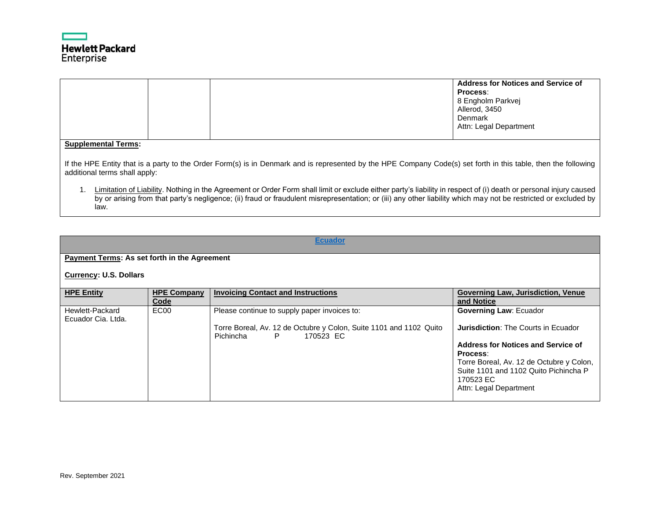

|                                                                                                                                                                                                                                                                                                                                              |  |  | Address for Notices and Service of<br>Process:<br>8 Engholm Parkvei<br>Allerod, 3450<br>Denmark<br>Attn: Legal Department |  |  |
|----------------------------------------------------------------------------------------------------------------------------------------------------------------------------------------------------------------------------------------------------------------------------------------------------------------------------------------------|--|--|---------------------------------------------------------------------------------------------------------------------------|--|--|
| <b>Supplemental Terms:</b>                                                                                                                                                                                                                                                                                                                   |  |  |                                                                                                                           |  |  |
| If the HPE Entity that is a party to the Order Form(s) is in Denmark and is represented by the HPE Company Code(s) set forth in this table, then the following<br>additional terms shall apply:                                                                                                                                              |  |  |                                                                                                                           |  |  |
| Limitation of Liability. Nothing in the Agreement or Order Form shall limit or exclude either party's liability in respect of (i) death or personal injury caused<br>by or arising from that party's negligence; (ii) fraud or fraudulent misrepresentation; or (iii) any other liability which may not be restricted or excluded by<br>law. |  |  |                                                                                                                           |  |  |

# **[Ecuador](#page-0-13)**

# <span id="page-14-0"></span>**Payment Terms: As set forth in the Agreement**

# **Currency: U.S. Dollars**

| <b>HPE Entity</b>                     | <b>HPE Company</b><br>Code | <b>Invoicing Contact and Instructions</b>                                                          | <b>Governing Law, Jurisdiction, Venue</b><br>and Notice                           |
|---------------------------------------|----------------------------|----------------------------------------------------------------------------------------------------|-----------------------------------------------------------------------------------|
| Hewlett-Packard<br>Ecuador Cia. Ltda. | EC00                       | Please continue to supply paper invoices to:                                                       | <b>Governing Law: Ecuador</b>                                                     |
|                                       |                            | Torre Boreal, Av. 12 de Octubre y Colon, Suite 1101 and 1102 Quito<br>Pichincha<br>170523 EC<br>P. | <b>Jurisdiction: The Courts in Ecuador</b>                                        |
|                                       |                            |                                                                                                    | Address for Notices and Service of<br>Process:                                    |
|                                       |                            |                                                                                                    | Torre Boreal, Av. 12 de Octubre y Colon,<br>Suite 1101 and 1102 Quito Pichincha P |
|                                       |                            |                                                                                                    | 170523 EC<br>Attn: Legal Department                                               |
|                                       |                            |                                                                                                    |                                                                                   |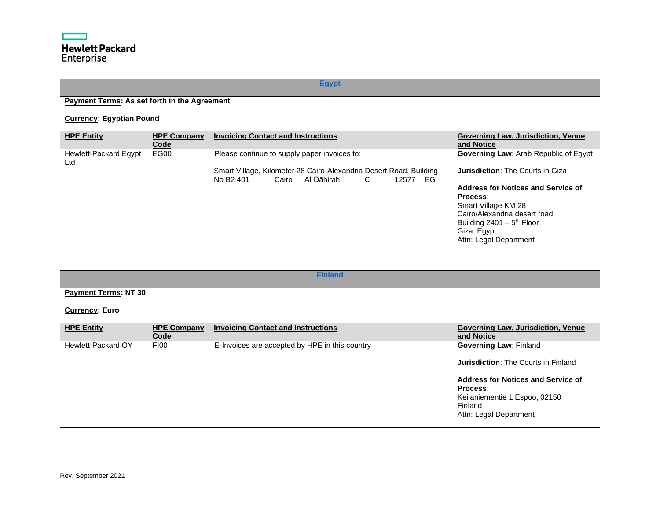# **[Egypt](#page-0-14)**

# <span id="page-15-0"></span>**Payment Terms: As set forth in the Agreement**

# **Currency: Egyptian Pound**

| <b>HPE Entity</b>            | <b>HPE Company</b><br>Code | <b>Invoicing Contact and Instructions</b>                                                                                                                                         | <b>Governing Law, Jurisdiction, Venue</b><br>and Notice                                                                                                                                                                                                    |
|------------------------------|----------------------------|-----------------------------------------------------------------------------------------------------------------------------------------------------------------------------------|------------------------------------------------------------------------------------------------------------------------------------------------------------------------------------------------------------------------------------------------------------|
| Hewlett-Packard Egypt<br>Ltd | EG00                       | Please continue to supply paper invoices to:<br>Smart Village, Kilometer 28 Cairo-Alexandria Desert Road, Building<br>No B <sub>2</sub> 401<br>Cairo Al Qāhirah<br>C.<br>12577 EG | <b>Governing Law: Arab Republic of Egypt</b><br><b>Jurisdiction: The Courts in Giza</b><br>Address for Notices and Service of<br>Process:<br>Smart Village KM 28<br>Cairo/Alexandria desert road<br>Building $2401 - 5$ <sup>th</sup> Floor<br>Giza, Egypt |
|                              |                            |                                                                                                                                                                                   | Attn: Legal Department                                                                                                                                                                                                                                     |

<span id="page-15-1"></span>

| <b>Finland</b>              |                            |                                                |                                                                                                                                                                       |  |
|-----------------------------|----------------------------|------------------------------------------------|-----------------------------------------------------------------------------------------------------------------------------------------------------------------------|--|
| <b>Payment Terms: NT 30</b> |                            |                                                |                                                                                                                                                                       |  |
| <b>Currency: Euro</b>       |                            |                                                |                                                                                                                                                                       |  |
| <b>HPE Entity</b>           | <b>HPE Company</b><br>Code | <b>Invoicing Contact and Instructions</b>      | <b>Governing Law, Jurisdiction, Venue</b><br>and Notice                                                                                                               |  |
| Hewlett-Packard OY          | <b>FI00</b>                | E-Invoices are accepted by HPE in this country | <b>Governing Law: Finland</b><br><b>Jurisdiction: The Courts in Finland</b><br><b>Address for Notices and Service of</b><br>Process:<br>Keilaniementie 1 Espoo, 02150 |  |
|                             |                            |                                                | Finland<br>Attn: Legal Department                                                                                                                                     |  |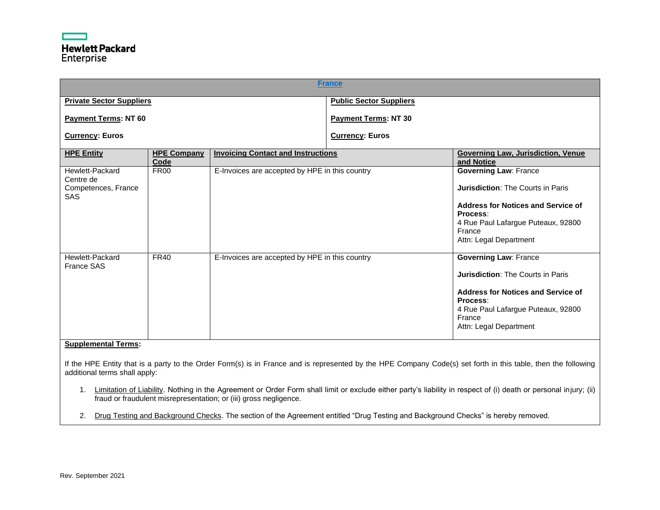<span id="page-16-0"></span>

| <b>France</b>                                                     |                            |                                                |                                |                                                                                                                                                                                                             |
|-------------------------------------------------------------------|----------------------------|------------------------------------------------|--------------------------------|-------------------------------------------------------------------------------------------------------------------------------------------------------------------------------------------------------------|
| <b>Private Sector Suppliers</b>                                   |                            |                                                | <b>Public Sector Suppliers</b> |                                                                                                                                                                                                             |
| <b>Payment Terms: NT 60</b>                                       |                            |                                                | <b>Payment Terms: NT 30</b>    |                                                                                                                                                                                                             |
| <b>Currency: Euros</b>                                            |                            |                                                | <b>Currency: Euros</b>         |                                                                                                                                                                                                             |
| <b>HPE Entity</b>                                                 | <b>HPE Company</b><br>Code | <b>Invoicing Contact and Instructions</b>      |                                | <b>Governing Law, Jurisdiction, Venue</b><br>and Notice                                                                                                                                                     |
| Hewlett-Packard<br>Centre de<br>Competences, France<br><b>SAS</b> | <b>FR00</b>                | E-Invoices are accepted by HPE in this country |                                | <b>Governing Law: France</b><br><b>Jurisdiction: The Courts in Paris</b><br>Address for Notices and Service of<br>Process:<br>4 Rue Paul Lafargue Puteaux, 92800<br>France<br>Attn: Legal Department        |
| Hewlett-Packard<br><b>France SAS</b><br>Consideration of Tax      | <b>FR40</b>                | E-Invoices are accepted by HPE in this country |                                | <b>Governing Law: France</b><br><b>Jurisdiction: The Courts in Paris</b><br><b>Address for Notices and Service of</b><br>Process:<br>4 Rue Paul Lafargue Puteaux, 92800<br>France<br>Attn: Legal Department |

If the HPE Entity that is a party to the Order Form(s) is in France and is represented by the HPE Company Code(s) set forth in this table, then the following additional terms shall apply:

1. Limitation of Liability. Nothing in the Agreement or Order Form shall limit or exclude either party's liability in respect of (i) death or personal injury; (ii) fraud or fraudulent misrepresentation; or (iii) gross negligence.

2. Drug Testing and Background Checks. The section of the Agreement entitled "Drug Testing and Background Checks" is hereby removed.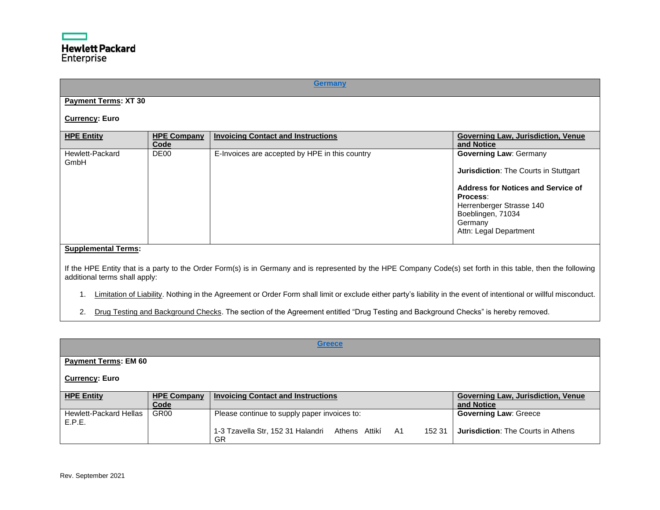<span id="page-17-0"></span>

|                                                             |                            | <b>Germany</b>                                 |                                                                                                                                                                                                                              |
|-------------------------------------------------------------|----------------------------|------------------------------------------------|------------------------------------------------------------------------------------------------------------------------------------------------------------------------------------------------------------------------------|
| <b>Payment Terms: XT 30</b>                                 |                            |                                                |                                                                                                                                                                                                                              |
| <b>Currency: Euro</b>                                       |                            |                                                |                                                                                                                                                                                                                              |
| <b>HPE Entity</b>                                           | <b>HPE Company</b><br>Code | <b>Invoicing Contact and Instructions</b>      | <b>Governing Law, Jurisdiction, Venue</b><br>and Notice                                                                                                                                                                      |
| Hewlett-Packard<br>GmbH                                     | DE <sub>00</sub>           | E-Invoices are accepted by HPE in this country | <b>Governing Law: Germany</b><br><b>Jurisdiction: The Courts in Stuttgart</b><br><b>Address for Notices and Service of</b><br>Process:<br>Herrenberger Strasse 140<br>Boeblingen, 71034<br>Germany<br>Attn: Legal Department |
| <b>Supplemental Terms:</b><br>additional terms shall apply: |                            |                                                | If the HPE Entity that is a party to the Order Form(s) is in Germany and is represented by the HPE Company Code(s) set forth in this table, then the following                                                               |

- 1. Limitation of Liability. Nothing in the Agreement or Order Form shall limit or exclude either party's liability in the event of intentional or willful misconduct.
- 2. Drug Testing and Background Checks. The section of the Agreement entitled "Drug Testing and Background Checks" is hereby removed.

<span id="page-17-1"></span>

|                                         |                            | <b>Greece</b>                                                      |                                                         |
|-----------------------------------------|----------------------------|--------------------------------------------------------------------|---------------------------------------------------------|
| <b>Payment Terms: EM 60</b>             |                            |                                                                    |                                                         |
| <b>Currency: Euro</b>                   |                            |                                                                    |                                                         |
| <b>HPE Entity</b>                       | <b>HPE Company</b><br>Code | <b>Invoicing Contact and Instructions</b>                          | <b>Governing Law, Jurisdiction, Venue</b><br>and Notice |
| <b>Hewlett-Packard Hellas</b><br>E.P.E. | GR <sub>00</sub>           | Please continue to supply paper invoices to:                       | <b>Governing Law: Greece</b>                            |
|                                         |                            | 1-3 Tzavella Str, 152 31 Halandri Athens Attikí A1<br>152 31<br>GR | <b>Jurisdiction: The Courts in Athens</b>               |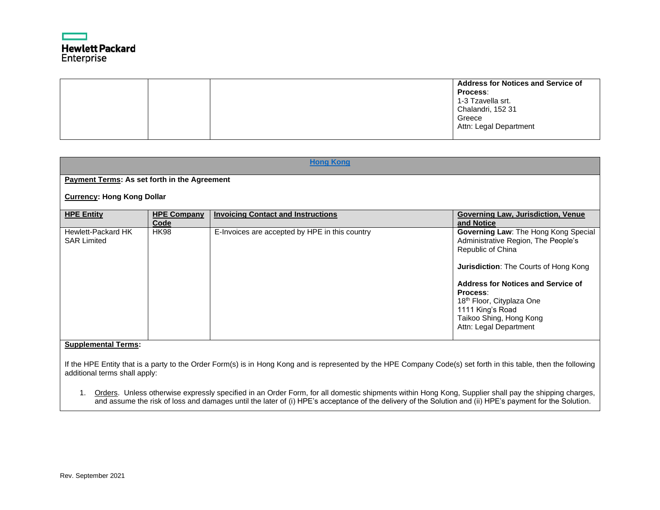

|  | <b>Address for Notices and Service of</b><br>Process:<br>1-3 Tzavella srt.<br>Chalandri, 152 31<br>Greece |
|--|-----------------------------------------------------------------------------------------------------------|
|  | Attn: Legal Department                                                                                    |

<span id="page-18-0"></span>

|                                              | <b>Hong Kong</b>           |                                                |                                                                                                                                                                                                                                                                                                          |  |  |  |
|----------------------------------------------|----------------------------|------------------------------------------------|----------------------------------------------------------------------------------------------------------------------------------------------------------------------------------------------------------------------------------------------------------------------------------------------------------|--|--|--|
| Payment Terms: As set forth in the Agreement |                            |                                                |                                                                                                                                                                                                                                                                                                          |  |  |  |
| <b>Currency: Hong Kong Dollar</b>            |                            |                                                |                                                                                                                                                                                                                                                                                                          |  |  |  |
| <b>HPE Entity</b>                            | <b>HPE Company</b><br>Code | <b>Invoicing Contact and Instructions</b>      | Governing Law, Jurisdiction, Venue<br>and Notice                                                                                                                                                                                                                                                         |  |  |  |
| Hewlett-Packard HK<br><b>SAR Limited</b>     | <b>HK98</b>                | E-Invoices are accepted by HPE in this country | Governing Law: The Hong Kong Special<br>Administrative Region, The People's<br>Republic of China<br><b>Jurisdiction:</b> The Courts of Hong Kong<br>Address for Notices and Service of<br>Process:<br>18th Floor, Cityplaza One<br>1111 King's Road<br>Taikoo Shing, Hong Kong<br>Attn: Legal Department |  |  |  |
| <b>Supplemental Terms:</b>                   |                            |                                                |                                                                                                                                                                                                                                                                                                          |  |  |  |

If the HPE Entity that is a party to the Order Form(s) is in Hong Kong and is represented by the HPE Company Code(s) set forth in this table, then the following additional terms shall apply:

1. Orders. Unless otherwise expressly specified in an Order Form, for all domestic shipments within Hong Kong, Supplier shall pay the shipping charges, and assume the risk of loss and damages until the later of (i) HPE's acceptance of the delivery of the Solution and (ii) HPE's payment for the Solution.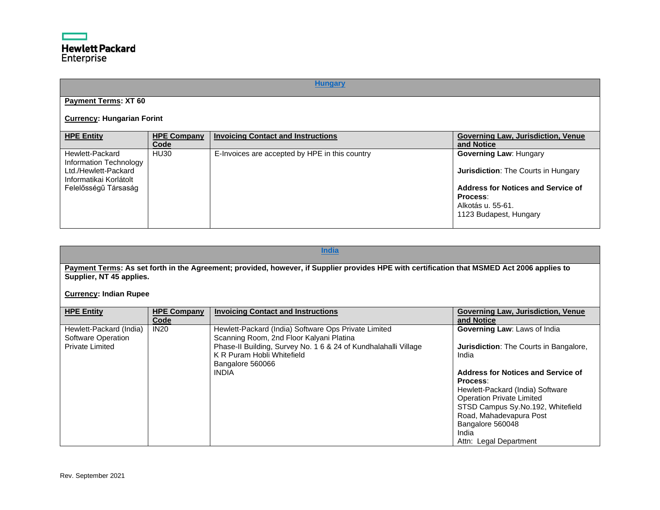# **[Hungary](#page-0-20)**

# <span id="page-19-0"></span>**Payment Terms: XT 60**

# **Currency: Hungarian Forint**

| <b>HPE Entity</b>                                                                           | <b>HPE Company</b><br>Code | <b>Invoicing Contact and Instructions</b>      | <b>Governing Law, Jurisdiction, Venue</b><br>and Notice                                       |
|---------------------------------------------------------------------------------------------|----------------------------|------------------------------------------------|-----------------------------------------------------------------------------------------------|
| Hewlett-Packard<br>Information Technology<br>Ltd./Hewlett-Packard<br>Informatikai Korlátolt | <b>HU30</b>                | E-Invoices are accepted by HPE in this country | <b>Governing Law: Hungary</b><br><b>Jurisdiction:</b> The Courts in Hungary                   |
| Felelősségű Társaság                                                                        |                            |                                                | Address for Notices and Service of<br>Process:<br>Alkotás u. 55-61.<br>1123 Budapest, Hungary |

# **[India](#page-0-21)**

<span id="page-19-1"></span>**Payment Terms: As set forth in the Agreement; provided, however, if Supplier provides HPE with certification that MSMED Act 2006 applies to Supplier, NT 45 applies.**

**Currency: Indian Rupee**

| <b>HPE Entity</b>                                                       | <b>HPE Company</b><br>Code | <b>Invoicing Contact and Instructions</b>                                                                                                                                                                                             | <b>Governing Law, Jurisdiction, Venue</b><br>and Notice                                                                                                                                                                                                                                                                                 |
|-------------------------------------------------------------------------|----------------------------|---------------------------------------------------------------------------------------------------------------------------------------------------------------------------------------------------------------------------------------|-----------------------------------------------------------------------------------------------------------------------------------------------------------------------------------------------------------------------------------------------------------------------------------------------------------------------------------------|
| Hewlett-Packard (India)<br>Software Operation<br><b>Private Limited</b> | <b>IN20</b>                | Hewlett-Packard (India) Software Ops Private Limited<br>Scanning Room, 2nd Floor Kalyani Platina<br>Phase-II Building, Survey No. 1 6 & 24 of Kundhalahalli Village<br>K R Puram Hobli Whitefield<br>Bangalore 560066<br><b>INDIA</b> | Governing Law: Laws of India<br><b>Jurisdiction:</b> The Courts in Bangalore,<br>India<br>Address for Notices and Service of<br>Process:<br>Hewlett-Packard (India) Software<br><b>Operation Private Limited</b><br>STSD Campus Sy.No.192, Whitefield<br>Road, Mahadevapura Post<br>Bangalore 560048<br>India<br>Attn: Legal Department |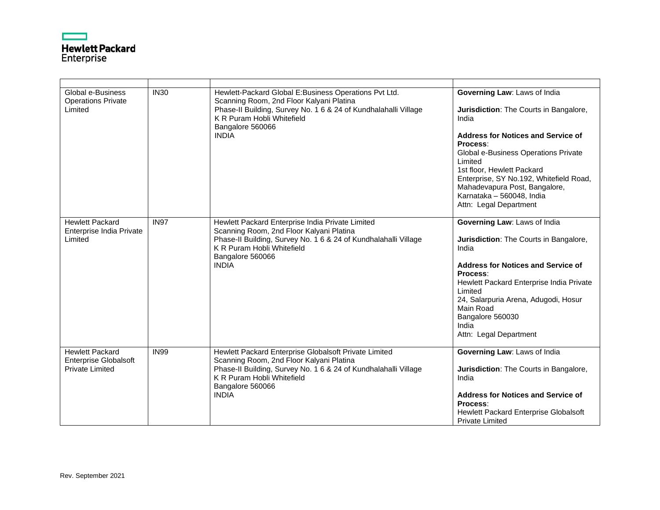

| Global e-Business<br><b>Operations Private</b><br>Limited                        | <b>IN30</b> | Hewlett-Packard Global E:Business Operations Pvt Ltd.<br>Scanning Room, 2nd Floor Kalyani Platina<br>Phase-II Building, Survey No. 1 6 & 24 of Kundhalahalli Village<br>K R Puram Hobli Whitefield<br>Bangalore 560066<br><b>INDIA</b> | Governing Law: Laws of India<br>Jurisdiction: The Courts in Bangalore,<br>India<br><b>Address for Notices and Service of</b><br>Process:<br>Global e-Business Operations Private<br>Limited<br>1st floor, Hewlett Packard<br>Enterprise, SY No.192, Whitefield Road,<br>Mahadevapura Post, Bangalore,<br>Karnataka - 560048, India<br>Attn: Legal Department |
|----------------------------------------------------------------------------------|-------------|----------------------------------------------------------------------------------------------------------------------------------------------------------------------------------------------------------------------------------------|--------------------------------------------------------------------------------------------------------------------------------------------------------------------------------------------------------------------------------------------------------------------------------------------------------------------------------------------------------------|
| <b>Hewlett Packard</b><br>Enterprise India Private<br>Limited                    | <b>IN97</b> | Hewlett Packard Enterprise India Private Limited<br>Scanning Room, 2nd Floor Kalyani Platina<br>Phase-II Building, Survey No. 1 6 & 24 of Kundhalahalli Village<br>K R Puram Hobli Whitefield<br>Bangalore 560066<br><b>INDIA</b>      | Governing Law: Laws of India<br>Jurisdiction: The Courts in Bangalore,<br>India<br><b>Address for Notices and Service of</b><br>Process:<br>Hewlett Packard Enterprise India Private<br>Limited<br>24, Salarpuria Arena, Adugodi, Hosur<br>Main Road<br>Bangalore 560030<br>India<br>Attn: Legal Department                                                  |
| <b>Hewlett Packard</b><br><b>Enterprise Globalsoft</b><br><b>Private Limited</b> | <b>IN99</b> | Hewlett Packard Enterprise Globalsoft Private Limited<br>Scanning Room, 2nd Floor Kalyani Platina<br>Phase-II Building, Survey No. 1 6 & 24 of Kundhalahalli Village<br>K R Puram Hobli Whitefield<br>Bangalore 560066<br><b>INDIA</b> | Governing Law: Laws of India<br>Jurisdiction: The Courts in Bangalore,<br>India<br><b>Address for Notices and Service of</b><br>Process:<br>Hewlett Packard Enterprise Globalsoft<br><b>Private Limited</b>                                                                                                                                                  |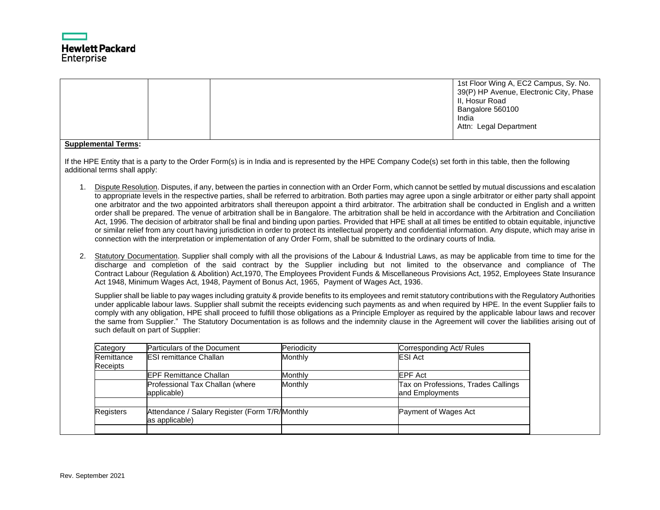

|                      |                               |                                                                                                                                                                                                                                                                                                                                                                                                                                                                                                                                                                                                                                                                                                                                                                                                                                                                                                                                                                                                                                                                                                                                                                                                                                                                                        |                |                          | 1st Floor Wing A, EC2 Campus, Sy. No.<br>39(P) HP Avenue, Electronic City, Phase<br>II, Hosur Road<br>Bangalore 560100<br>India<br>Attn: Legal Department |  |
|----------------------|-------------------------------|----------------------------------------------------------------------------------------------------------------------------------------------------------------------------------------------------------------------------------------------------------------------------------------------------------------------------------------------------------------------------------------------------------------------------------------------------------------------------------------------------------------------------------------------------------------------------------------------------------------------------------------------------------------------------------------------------------------------------------------------------------------------------------------------------------------------------------------------------------------------------------------------------------------------------------------------------------------------------------------------------------------------------------------------------------------------------------------------------------------------------------------------------------------------------------------------------------------------------------------------------------------------------------------|----------------|--------------------------|-----------------------------------------------------------------------------------------------------------------------------------------------------------|--|
|                      | <b>Supplemental Terms:</b>    |                                                                                                                                                                                                                                                                                                                                                                                                                                                                                                                                                                                                                                                                                                                                                                                                                                                                                                                                                                                                                                                                                                                                                                                                                                                                                        |                |                          |                                                                                                                                                           |  |
|                      | additional terms shall apply: | If the HPE Entity that is a party to the Order Form(s) is in India and is represented by the HPE Company Code(s) set forth in this table, then the following                                                                                                                                                                                                                                                                                                                                                                                                                                                                                                                                                                                                                                                                                                                                                                                                                                                                                                                                                                                                                                                                                                                           |                |                          |                                                                                                                                                           |  |
| 1 <sup>1</sup><br>2. |                               | Dispute Resolution. Disputes, if any, between the parties in connection with an Order Form, which cannot be settled by mutual discussions and escalation<br>to appropriate levels in the respective parties, shall be referred to arbitration. Both parties may agree upon a single arbitrator or either party shall appoint<br>one arbitrator and the two appointed arbitrators shall thereupon appoint a third arbitrator. The arbitration shall be conducted in English and a written<br>order shall be prepared. The venue of arbitration shall be in Bangalore. The arbitration shall be held in accordance with the Arbitration and Conciliation<br>Act, 1996. The decision of arbitrator shall be final and binding upon parties. Provided that HPE shall at all times be entitled to obtain equitable, injunctive<br>or similar relief from any court having jurisdiction in order to protect its intellectual property and confidential information. Any dispute, which may arise in<br>connection with the interpretation or implementation of any Order Form, shall be submitted to the ordinary courts of India.<br>Statutory Documentation. Supplier shall comply with all the provisions of the Labour & Industrial Laws, as may be applicable from time to time for the |                |                          |                                                                                                                                                           |  |
|                      |                               | discharge and completion of the said contract by the Supplier including but not limited to the observance and compliance of The<br>Contract Labour (Regulation & Abolition) Act, 1970, The Employees Provident Funds & Miscellaneous Provisions Act, 1952, Employees State Insurance<br>Act 1948, Minimum Wages Act, 1948, Payment of Bonus Act, 1965, Payment of Wages Act, 1936.                                                                                                                                                                                                                                                                                                                                                                                                                                                                                                                                                                                                                                                                                                                                                                                                                                                                                                     |                |                          |                                                                                                                                                           |  |
|                      |                               | Supplier shall be liable to pay wages including gratuity & provide benefits to its employees and remit statutory contributions with the Regulatory Authorities<br>under applicable labour laws. Supplier shall submit the receipts evidencing such payments as and when required by HPE. In the event Supplier fails to<br>comply with any obligation, HPE shall proceed to fulfill those obligations as a Principle Employer as required by the applicable labour laws and recover<br>the same from Supplier." The Statutory Documentation is as follows and the indemnity clause in the Agreement will cover the liabilities arising out of<br>such default on part of Supplier:                                                                                                                                                                                                                                                                                                                                                                                                                                                                                                                                                                                                     |                |                          |                                                                                                                                                           |  |
|                      | Category                      | Particulars of the Document                                                                                                                                                                                                                                                                                                                                                                                                                                                                                                                                                                                                                                                                                                                                                                                                                                                                                                                                                                                                                                                                                                                                                                                                                                                            | Periodicity    | Corresponding Act/ Rules |                                                                                                                                                           |  |
|                      | Remittance<br>Receipts        | <b>ESI remittance Challan</b>                                                                                                                                                                                                                                                                                                                                                                                                                                                                                                                                                                                                                                                                                                                                                                                                                                                                                                                                                                                                                                                                                                                                                                                                                                                          | <b>Monthly</b> | <b>ESI Act</b>           |                                                                                                                                                           |  |
|                      |                               | <b>EPF Remittance Challan</b>                                                                                                                                                                                                                                                                                                                                                                                                                                                                                                                                                                                                                                                                                                                                                                                                                                                                                                                                                                                                                                                                                                                                                                                                                                                          | Monthly        | EPF Act                  |                                                                                                                                                           |  |
|                      |                               | Professional Tax Challan (where<br>applicable)                                                                                                                                                                                                                                                                                                                                                                                                                                                                                                                                                                                                                                                                                                                                                                                                                                                                                                                                                                                                                                                                                                                                                                                                                                         | Monthly        | and Employments          | Tax on Professions, Trades Callings                                                                                                                       |  |
|                      |                               |                                                                                                                                                                                                                                                                                                                                                                                                                                                                                                                                                                                                                                                                                                                                                                                                                                                                                                                                                                                                                                                                                                                                                                                                                                                                                        |                |                          |                                                                                                                                                           |  |
|                      | Registers                     | Attendance / Salary Register (Form T/R/Monthly<br>as applicable)                                                                                                                                                                                                                                                                                                                                                                                                                                                                                                                                                                                                                                                                                                                                                                                                                                                                                                                                                                                                                                                                                                                                                                                                                       |                | Payment of Wages Act     |                                                                                                                                                           |  |
|                      |                               |                                                                                                                                                                                                                                                                                                                                                                                                                                                                                                                                                                                                                                                                                                                                                                                                                                                                                                                                                                                                                                                                                                                                                                                                                                                                                        |                |                          |                                                                                                                                                           |  |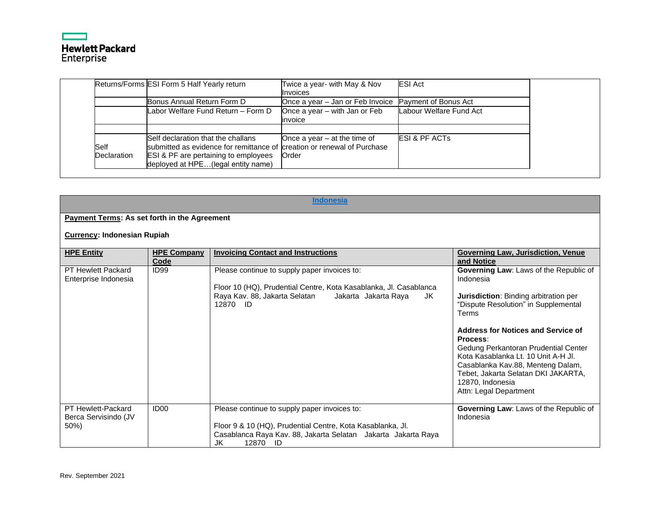# ┍ **Hewlett Packard**<br>Enterprise

|                            | Returns/Forms ESI Form 5 Half Yearly return                                                                                                                                                            | Twice a year- with May & Nov             | <b>ESI Act</b>           |
|----------------------------|--------------------------------------------------------------------------------------------------------------------------------------------------------------------------------------------------------|------------------------------------------|--------------------------|
|                            |                                                                                                                                                                                                        | Invoices                                 |                          |
|                            | Bonus Annual Return Form D                                                                                                                                                                             | Once a year - Jan or Feb Invoice         | Payment of Bonus Act     |
|                            | Labor Welfare Fund Return – Form D                                                                                                                                                                     | Once a year – with Jan or Feb<br>invoice | Labour Welfare Fund Act  |
|                            |                                                                                                                                                                                                        |                                          |                          |
| <b>Self</b><br>Declaration | Self declaration that the challans<br>submitted as evidence for remittance of creation or renewal of Purchase<br><b>ESI &amp; PF are pertaining to employees</b><br>deployed at HPE(legal entity name) | Once a year $-$ at the time of<br>Order  | <b>ESI &amp; PF ACTS</b> |

# **[Indonesia](#page-0-22)**

# <span id="page-22-0"></span>**Payment Terms: As set forth in the Agreement**

**Currency: Indonesian Rupiah**

| <b>HPE Entity</b>                                        | <b>HPE Company</b> | <b>Invoicing Contact and Instructions</b>                                                                                                                                                     | Governing Law, Jurisdiction, Venue                                                                                                                                                                                                                             |
|----------------------------------------------------------|--------------------|-----------------------------------------------------------------------------------------------------------------------------------------------------------------------------------------------|----------------------------------------------------------------------------------------------------------------------------------------------------------------------------------------------------------------------------------------------------------------|
|                                                          | Code               |                                                                                                                                                                                               | and Notice                                                                                                                                                                                                                                                     |
| <b>PT Hewlett Packard</b><br>Enterprise Indonesia        | ID <sub>99</sub>   | Please continue to supply paper invoices to:<br>Floor 10 (HQ), Prudential Centre, Kota Kasablanka, Jl. Casablanca<br>Raya Kav. 88, Jakarta Selatan<br>Jakarta Jakarta Raya<br>JK<br>12870 ID  | <b>Governing Law: Laws of the Republic of</b><br>Indonesia<br><b>Jurisdiction:</b> Binding arbitration per<br>"Dispute Resolution" in Supplemental                                                                                                             |
|                                                          |                    |                                                                                                                                                                                               | Terms                                                                                                                                                                                                                                                          |
|                                                          |                    |                                                                                                                                                                                               | <b>Address for Notices and Service of</b><br>Process:<br>Gedung Perkantoran Prudential Center<br>Kota Kasablanka Lt. 10 Unit A-H Jl.<br>Casablanka Kav.88, Menteng Dalam,<br>Tebet, Jakarta Selatan DKI JAKARTA,<br>12870, Indonesia<br>Attn: Legal Department |
| <b>PT Hewlett-Packard</b><br>Berca Servisindo (JV<br>50% | ID <sub>00</sub>   | Please continue to supply paper invoices to:<br>Floor 9 & 10 (HQ), Prudential Centre, Kota Kasablanka, Jl.<br>Casablanca Raya Kav. 88, Jakarta Selatan Jakarta Jakarta Raya<br>12870 ID<br>JK | <b>Governing Law: Laws of the Republic of</b><br>Indonesia                                                                                                                                                                                                     |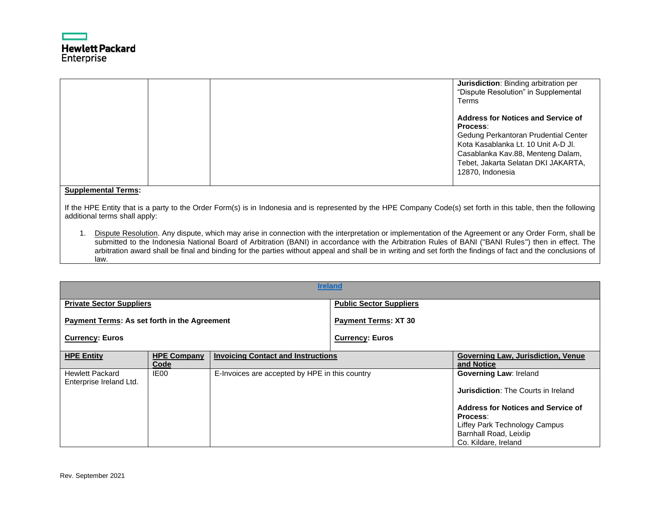

| <b>Jurisdiction:</b> Binding arbitration per<br>"Dispute Resolution" in Supplemental<br>Terms                                                                                                                                        |
|--------------------------------------------------------------------------------------------------------------------------------------------------------------------------------------------------------------------------------------|
| <b>Address for Notices and Service of</b><br>Process:<br>Gedung Perkantoran Prudential Center<br>Kota Kasablanka Lt. 10 Unit A-D Jl.<br>Casablanka Kav.88, Menteng Dalam,<br>Tebet, Jakarta Selatan DKI JAKARTA,<br>12870, Indonesia |

If the HPE Entity that is a party to the Order Form(s) is in Indonesia and is represented by the HPE Company Code(s) set forth in this table, then the following additional terms shall apply:

1. Dispute Resolution. Any dispute, which may arise in connection with the interpretation or implementation of the Agreement or any Order Form, shall be submitted to the Indonesia National Board of Arbitration (BANI) in accordance with the Arbitration Rules of BANI ("BANI Rules") then in effect. The arbitration award shall be final and binding for the parties without appeal and shall be in writing and set forth the findings of fact and the conclusions of law.

<span id="page-23-0"></span>

| <b>Ireland</b>                                      |                            |                                                |                                |                                                         |  |  |
|-----------------------------------------------------|----------------------------|------------------------------------------------|--------------------------------|---------------------------------------------------------|--|--|
| <b>Private Sector Suppliers</b>                     |                            |                                                | <b>Public Sector Suppliers</b> |                                                         |  |  |
| <b>Payment Terms: As set forth in the Agreement</b> |                            |                                                | <b>Payment Terms: XT 30</b>    |                                                         |  |  |
| <b>Currency: Euros</b>                              |                            |                                                | <b>Currency: Euros</b>         |                                                         |  |  |
| <b>HPE Entity</b>                                   | <b>HPE Company</b><br>Code | <b>Invoicing Contact and Instructions</b>      |                                | <b>Governing Law, Jurisdiction, Venue</b><br>and Notice |  |  |
| <b>Hewlett Packard</b><br>Enterprise Ireland Ltd.   | IE <sub>00</sub>           | E-Invoices are accepted by HPE in this country |                                | <b>Governing Law: Ireland</b>                           |  |  |
|                                                     |                            |                                                |                                | <b>Jurisdiction:</b> The Courts in Ireland              |  |  |
|                                                     |                            |                                                |                                | Address for Notices and Service of<br>Process:          |  |  |
|                                                     |                            |                                                |                                | Liffey Park Technology Campus                           |  |  |
|                                                     |                            |                                                |                                | Barnhall Road, Leixlip<br>Co. Kildare, Ireland          |  |  |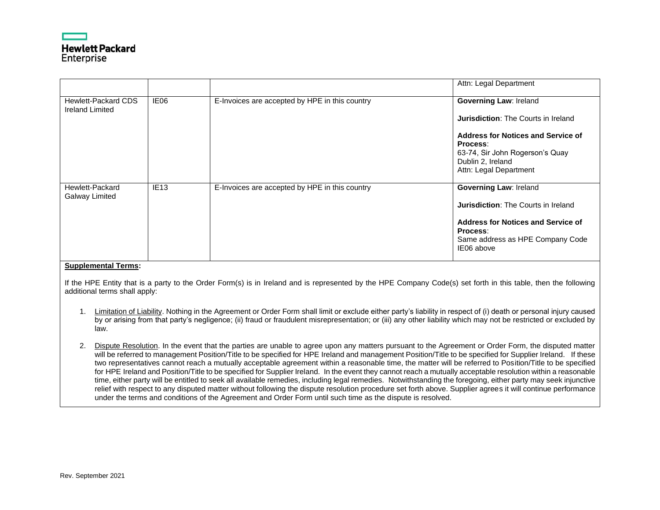

|                                                      |                  |                                                | Attn: Legal Department                                                                                                                                                                 |
|------------------------------------------------------|------------------|------------------------------------------------|----------------------------------------------------------------------------------------------------------------------------------------------------------------------------------------|
| <b>Hewlett-Packard CDS</b><br><b>Ireland Limited</b> | IE06             | E-Invoices are accepted by HPE in this country | <b>Governing Law: Ireland</b>                                                                                                                                                          |
|                                                      |                  |                                                | <b>Jurisdiction: The Courts in Ireland</b>                                                                                                                                             |
|                                                      |                  |                                                | Address for Notices and Service of<br>Process:<br>63-74, Sir John Rogerson's Quay<br>Dublin 2, Ireland<br>Attn: Legal Department                                                       |
| Hewlett-Packard<br><b>Galway Limited</b>             | IE <sub>13</sub> | E-Invoices are accepted by HPE in this country | <b>Governing Law: Ireland</b><br><b>Jurisdiction: The Courts in Ireland</b><br><b>Address for Notices and Service of</b><br>Process:<br>Same address as HPE Company Code<br>IE06 above |

If the HPE Entity that is a party to the Order Form(s) is in Ireland and is represented by the HPE Company Code(s) set forth in this table, then the following additional terms shall apply:

- 1. Limitation of Liability. Nothing in the Agreement or Order Form shall limit or exclude either party's liability in respect of (i) death or personal injury caused by or arising from that party's negligence; (ii) fraud or fraudulent misrepresentation; or (iii) any other liability which may not be restricted or excluded by law.
- 2. Dispute Resolution. In the event that the parties are unable to agree upon any matters pursuant to the Agreement or Order Form, the disputed matter will be referred to management Position/Title to be specified for HPE Ireland and management Position/Title to be specified for Supplier Ireland. If these two representatives cannot reach a mutually acceptable agreement within a reasonable time, the matter will be referred to Position/Title to be specified for HPE Ireland and Position/Title to be specified for Supplier Ireland. In the event they cannot reach a mutually acceptable resolution within a reasonable time, either party will be entitled to seek all available remedies, including legal remedies. Notwithstanding the foregoing, either party may seek injunctive relief with respect to any disputed matter without following the dispute resolution procedure set forth above. Supplier agrees it will continue performance under the terms and conditions of the Agreement and Order Form until such time as the dispute is resolved.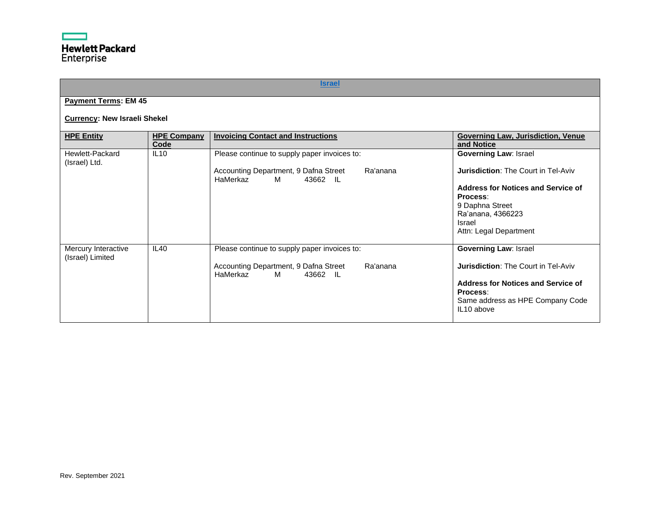# **[Israel](#page-0-24)**

# <span id="page-25-0"></span>**Payment Terms: EM 45**

# **Currency: New Israeli Shekel**

| <b>HPE Entity</b>                       | <b>HPE Company</b><br>Code | <b>Invoicing Contact and Instructions</b>                                      | Governing Law, Jurisdiction, Venue<br>and Notice |
|-----------------------------------------|----------------------------|--------------------------------------------------------------------------------|--------------------------------------------------|
| Hewlett-Packard<br>(Israel) Ltd.        | IL10                       | Please continue to supply paper invoices to:                                   | <b>Governing Law: Israel</b>                     |
|                                         |                            | Ra'anana<br>Accounting Department, 9 Dafna Street<br>HaMerkaz<br>M<br>43662 IL | <b>Jurisdiction: The Court in Tel-Aviv</b>       |
|                                         |                            |                                                                                | Address for Notices and Service of<br>Process:   |
|                                         |                            |                                                                                | 9 Daphna Street                                  |
|                                         |                            |                                                                                | Ra'anana, 4366223<br>Israel                      |
|                                         |                            |                                                                                | Attn: Legal Department                           |
| Mercury Interactive<br>(Israel) Limited | IL40                       | Please continue to supply paper invoices to:                                   | <b>Governing Law: Israel</b>                     |
|                                         |                            | Accounting Department, 9 Dafna Street<br>Ra'anana<br>HaMerkaz<br>м<br>43662 IL | <b>Jurisdiction: The Court in Tel-Aviv</b>       |
|                                         |                            |                                                                                | Address for Notices and Service of               |
|                                         |                            |                                                                                | Process:<br>Same address as HPE Company Code     |
|                                         |                            |                                                                                | IL10 above                                       |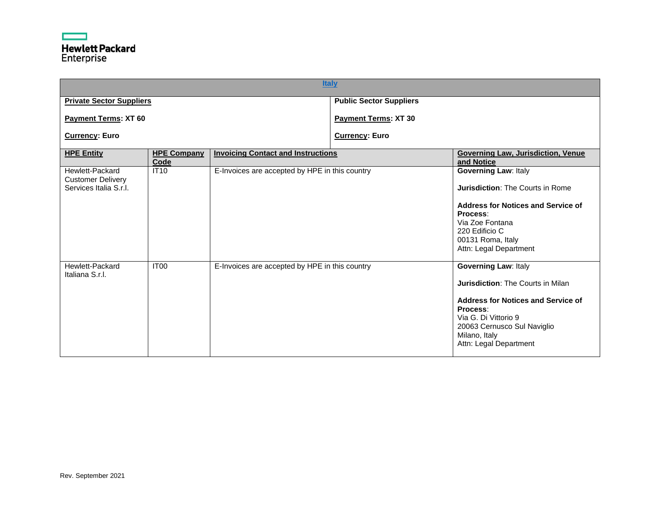<span id="page-26-0"></span>

| <b>Italy</b>                                                          |                            |                                                |                                |                                                                                                                                                                                                                      |  |  |
|-----------------------------------------------------------------------|----------------------------|------------------------------------------------|--------------------------------|----------------------------------------------------------------------------------------------------------------------------------------------------------------------------------------------------------------------|--|--|
| <b>Private Sector Suppliers</b>                                       |                            |                                                | <b>Public Sector Suppliers</b> |                                                                                                                                                                                                                      |  |  |
| <b>Payment Terms: XT 60</b>                                           |                            |                                                | <b>Payment Terms: XT 30</b>    |                                                                                                                                                                                                                      |  |  |
| <b>Currency: Euro</b>                                                 |                            |                                                | <b>Currency: Euro</b>          |                                                                                                                                                                                                                      |  |  |
| <b>HPE Entity</b>                                                     | <b>HPE Company</b><br>Code | <b>Invoicing Contact and Instructions</b>      |                                | Governing Law, Jurisdiction, Venue<br>and Notice                                                                                                                                                                     |  |  |
| Hewlett-Packard<br><b>Customer Delivery</b><br>Services Italia S.r.I. | <b>IT10</b>                | E-Invoices are accepted by HPE in this country |                                | <b>Governing Law: Italy</b><br><b>Jurisdiction: The Courts in Rome</b><br><b>Address for Notices and Service of</b><br>Process:<br>Via Zoe Fontana<br>220 Edificio C<br>00131 Roma, Italy<br>Attn: Legal Department  |  |  |
| Hewlett-Packard<br>Italiana S.r.I.                                    | IT <sub>00</sub>           | E-Invoices are accepted by HPE in this country |                                | <b>Governing Law: Italy</b><br>Jurisdiction: The Courts in Milan<br>Address for Notices and Service of<br>Process:<br>Via G. Di Vittorio 9<br>20063 Cernusco Sul Naviglio<br>Milano, Italy<br>Attn: Legal Department |  |  |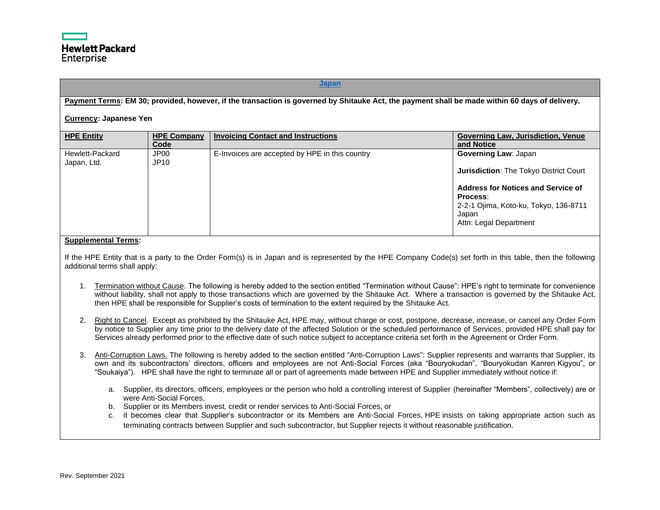#### **[Japan](#page-0-26)**

# <span id="page-27-0"></span>**Payment Terms: EM 30; provided, however, if the transaction is governed by Shitauke Act, the payment shall be made within 60 days of delivery.**

#### **Currency: Japanese Yen**

| <b>HPE Entity</b>              | <b>HPE Company</b><br>Code      | <b>Invoicing Contact and Instructions</b>      | <b>Governing Law, Jurisdiction, Venue</b><br>and Notice                                                                                                                                                           |
|--------------------------------|---------------------------------|------------------------------------------------|-------------------------------------------------------------------------------------------------------------------------------------------------------------------------------------------------------------------|
| Hewlett-Packard<br>Japan, Ltd. | JP <sub>00</sub><br><b>JP10</b> | E-Invoices are accepted by HPE in this country | <b>Governing Law: Japan</b><br><b>Jurisdiction: The Tokyo District Court</b><br><b>Address for Notices and Service of</b><br>Process:<br>2-2-1 Ojima, Koto-ku, Tokyo, 136-8711<br>Japan<br>Attn: Legal Department |

#### **Supplemental Terms:**

If the HPE Entity that is a party to the Order Form(s) is in Japan and is represented by the HPE Company Code(s) set forth in this table, then the following additional terms shall apply:

- 1. Termination without Cause. The following is hereby added to the section entitled "Termination without Cause": HPE's right to terminate for convenience without liability, shall not apply to those transactions which are governed by the Shitauke Act. Where a transaction is governed by the Shitauke Act, then HPE shall be responsible for Supplier's costs of termination to the extent required by the Shitauke Act.
- 2. Right to Cancel. Except as prohibited by the Shitauke Act, HPE may, without charge or cost, postpone, decrease, increase, or cancel any Order Form by notice to Supplier any time prior to the delivery date of the affected Solution or the scheduled performance of Services, provided HPE shall pay for Services already performed prior to the effective date of such notice subject to acceptance criteria set forth in the Agreement or Order Form.
- 3. Anti-Corruption Laws. The following is hereby added to the section entitled "Anti-Corruption Laws": Supplier represents and warrants that Supplier, its own and its subcontractors' directors, officers and employees are not Anti-Social Forces (aka "Bouryokudan", "Bouryokudan Kanren Kigyou", or "Soukaiya"). HPE shall have the right to terminate all or part of agreements made between HPE and Supplier immediately without notice if:
	- a. Supplier, its directors, officers, employees or the person who hold a controlling interest of Supplier (hereinafter "Members", collectively) are or were Anti-Social Forces,
	- b. Supplier or its Members invest, credit or render services to Anti-Social Forces, or
	- c. it becomes clear that Supplier's subcontractor or its Members are Anti-Social Forces, HPE insists on taking appropriate action such as terminating contracts between Supplier and such subcontractor, but Supplier rejects it without reasonable justification.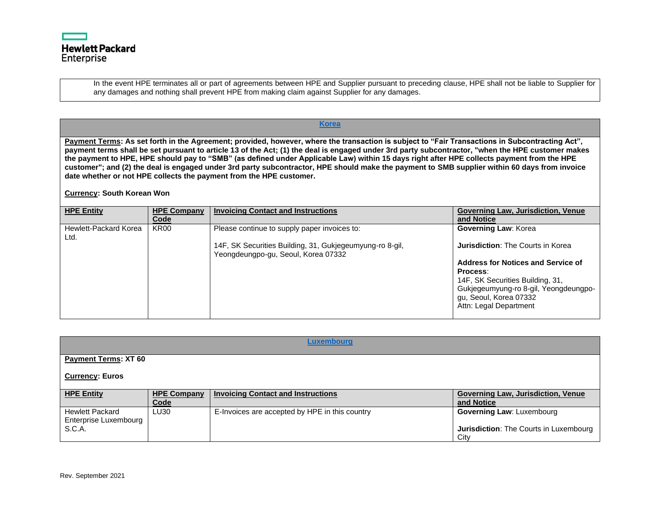

In the event HPE terminates all or part of agreements between HPE and Supplier pursuant to preceding clause, HPE shall not be liable to Supplier for any damages and nothing shall prevent HPE from making claim against Supplier for any damages.

<span id="page-28-0"></span>**Payment Terms: As set forth in the Agreement; provided, however, where the transaction is subject to "Fair Transactions in Subcontracting Act", payment terms shall be set pursuant to article 13 of the Act; (1) the deal is engaged under 3rd party subcontractor, "when the HPE customer makes the payment to HPE, HPE should pay to "SMB" (as defined under Applicable Law) within 15 days right after HPE collects payment from the HPE customer"; and (2) the deal is engaged under 3rd party subcontractor, HPE should make the payment to SMB supplier within 60 days from invoice date whether or not HPE collects the payment from the HPE customer.**

**[Korea](#page-0-27)**

# **Currency: South Korean Won**

| <b>HPE Entity</b>             | <b>HPE Company</b><br>Code | <b>Invoicing Contact and Instructions</b>                                                       | <b>Governing Law, Jurisdiction, Venue</b><br>and Notice                                   |
|-------------------------------|----------------------------|-------------------------------------------------------------------------------------------------|-------------------------------------------------------------------------------------------|
| Hewlett-Packard Korea<br>Ltd. | <b>KR00</b>                | Please continue to supply paper invoices to:                                                    | <b>Governing Law: Korea</b>                                                               |
|                               |                            | 14F, SK Securities Building, 31, Gukjegeumyung-ro 8-gil,<br>Yeongdeungpo-gu, Seoul, Korea 07332 | <b>Jurisdiction: The Courts in Korea</b>                                                  |
|                               |                            |                                                                                                 | Address for Notices and Service of<br>Process:                                            |
|                               |                            |                                                                                                 | 14F, SK Securities Building, 31,                                                          |
|                               |                            |                                                                                                 | Gukjegeumyung-ro 8-gil, Yeongdeungpo-<br>gu, Seoul, Korea 07332<br>Attn: Legal Department |
|                               |                            |                                                                                                 |                                                                                           |

<span id="page-28-1"></span>

| Luxembourg                                                |                            |                                                |                                                                                           |  |  |  |
|-----------------------------------------------------------|----------------------------|------------------------------------------------|-------------------------------------------------------------------------------------------|--|--|--|
| <b>Payment Terms: XT 60</b>                               |                            |                                                |                                                                                           |  |  |  |
| <b>Currency: Euros</b>                                    |                            |                                                |                                                                                           |  |  |  |
| <b>HPE Entity</b>                                         | <b>HPE Company</b><br>Code | <b>Invoicing Contact and Instructions</b>      | <b>Governing Law, Jurisdiction, Venue</b><br>and Notice                                   |  |  |  |
| <b>Hewlett Packard</b><br>Enterprise Luxembourg<br>S.C.A. | LU30                       | E-Invoices are accepted by HPE in this country | <b>Governing Law: Luxembourg</b><br><b>Jurisdiction:</b> The Courts in Luxembourg<br>City |  |  |  |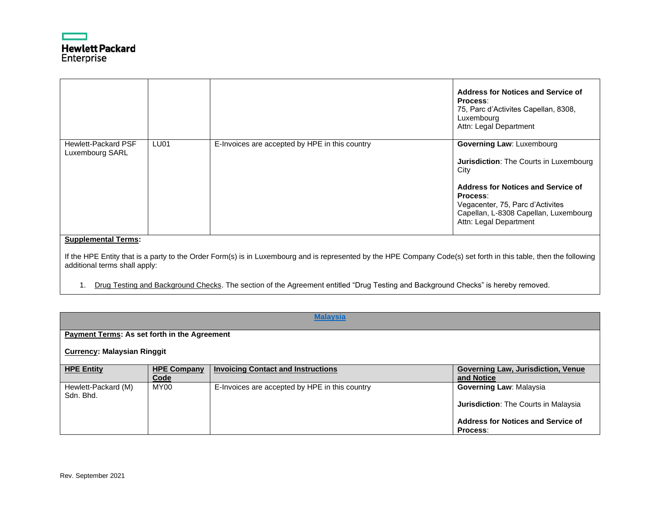

|                                                                                                                                                                                                                                  |                  |                                                | Address for Notices and Service of<br>Process:<br>75, Parc d'Activites Capellan, 8308,<br>Luxembourg<br>Attn: Legal Department                        |  |
|----------------------------------------------------------------------------------------------------------------------------------------------------------------------------------------------------------------------------------|------------------|------------------------------------------------|-------------------------------------------------------------------------------------------------------------------------------------------------------|--|
| <b>Hewlett-Packard PSF</b><br>Luxembourg SARL                                                                                                                                                                                    | LU <sub>01</sub> | E-Invoices are accepted by HPE in this country | Governing Law: Luxembourg<br><b>Jurisdiction:</b> The Courts in Luxembourg<br>City                                                                    |  |
|                                                                                                                                                                                                                                  |                  |                                                | Address for Notices and Service of<br>Process:<br>Vegacenter, 75, Parc d'Activites<br>Capellan, L-8308 Capellan, Luxembourg<br>Attn: Legal Department |  |
| <b>Supplemental Terms:</b><br>If the HPE Entity that is a party to the Order Form(s) is in Luxembourg and is represented by the HPE Company Code(s) set forth in this table, then the following<br>additional terms shall apply: |                  |                                                |                                                                                                                                                       |  |

1. Drug Testing and Background Checks. The section of the Agreement entitled "Drug Testing and Background Checks" is hereby removed.

<span id="page-29-0"></span>

|                                              |                    | <b>Malaysia</b>                                |                                             |  |  |
|----------------------------------------------|--------------------|------------------------------------------------|---------------------------------------------|--|--|
| Payment Terms: As set forth in the Agreement |                    |                                                |                                             |  |  |
|                                              |                    |                                                |                                             |  |  |
| <b>Currency: Malaysian Ringgit</b>           |                    |                                                |                                             |  |  |
| <b>HPE Entity</b>                            | <b>HPE Company</b> | <b>Invoicing Contact and Instructions</b>      | <b>Governing Law, Jurisdiction, Venue</b>   |  |  |
|                                              | Code               |                                                | and Notice                                  |  |  |
| Hewlett-Packard (M)<br>Sdn. Bhd.             | <b>MY00</b>        | E-Invoices are accepted by HPE in this country | <b>Governing Law: Malaysia</b>              |  |  |
|                                              |                    |                                                | <b>Jurisdiction:</b> The Courts in Malaysia |  |  |
|                                              |                    |                                                | <b>Address for Notices and Service of</b>   |  |  |
|                                              |                    |                                                | <b>Process:</b>                             |  |  |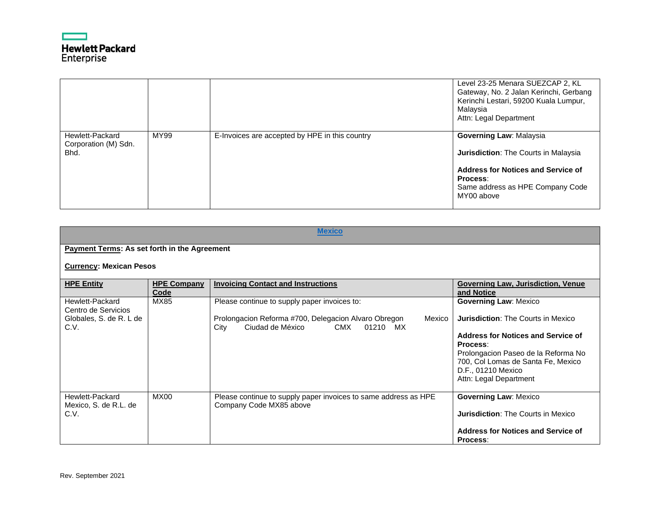

|                                                 |      |                                                | Level 23-25 Menara SUEZCAP 2, KL<br>Gateway, No. 2 Jalan Kerinchi, Gerbang<br>Kerinchi Lestari, 59200 Kuala Lumpur,<br>Malaysia<br>Attn: Legal Department                  |
|-------------------------------------------------|------|------------------------------------------------|----------------------------------------------------------------------------------------------------------------------------------------------------------------------------|
| Hewlett-Packard<br>Corporation (M) Sdn.<br>Bhd. | MY99 | E-Invoices are accepted by HPE in this country | Governing Law: Malaysia<br>Jurisdiction: The Courts in Malaysia<br><b>Address for Notices and Service of</b><br>Process:<br>Same address as HPE Company Code<br>MY00 above |

<span id="page-30-0"></span>

|                                                  |                            | <b>Mexico</b>                                                                                              |                                                                                                                                                                                                                          |
|--------------------------------------------------|----------------------------|------------------------------------------------------------------------------------------------------------|--------------------------------------------------------------------------------------------------------------------------------------------------------------------------------------------------------------------------|
| Payment Terms: As set forth in the Agreement     |                            |                                                                                                            |                                                                                                                                                                                                                          |
| <b>Currency: Mexican Pesos</b>                   |                            |                                                                                                            |                                                                                                                                                                                                                          |
| <b>HPE Entity</b>                                | <b>HPE Company</b><br>Code | <b>Invoicing Contact and Instructions</b>                                                                  | Governing Law, Jurisdiction, Venue<br>and Notice                                                                                                                                                                         |
| Hewlett-Packard<br>Centro de Servicios           | MX85                       | Please continue to supply paper invoices to:                                                               | <b>Governing Law: Mexico</b>                                                                                                                                                                                             |
| Globales, S. de R. L de<br>C.V.                  |                            | Prolongacion Reforma #700, Delegacion Alvaro Obregon<br>Mexico<br>Ciudad de México<br>CMX 01210 MX<br>City | <b>Jurisdiction: The Courts in Mexico</b><br>Address for Notices and Service of<br>Process:<br>Prolongacion Paseo de la Reforma No<br>700, Col Lomas de Santa Fe, Mexico<br>D.F., 01210 Mexico<br>Attn: Legal Department |
| Hewlett-Packard<br>Mexico, S. de R.L. de<br>C.V. | <b>MX00</b>                | Please continue to supply paper invoices to same address as HPE<br>Company Code MX85 above                 | <b>Governing Law: Mexico</b><br><b>Jurisdiction: The Courts in Mexico</b><br>Address for Notices and Service of<br>Process:                                                                                              |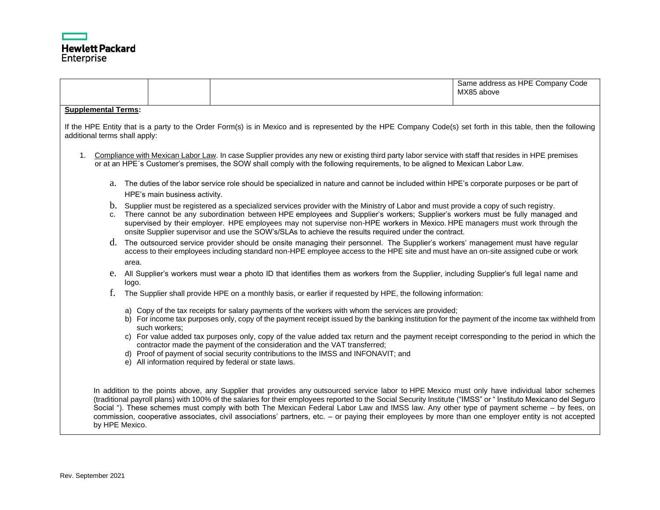

|                               |                                                                                                                                                                                                                                                                                                                                                                                                                                                                                                                   |                                                                                                                                                                                                                           |  |  |  |  |  | Same address as HPE Company Code<br>MX85 above                                                                                                                                                                                                                                                                                                                                                                                                                                                                                                                                                                       |
|-------------------------------|-------------------------------------------------------------------------------------------------------------------------------------------------------------------------------------------------------------------------------------------------------------------------------------------------------------------------------------------------------------------------------------------------------------------------------------------------------------------------------------------------------------------|---------------------------------------------------------------------------------------------------------------------------------------------------------------------------------------------------------------------------|--|--|--|--|--|----------------------------------------------------------------------------------------------------------------------------------------------------------------------------------------------------------------------------------------------------------------------------------------------------------------------------------------------------------------------------------------------------------------------------------------------------------------------------------------------------------------------------------------------------------------------------------------------------------------------|
|                               | <b>Supplemental Terms:</b>                                                                                                                                                                                                                                                                                                                                                                                                                                                                                        |                                                                                                                                                                                                                           |  |  |  |  |  |                                                                                                                                                                                                                                                                                                                                                                                                                                                                                                                                                                                                                      |
| additional terms shall apply: |                                                                                                                                                                                                                                                                                                                                                                                                                                                                                                                   |                                                                                                                                                                                                                           |  |  |  |  |  | If the HPE Entity that is a party to the Order Form(s) is in Mexico and is represented by the HPE Company Code(s) set forth in this table, then the following                                                                                                                                                                                                                                                                                                                                                                                                                                                        |
| $1_{-}$                       |                                                                                                                                                                                                                                                                                                                                                                                                                                                                                                                   |                                                                                                                                                                                                                           |  |  |  |  |  | Compliance with Mexican Labor Law. In case Supplier provides any new or existing third party labor service with staff that resides in HPE premises<br>or at an HPE's Customer's premises, the SOW shall comply with the following requirements, to be aligned to Mexican Labor Law.                                                                                                                                                                                                                                                                                                                                  |
|                               |                                                                                                                                                                                                                                                                                                                                                                                                                                                                                                                   | HPE's main business activity.                                                                                                                                                                                             |  |  |  |  |  | a. The duties of the labor service role should be specialized in nature and cannot be included within HPE's corporate purposes or be part of                                                                                                                                                                                                                                                                                                                                                                                                                                                                         |
|                               | b. Supplier must be registered as a specialized services provider with the Ministry of Labor and must provide a copy of such registry.<br>c. There cannot be any subordination between HPE employees and Supplier's workers; Supplier's workers must be fully managed and<br>supervised by their employer. HPE employees may not supervise non-HPE workers in Mexico. HPE managers must work through the<br>onsite Supplier supervisor and use the SOW's/SLAs to achieve the results required under the contract. |                                                                                                                                                                                                                           |  |  |  |  |  |                                                                                                                                                                                                                                                                                                                                                                                                                                                                                                                                                                                                                      |
|                               | area.                                                                                                                                                                                                                                                                                                                                                                                                                                                                                                             |                                                                                                                                                                                                                           |  |  |  |  |  | d. The outsourced service provider should be onsite managing their personnel. The Supplier's workers' management must have regular<br>access to their employees including standard non-HPE employee access to the HPE site and must have an on-site assigned cube or work                                                                                                                                                                                                                                                                                                                                            |
|                               | logo.                                                                                                                                                                                                                                                                                                                                                                                                                                                                                                             |                                                                                                                                                                                                                           |  |  |  |  |  | e. All Supplier's workers must wear a photo ID that identifies them as workers from the Supplier, including Supplier's full legal name and                                                                                                                                                                                                                                                                                                                                                                                                                                                                           |
| f.                            |                                                                                                                                                                                                                                                                                                                                                                                                                                                                                                                   | The Supplier shall provide HPE on a monthly basis, or earlier if requested by HPE, the following information:                                                                                                             |  |  |  |  |  |                                                                                                                                                                                                                                                                                                                                                                                                                                                                                                                                                                                                                      |
|                               |                                                                                                                                                                                                                                                                                                                                                                                                                                                                                                                   | a) Copy of the tax receipts for salary payments of the workers with whom the services are provided;<br>such workers;                                                                                                      |  |  |  |  |  | b) For income tax purposes only, copy of the payment receipt issued by the banking institution for the payment of the income tax withheld from                                                                                                                                                                                                                                                                                                                                                                                                                                                                       |
|                               |                                                                                                                                                                                                                                                                                                                                                                                                                                                                                                                   | contractor made the payment of the consideration and the VAT transferred;<br>d) Proof of payment of social security contributions to the IMSS and INFONAVIT; and<br>e) All information required by federal or state laws. |  |  |  |  |  | c) For value added tax purposes only, copy of the value added tax return and the payment receipt corresponding to the period in which the                                                                                                                                                                                                                                                                                                                                                                                                                                                                            |
|                               | by HPE Mexico.                                                                                                                                                                                                                                                                                                                                                                                                                                                                                                    |                                                                                                                                                                                                                           |  |  |  |  |  | In addition to the points above, any Supplier that provides any outsourced service labor to HPE Mexico must only have individual labor schemes<br>(traditional payroll plans) with 100% of the salaries for their employees reported to the Social Security Institute ("IMSS" or " Instituto Mexicano del Seguro<br>Social "). These schemes must comply with both The Mexican Federal Labor Law and IMSS law. Any other type of payment scheme - by fees, on<br>commission, cooperative associates, civil associations' partners, etc. - or paying their employees by more than one employer entity is not accepted |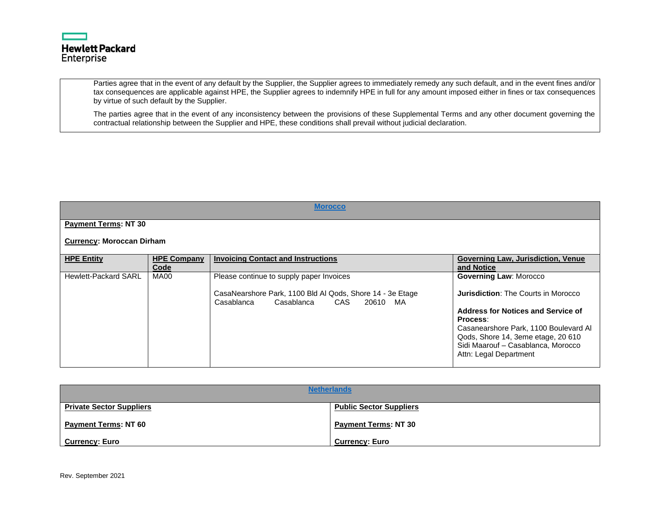

Parties agree that in the event of any default by the Supplier, the Supplier agrees to immediately remedy any such default, and in the event fines and/or tax consequences are applicable against HPE, the Supplier agrees to indemnify HPE in full for any amount imposed either in fines or tax consequences by virtue of such default by the Supplier.

The parties agree that in the event of any inconsistency between the provisions of these Supplemental Terms and any other document governing the contractual relationship between the Supplier and HPE, these conditions shall prevail without judicial declaration.

<span id="page-32-1"></span>

| <b>Morocco</b>                   |                            |                                                                                                                                                      |                                                                                                                                                                                                                                                                              |  |  |  |
|----------------------------------|----------------------------|------------------------------------------------------------------------------------------------------------------------------------------------------|------------------------------------------------------------------------------------------------------------------------------------------------------------------------------------------------------------------------------------------------------------------------------|--|--|--|
| <b>Payment Terms: NT 30</b>      |                            |                                                                                                                                                      |                                                                                                                                                                                                                                                                              |  |  |  |
| <b>Currency: Moroccan Dirham</b> |                            |                                                                                                                                                      |                                                                                                                                                                                                                                                                              |  |  |  |
| <b>HPE Entity</b>                | <b>HPE Company</b><br>Code | <b>Invoicing Contact and Instructions</b>                                                                                                            | <b>Governing Law, Jurisdiction, Venue</b><br>and Notice                                                                                                                                                                                                                      |  |  |  |
| <b>Hewlett-Packard SARL</b>      | <b>MA00</b>                | Please continue to supply paper Invoices<br>CasaNearshore Park, 1100 Bld Al Qods, Shore 14 - 3e Etage<br>CAS<br>Casablanca<br>Casablanca<br>20610 MA | <b>Governing Law: Morocco</b><br><b>Jurisdiction:</b> The Courts in Morocco<br>Address for Notices and Service of<br>Process:<br>Casanearshore Park, 1100 Boulevard Al<br>Qods, Shore 14, 3eme etage, 20 610<br>Sidi Maarouf - Casablanca, Morocco<br>Attn: Legal Department |  |  |  |

<span id="page-32-0"></span>

| <b>Netherlands</b>              |                                |  |  |  |  |
|---------------------------------|--------------------------------|--|--|--|--|
| <b>Private Sector Suppliers</b> | <b>Public Sector Suppliers</b> |  |  |  |  |
| <b>Payment Terms: NT 60</b>     | <b>Payment Terms: NT 30</b>    |  |  |  |  |
| <u>  Currency</u> : Euro        | <b>Currency: Euro</b>          |  |  |  |  |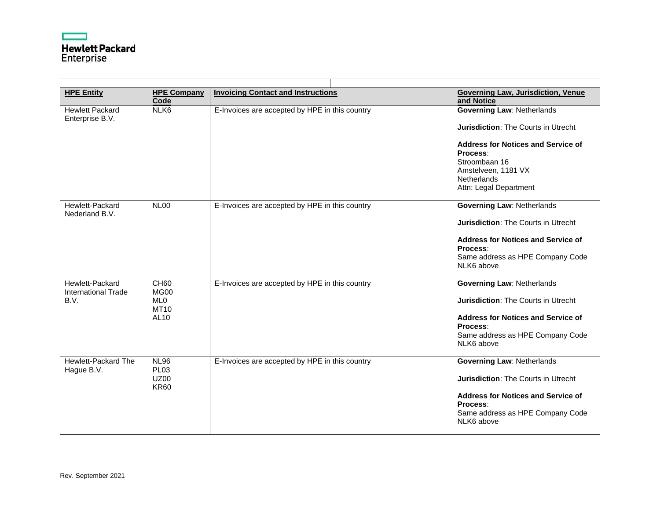

| <b>HPE Entity</b>                                     | <b>HPE Company</b><br>Code                                    | <b>Invoicing Contact and Instructions</b>      | <b>Governing Law, Jurisdiction, Venue</b><br>and Notice                                                                                                                                                                          |
|-------------------------------------------------------|---------------------------------------------------------------|------------------------------------------------|----------------------------------------------------------------------------------------------------------------------------------------------------------------------------------------------------------------------------------|
| <b>Hewlett Packard</b><br>Enterprise B.V.             | NLK6                                                          | E-Invoices are accepted by HPE in this country | <b>Governing Law: Netherlands</b><br><b>Jurisdiction: The Courts in Utrecht</b><br><b>Address for Notices and Service of</b><br>Process:<br>Stroombaan 16<br>Amstelveen, 1181 VX<br><b>Netherlands</b><br>Attn: Legal Department |
| Hewlett-Packard<br>Nederland B.V.                     | <b>NL00</b>                                                   | E-Invoices are accepted by HPE in this country | <b>Governing Law: Netherlands</b><br><b>Jurisdiction: The Courts in Utrecht</b><br><b>Address for Notices and Service of</b><br>Process:<br>Same address as HPE Company Code<br>NLK6 above                                       |
| Hewlett-Packard<br><b>International Trade</b><br>B.V. | CH60<br>MG00<br>ML <sub>0</sub><br>MT10<br>AL10               | E-Invoices are accepted by HPE in this country | <b>Governing Law: Netherlands</b><br><b>Jurisdiction: The Courts in Utrecht</b><br><b>Address for Notices and Service of</b><br>Process:<br>Same address as HPE Company Code<br>NLK6 above                                       |
| Hewlett-Packard The<br>Hague B.V.                     | <b>NL96</b><br>PL <sub>03</sub><br><b>UZ00</b><br><b>KR60</b> | E-Invoices are accepted by HPE in this country | <b>Governing Law: Netherlands</b><br><b>Jurisdiction: The Courts in Utrecht</b><br><b>Address for Notices and Service of</b><br>Process:<br>Same address as HPE Company Code<br>NLK6 above                                       |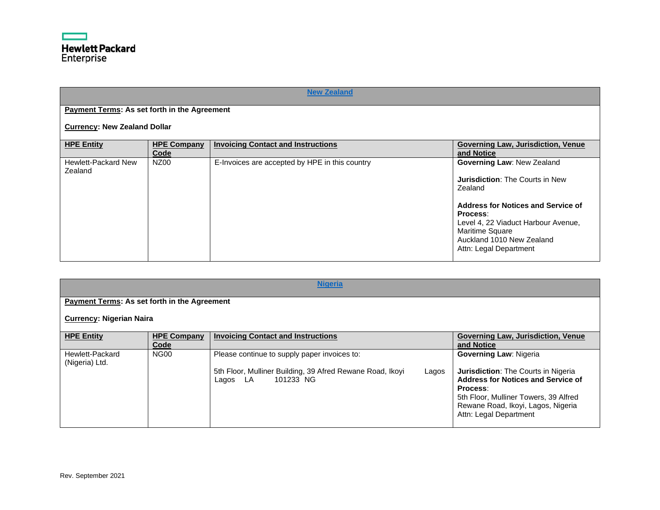

<span id="page-34-0"></span>

|                                                     | <b>New Zealand</b>         |                                                |                                                                                                                                                                                                                                                           |  |  |  |
|-----------------------------------------------------|----------------------------|------------------------------------------------|-----------------------------------------------------------------------------------------------------------------------------------------------------------------------------------------------------------------------------------------------------------|--|--|--|
| <b>Payment Terms: As set forth in the Agreement</b> |                            |                                                |                                                                                                                                                                                                                                                           |  |  |  |
| <b>Currency: New Zealand Dollar</b>                 |                            |                                                |                                                                                                                                                                                                                                                           |  |  |  |
| <b>HPE Entity</b>                                   | <b>HPE Company</b><br>Code | <b>Invoicing Contact and Instructions</b>      | Governing Law, Jurisdiction, Venue<br>and Notice                                                                                                                                                                                                          |  |  |  |
| <b>Hewlett-Packard New</b><br>Zealand               | NZ00                       | E-Invoices are accepted by HPE in this country | <b>Governing Law: New Zealand</b><br><b>Jurisdiction: The Courts in New</b><br>Zealand<br>Address for Notices and Service of<br>Process:<br>Level 4, 22 Viaduct Harbour Avenue,<br>Maritime Square<br>Auckland 1010 New Zealand<br>Attn: Legal Department |  |  |  |

<span id="page-34-1"></span>

| <b>Nigeria</b>                                      |                            |                                                                                                                                          |                                                                                                                                                                                                                                               |
|-----------------------------------------------------|----------------------------|------------------------------------------------------------------------------------------------------------------------------------------|-----------------------------------------------------------------------------------------------------------------------------------------------------------------------------------------------------------------------------------------------|
| <b>Payment Terms: As set forth in the Agreement</b> |                            |                                                                                                                                          |                                                                                                                                                                                                                                               |
| <b>Currency: Nigerian Naira</b>                     |                            |                                                                                                                                          |                                                                                                                                                                                                                                               |
| <b>HPE Entity</b>                                   | <b>HPE Company</b><br>Code | <b>Invoicing Contact and Instructions</b>                                                                                                | <b>Governing Law, Jurisdiction, Venue</b><br>and Notice                                                                                                                                                                                       |
| Hewlett-Packard<br>(Nigeria) Ltd.                   | <b>NG00</b>                | Please continue to supply paper invoices to:<br>5th Floor, Mulliner Building, 39 Afred Rewane Road, Ikoyi<br>Lagos<br>Lagos LA 101233 NG | <b>Governing Law: Nigeria</b><br><b>Jurisdiction:</b> The Courts in Nigeria<br><b>Address for Notices and Service of</b><br>Process:<br>5th Floor, Mulliner Towers, 39 Alfred<br>Rewane Road, Ikoyi, Lagos, Nigeria<br>Attn: Legal Department |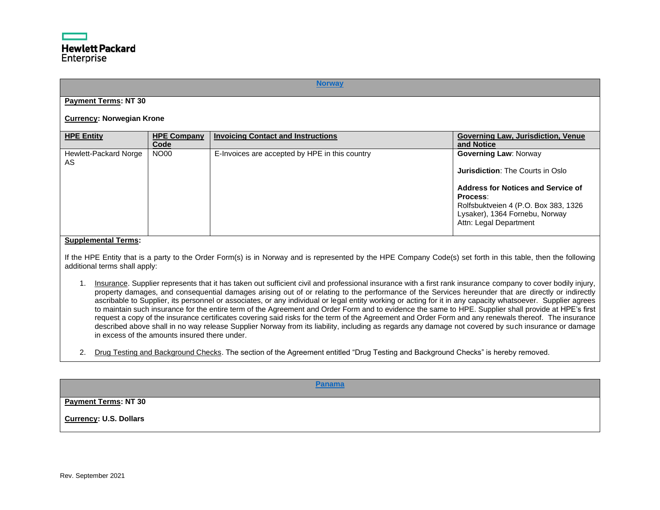#### **[Norway](#page-0-35)**

# <span id="page-35-0"></span>**Payment Terms: NT 30**

#### **Currency: Norwegian Krone**

| <b>HPE Company</b><br><b>HPE Entity</b><br><b>Invoicing Contact and Instructions</b><br><b>Governing Law, Jurisdiction, Venue</b><br>Code<br>and Notice                                                                                                                                                                       |  |
|-------------------------------------------------------------------------------------------------------------------------------------------------------------------------------------------------------------------------------------------------------------------------------------------------------------------------------|--|
| <b>NO00</b><br>E-Invoices are accepted by HPE in this country<br>Hewlett-Packard Norge<br><b>Governing Law: Norway</b><br>AS<br><b>Jurisdiction: The Courts in Oslo</b><br>Address for Notices and Service of<br>Process:<br>Rolfsbuktveien 4 (P.O. Box 383, 1326<br>Lysaker), 1364 Fornebu, Norway<br>Attn: Legal Department |  |

#### **Supplemental Terms:**

If the HPE Entity that is a party to the Order Form(s) is in Norway and is represented by the HPE Company Code(s) set forth in this table, then the following additional terms shall apply:

- 1. Insurance. Supplier represents that it has taken out sufficient civil and professional insurance with a first rank insurance company to cover bodily injury, property damages, and consequential damages arising out of or relating to the performance of the Services hereunder that are directly or indirectly ascribable to Supplier, its personnel or associates, or any individual or legal entity working or acting for it in any capacity whatsoever. Supplier agrees to maintain such insurance for the entire term of the Agreement and Order Form and to evidence the same to HPE. Supplier shall provide at HPE's first request a copy of the insurance certificates covering said risks for the term of the Agreement and Order Form and any renewals thereof. The insurance described above shall in no way release Supplier Norway from its liability, including as regards any damage not covered by such insurance or damage in excess of the amounts insured there under.
- 2. Drug Testing and Background Checks. The section of the Agreement entitled "Drug Testing and Background Checks" is hereby removed.

**[Panama](#page-0-36)**

<span id="page-35-1"></span>**Payment Terms: NT 30**

**Currency: U.S. Dollars**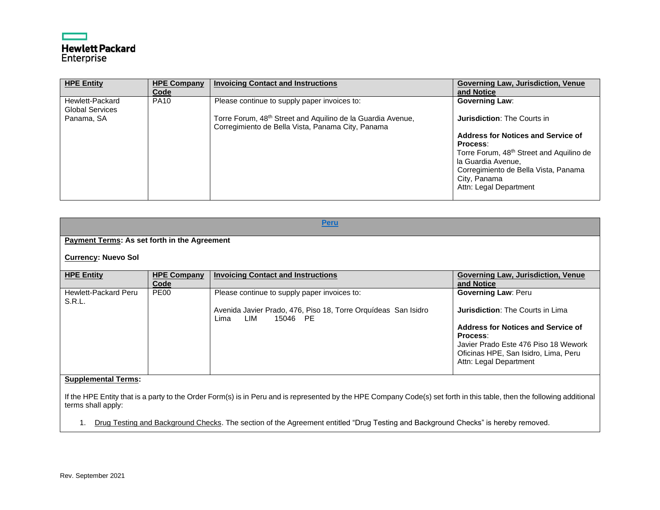# **Hewlett Packard**<br>Enterprise

| <b>HPE Entity</b>                                       | <b>HPE Company</b><br>Code | <b>Invoicing Contact and Instructions</b>                                                                               | <b>Governing Law, Jurisdiction, Venue</b><br>and Notice                                                                                                                                                        |
|---------------------------------------------------------|----------------------------|-------------------------------------------------------------------------------------------------------------------------|----------------------------------------------------------------------------------------------------------------------------------------------------------------------------------------------------------------|
| Hewlett-Packard<br><b>Global Services</b><br>Panama, SA | <b>PA10</b>                | Please continue to supply paper invoices to:<br>Torre Forum, 48 <sup>th</sup> Street and Aquilino de la Guardia Avenue, | <b>Governing Law:</b><br><b>Jurisdiction: The Courts in</b>                                                                                                                                                    |
|                                                         |                            | Corregimiento de Bella Vista, Panama City, Panama                                                                       | Address for Notices and Service of<br>Process:<br>Torre Forum, 48 <sup>th</sup> Street and Aquilino de<br>la Guardia Avenue,<br>Corregimiento de Bella Vista, Panama<br>City, Panama<br>Attn: Legal Department |

<span id="page-36-0"></span>

|                                                     |                            | <b>Peru</b>                                                                               |                                                                              |  |
|-----------------------------------------------------|----------------------------|-------------------------------------------------------------------------------------------|------------------------------------------------------------------------------|--|
|                                                     |                            |                                                                                           |                                                                              |  |
| <b>Payment Terms: As set forth in the Agreement</b> |                            |                                                                                           |                                                                              |  |
| <b>Currency: Nuevo Sol</b>                          |                            |                                                                                           |                                                                              |  |
| <b>HPE Entity</b>                                   | <b>HPE Company</b><br>Code | <b>Invoicing Contact and Instructions</b>                                                 | <b>Governing Law, Jurisdiction, Venue</b><br>and Notice                      |  |
| Hewlett-Packard Peru<br><b>S.R.L.</b>               | PE <sub>00</sub>           | Please continue to supply paper invoices to:                                              | <b>Governing Law: Peru</b>                                                   |  |
|                                                     |                            | Avenida Javier Prado, 476, Piso 18, Torre Orquídeas San Isidro<br>LIM<br>15046 PE<br>Lima | <b>Jurisdiction: The Courts in Lima</b>                                      |  |
|                                                     |                            |                                                                                           | Address for Notices and Service of<br>Process:                               |  |
|                                                     |                            |                                                                                           | Javier Prado Este 476 Piso 18 Wework<br>Oficinas HPE, San Isidro, Lima, Peru |  |
|                                                     |                            |                                                                                           | Attn: Legal Department                                                       |  |
| <b>Supplemental Terms:</b>                          |                            |                                                                                           |                                                                              |  |

If the HPE Entity that is a party to the Order Form(s) is in Peru and is represented by the HPE Company Code(s) set forth in this table, then the following additional terms shall apply:

1. Drug Testing and Background Checks. The section of the Agreement entitled "Drug Testing and Background Checks" is hereby removed.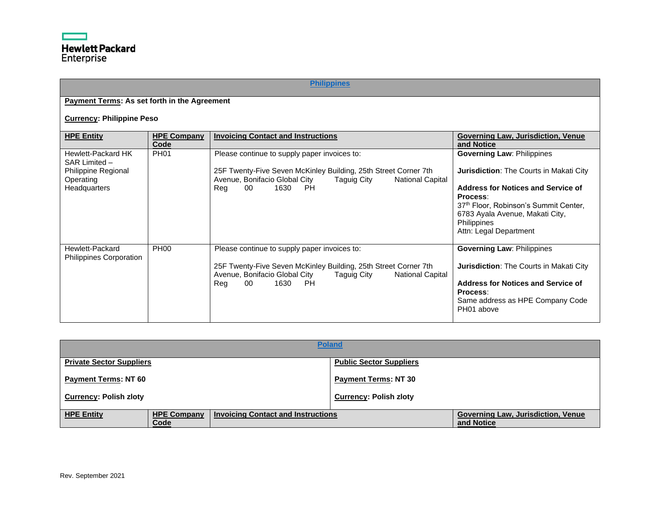# **[Philippines](#page-0-38)**

# <span id="page-37-0"></span>**Payment Terms: As set forth in the Agreement**

# **Currency: Philippine Peso**

| <b>HPE Entity</b>                          | <b>HPE Company</b><br>Code | <b>Invoicing Contact and Instructions</b>                                                                                                  | Governing Law, Jurisdiction, Venue<br>and Notice                         |
|--------------------------------------------|----------------------------|--------------------------------------------------------------------------------------------------------------------------------------------|--------------------------------------------------------------------------|
| Hewlett-Packard HK<br>SAR Limited -        | <b>PH01</b>                | Please continue to supply paper invoices to:                                                                                               | <b>Governing Law: Philippines</b>                                        |
| Philippine Regional<br>Operating           |                            | 25F Twenty-Five Seven McKinley Building, 25th Street Corner 7th<br>Avenue, Bonifacio Global City<br>Taguig City<br><b>National Capital</b> | <b>Jurisdiction:</b> The Courts in Makati City                           |
| Headquarters                               |                            | 00<br>1630<br>- PH<br>Reg                                                                                                                  | Address for Notices and Service of<br>Process:                           |
|                                            |                            |                                                                                                                                            | 37th Floor, Robinson's Summit Center,<br>6783 Ayala Avenue, Makati City, |
|                                            |                            |                                                                                                                                            | Philippines<br>Attn: Legal Department                                    |
| Hewlett-Packard<br>Philippines Corporation | <b>PH00</b>                | Please continue to supply paper invoices to:                                                                                               | <b>Governing Law: Philippines</b>                                        |
|                                            |                            | 25F Twenty-Five Seven McKinley Building, 25th Street Corner 7th<br>Avenue, Bonifacio Global City<br>Taguig City<br><b>National Capital</b> | <b>Jurisdiction:</b> The Courts in Makati City                           |
|                                            |                            | 00<br>1630<br><b>PH</b><br>Reg                                                                                                             | Address for Notices and Service of<br>Process:                           |
|                                            |                            |                                                                                                                                            | Same address as HPE Company Code<br>PH01 above                           |
|                                            |                            |                                                                                                                                            |                                                                          |

<span id="page-37-1"></span>

|                                 |                            |                                           | <b>Poland</b>                  |                                                         |
|---------------------------------|----------------------------|-------------------------------------------|--------------------------------|---------------------------------------------------------|
| <b>Private Sector Suppliers</b> |                            |                                           | <b>Public Sector Suppliers</b> |                                                         |
| <b>Payment Terms: NT 60</b>     |                            |                                           | <b>Payment Terms: NT 30</b>    |                                                         |
| <b>Currency: Polish zloty</b>   |                            |                                           | <b>Currency: Polish zloty</b>  |                                                         |
| <b>HPE Entity</b>               | <b>HPE Company</b><br>Code | <b>Invoicing Contact and Instructions</b> |                                | <b>Governing Law, Jurisdiction, Venue</b><br>and Notice |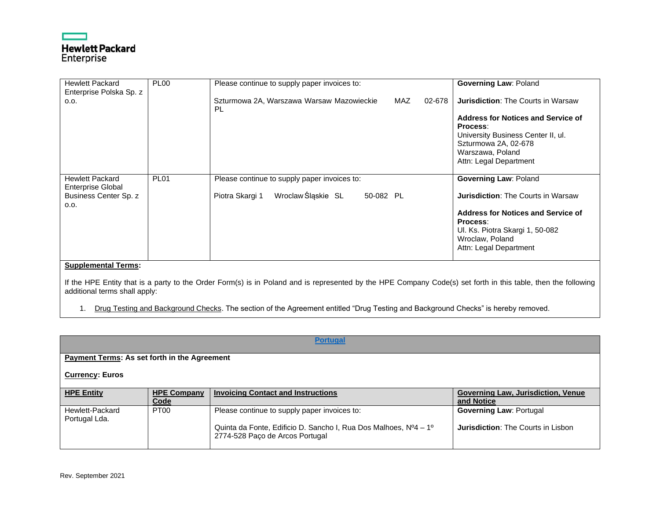# **Hewlett Packard** Enterprise

| <b>Hewlett Packard</b>     | <b>PL00</b> | Please continue to supply paper invoices to:               | <b>Governing Law: Poland</b>              |
|----------------------------|-------------|------------------------------------------------------------|-------------------------------------------|
| Enterprise Polska Sp. z    |             |                                                            |                                           |
| 0.0.                       |             | MAZ<br>Szturmowa 2A, Warszawa Warsaw Mazowieckie<br>02-678 | <b>Jurisdiction: The Courts in Warsaw</b> |
|                            |             | PL.                                                        |                                           |
|                            |             |                                                            | <b>Address for Notices and Service of</b> |
|                            |             |                                                            |                                           |
|                            |             |                                                            | Process:                                  |
|                            |             |                                                            | University Business Center II, ul.        |
|                            |             |                                                            | Szturmowa 2A, 02-678                      |
|                            |             |                                                            | Warszawa, Poland                          |
|                            |             |                                                            | Attn: Legal Department                    |
|                            |             |                                                            |                                           |
| <b>Hewlett Packard</b>     | <b>PL01</b> | Please continue to supply paper invoices to:               | <b>Governing Law: Poland</b>              |
| <b>Enterprise Global</b>   |             |                                                            |                                           |
| Business Center Sp. z      |             | Wroclaw Śląskie SL<br>Piotra Skargi 1<br>50-082 PL         | <b>Jurisdiction: The Courts in Warsaw</b> |
| 0.0.                       |             |                                                            |                                           |
|                            |             |                                                            | <b>Address for Notices and Service of</b> |
|                            |             |                                                            | Process:                                  |
|                            |             |                                                            | Ul. Ks. Piotra Skargi 1, 50-082           |
|                            |             |                                                            |                                           |
|                            |             |                                                            | Wroclaw, Poland                           |
|                            |             |                                                            | Attn: Legal Department                    |
|                            |             |                                                            |                                           |
| <b>Supplemental Terms:</b> |             |                                                            |                                           |
|                            |             | $\sim$ $\sim$ $\sim$ $\sim$ $\sim$ $\sim$                  |                                           |

If the HPE Entity that is a party to the Order Form(s) is in Poland and is represented by the HPE Company Code(s) set forth in this table, then the following additional terms shall apply:

1. Drug Testing and Background Checks. The section of the Agreement entitled "Drug Testing and Background Checks" is hereby removed.

<span id="page-38-0"></span>

| <b>Portugal</b>                                     |                            |                                                                                                     |                                                         |
|-----------------------------------------------------|----------------------------|-----------------------------------------------------------------------------------------------------|---------------------------------------------------------|
| <b>Payment Terms: As set forth in the Agreement</b> |                            |                                                                                                     |                                                         |
| <b>Currency: Euros</b>                              |                            |                                                                                                     |                                                         |
| <b>HPE Entity</b>                                   | <b>HPE Company</b><br>Code | <b>Invoicing Contact and Instructions</b>                                                           | <b>Governing Law, Jurisdiction, Venue</b><br>and Notice |
| Hewlett-Packard<br>Portugal Lda.                    | PT <sub>00</sub>           | Please continue to supply paper invoices to:                                                        | <b>Governing Law: Portugal</b>                          |
|                                                     |                            | Quinta da Fonte, Edificio D. Sancho I, Rua Dos Malhoes, Nº4 - 1º<br>2774-528 Paço de Arcos Portugal | <b>Jurisdiction: The Courts in Lisbon</b>               |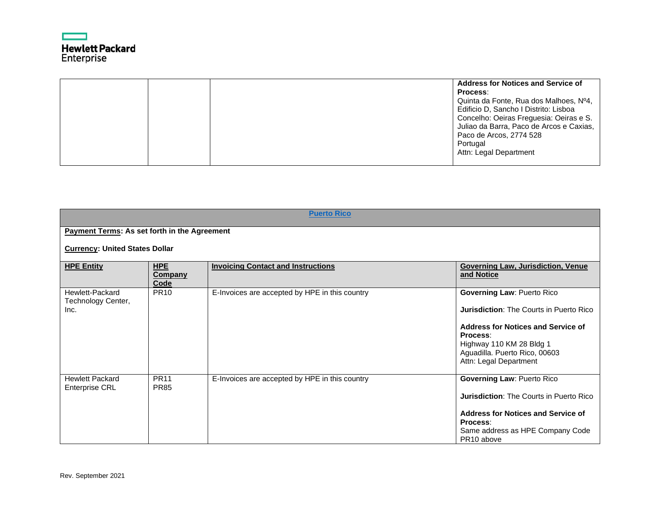

|  | <b>Address for Notices and Service of</b><br><b>Process:</b><br>Quinta da Fonte, Rua dos Malhoes, Nº4,<br>Edificio D, Sancho I Distrito: Lisboa<br>Concelho: Oeiras Freguesia: Oeiras e S.<br>Juliao da Barra, Paco de Arcos e Caxias,<br>Paco de Arcos, 2774 528<br>Portugal |
|--|-------------------------------------------------------------------------------------------------------------------------------------------------------------------------------------------------------------------------------------------------------------------------------|
|  | Attn: Legal Department                                                                                                                                                                                                                                                        |

<span id="page-39-0"></span>

|                                                     |                                      | <b>Puerto Rico</b>                             |                                                                                                                                                                                                                              |
|-----------------------------------------------------|--------------------------------------|------------------------------------------------|------------------------------------------------------------------------------------------------------------------------------------------------------------------------------------------------------------------------------|
| <b>Payment Terms: As set forth in the Agreement</b> |                                      |                                                |                                                                                                                                                                                                                              |
| <b>Currency: United States Dollar</b>               |                                      |                                                |                                                                                                                                                                                                                              |
| <b>HPE Entity</b>                                   | <b>HPE</b><br><b>Company</b><br>Code | <b>Invoicing Contact and Instructions</b>      | <b>Governing Law, Jurisdiction, Venue</b><br>and Notice                                                                                                                                                                      |
| Hewlett-Packard<br>Technology Center,<br>Inc.       | <b>PR10</b>                          | E-Invoices are accepted by HPE in this country | <b>Governing Law: Puerto Rico</b><br><b>Jurisdiction: The Courts in Puerto Rico</b><br>Address for Notices and Service of<br>Process:<br>Highway 110 KM 28 Bldg 1<br>Aguadilla. Puerto Rico, 00603<br>Attn: Legal Department |
| <b>Hewlett Packard</b><br><b>Enterprise CRL</b>     | <b>PR11</b><br><b>PR85</b>           | E-Invoices are accepted by HPE in this country | <b>Governing Law: Puerto Rico</b><br><b>Jurisdiction: The Courts in Puerto Rico</b><br>Address for Notices and Service of<br>Process:<br>Same address as HPE Company Code<br>PR <sub>10</sub> above                          |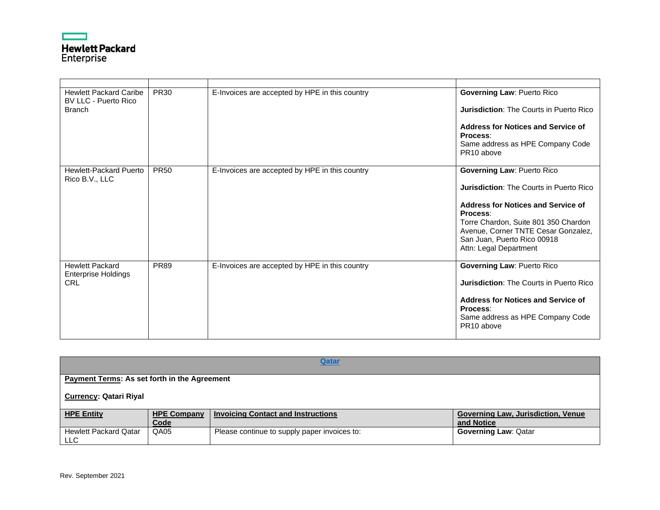

| <b>Hewlett Packard Caribe</b><br>BV LLC - Puerto Rico<br><b>Branch</b> | <b>PR30</b> | E-Invoices are accepted by HPE in this country | <b>Governing Law: Puerto Rico</b><br><b>Jurisdiction: The Courts in Puerto Rico</b><br>Address for Notices and Service of<br>Process:<br>Same address as HPE Company Code<br>PR <sub>10</sub> above                                                                                  |
|------------------------------------------------------------------------|-------------|------------------------------------------------|--------------------------------------------------------------------------------------------------------------------------------------------------------------------------------------------------------------------------------------------------------------------------------------|
| <b>Hewlett-Packard Puerto</b><br>Rico B.V., LLC                        | <b>PR50</b> | E-Invoices are accepted by HPE in this country | <b>Governing Law: Puerto Rico</b><br><b>Jurisdiction:</b> The Courts in Puerto Rico<br><b>Address for Notices and Service of</b><br>Process:<br>Torre Chardon, Suite 801 350 Chardon<br>Avenue, Corner TNTE Cesar Gonzalez,<br>San Juan, Puerto Rico 00918<br>Attn: Legal Department |
| <b>Hewlett Packard</b><br><b>Enterprise Holdings</b><br><b>CRL</b>     | <b>PR89</b> | E-Invoices are accepted by HPE in this country | <b>Governing Law: Puerto Rico</b><br><b>Jurisdiction:</b> The Courts in Puerto Rico<br><b>Address for Notices and Service of</b><br>Process:<br>Same address as HPE Company Code<br>PR <sub>10</sub> above                                                                           |

<span id="page-40-0"></span>

| Qatar                                               |                    |                                              |                                    |  |
|-----------------------------------------------------|--------------------|----------------------------------------------|------------------------------------|--|
| <b>Payment Terms: As set forth in the Agreement</b> |                    |                                              |                                    |  |
| <b>Currency: Qatari Riyal</b>                       |                    |                                              |                                    |  |
| <b>HPE Entity</b>                                   | <b>HPE Company</b> | <b>Invoicing Contact and Instructions</b>    | Governing Law, Jurisdiction, Venue |  |
| Code<br>and Notice                                  |                    |                                              |                                    |  |
| <b>Hewlett Packard Qatar</b>                        | QA05               | Please continue to supply paper invoices to: | <b>Governing Law: Qatar</b>        |  |
| LLC                                                 |                    |                                              |                                    |  |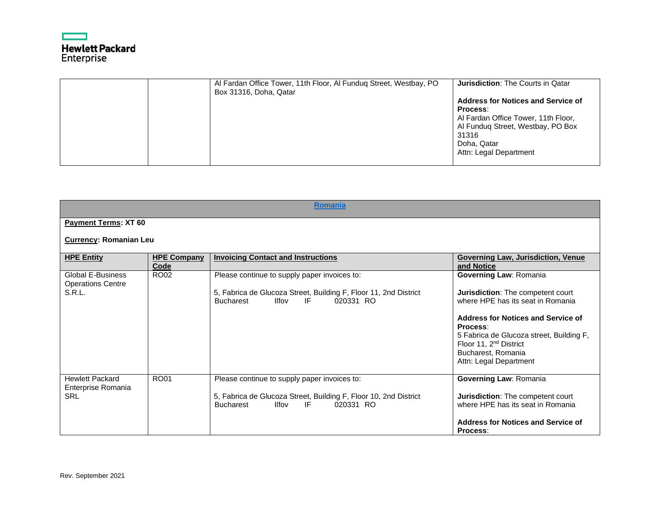

| Al Fardan Office Tower, 11th Floor, Al Funduq Street, Westbay, PO<br>Box 31316, Doha, Qatar | <b>Jurisdiction:</b> The Courts in Qatar  |
|---------------------------------------------------------------------------------------------|-------------------------------------------|
|                                                                                             | <b>Address for Notices and Service of</b> |
|                                                                                             | <b>Process:</b>                           |
|                                                                                             | Al Fardan Office Tower, 11th Floor,       |
|                                                                                             | Al Funduq Street, Westbay, PO Box         |
|                                                                                             | 31316                                     |
|                                                                                             | Doha, Qatar                               |
|                                                                                             | Attn: Legal Department                    |
|                                                                                             |                                           |

<span id="page-41-0"></span>

|                                                                | <b>Romania</b>             |                                                                                                                                                                         |                                                                                                                                                                                                                                                                                             |  |
|----------------------------------------------------------------|----------------------------|-------------------------------------------------------------------------------------------------------------------------------------------------------------------------|---------------------------------------------------------------------------------------------------------------------------------------------------------------------------------------------------------------------------------------------------------------------------------------------|--|
| Payment Terms: XT 60                                           |                            |                                                                                                                                                                         |                                                                                                                                                                                                                                                                                             |  |
| <b>Currency: Romanian Leu</b>                                  |                            |                                                                                                                                                                         |                                                                                                                                                                                                                                                                                             |  |
| <b>HPE Entity</b>                                              | <b>HPE Company</b><br>Code | <b>Invoicing Contact and Instructions</b>                                                                                                                               | <b>Governing Law, Jurisdiction, Venue</b><br>and Notice                                                                                                                                                                                                                                     |  |
| <b>Global E-Business</b><br><b>Operations Centre</b><br>S.R.L. | RO02                       | Please continue to supply paper invoices to:<br>5, Fabrica de Glucoza Street, Building F, Floor 11, 2nd District<br><b>Bucharest</b><br><b>Ilfov</b><br>020331 RO<br>IF | Governing Law: Romania<br><b>Jurisdiction:</b> The competent court<br>where HPE has its seat in Romania<br>Address for Notices and Service of<br>Process:<br>5 Fabrica de Glucoza street, Building F,<br>Floor 11, 2 <sup>nd</sup> District<br>Bucharest, Romania<br>Attn: Legal Department |  |
| <b>Hewlett Packard</b><br>Enterprise Romania<br><b>SRL</b>     | <b>RO01</b>                | Please continue to supply paper invoices to:<br>5, Fabrica de Glucoza Street, Building F, Floor 10, 2nd District<br><b>Bucharest</b><br><b>Ilfov</b><br>020331 RO<br>IF | <b>Governing Law: Romania</b><br><b>Jurisdiction:</b> The competent court<br>where HPE has its seat in Romania<br>Address for Notices and Service of<br>Process:                                                                                                                            |  |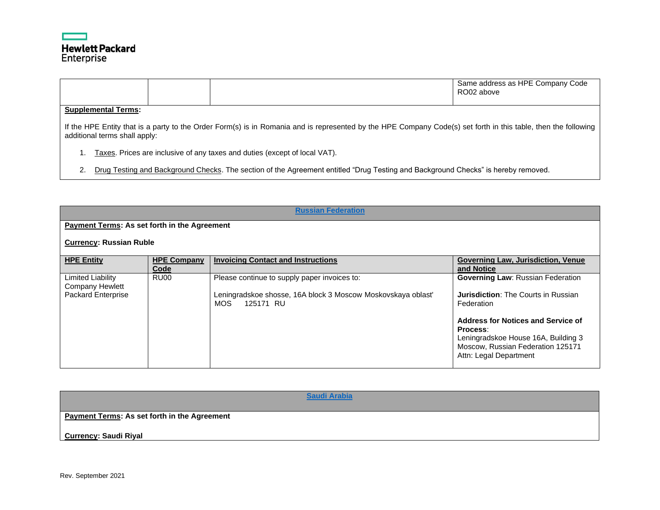

|  | Same address as HPE Company<br>' Code<br>RO <sub>02</sub><br>' above |
|--|----------------------------------------------------------------------|
|--|----------------------------------------------------------------------|

If the HPE Entity that is a party to the Order Form(s) is in Romania and is represented by the HPE Company Code(s) set forth in this table, then the following additional terms shall apply:

- 1. Taxes. Prices are inclusive of any taxes and duties (except of local VAT).
- 2. Drug Testing and Background Checks. The section of the Agreement entitled "Drug Testing and Background Checks" is hereby removed.

<span id="page-42-0"></span>

| <b>Russian Federation</b>                                  |                            |                                                                                                                                   |                                                                                                                                                                                                                                                              |
|------------------------------------------------------------|----------------------------|-----------------------------------------------------------------------------------------------------------------------------------|--------------------------------------------------------------------------------------------------------------------------------------------------------------------------------------------------------------------------------------------------------------|
| <b>Payment Terms: As set forth in the Agreement</b>        |                            |                                                                                                                                   |                                                                                                                                                                                                                                                              |
| <b>Currency: Russian Ruble</b>                             |                            |                                                                                                                                   |                                                                                                                                                                                                                                                              |
| <b>HPE Entity</b>                                          | <b>HPE Company</b><br>Code | <b>Invoicing Contact and Instructions</b>                                                                                         | <b>Governing Law, Jurisdiction, Venue</b><br>and Notice                                                                                                                                                                                                      |
| Limited Liability<br>Company Hewlett<br>Packard Enterprise | RU <sub>00</sub>           | Please continue to supply paper invoices to:<br>Leningradskoe shosse, 16A block 3 Moscow Moskovskaya oblast'<br>MOS.<br>125171 RU | <b>Governing Law: Russian Federation</b><br><b>Jurisdiction:</b> The Courts in Russian<br>Federation<br>Address for Notices and Service of<br>Process:<br>Leningradskoe House 16A, Building 3<br>Moscow, Russian Federation 125171<br>Attn: Legal Department |

<span id="page-42-1"></span>**[Saudi Arabia](#page-0-45) Payment Terms: As set forth in the Agreement Currency: Saudi Riyal**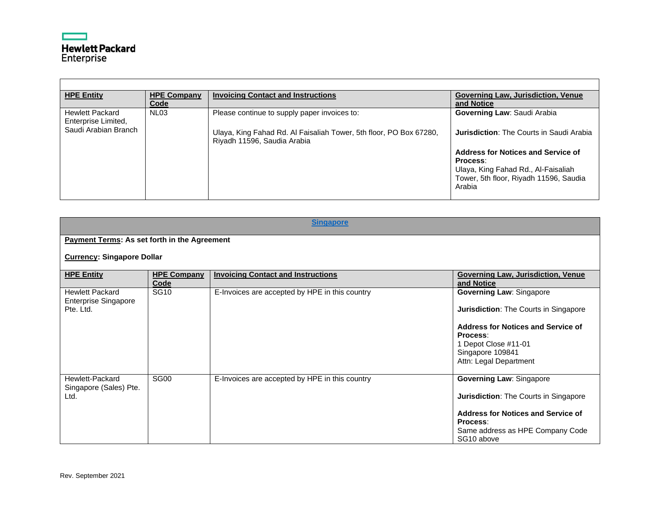

| <b>HPE Entity</b>                             | <b>HPE Company</b><br>Code | <b>Invoicing Contact and Instructions</b>                                                         | Governing Law, Jurisdiction, Venue<br>and Notice                              |
|-----------------------------------------------|----------------------------|---------------------------------------------------------------------------------------------------|-------------------------------------------------------------------------------|
| <b>Hewlett Packard</b><br>Enterprise Limited, | NL <sub>03</sub>           | Please continue to supply paper invoices to:                                                      | Governing Law: Saudi Arabia                                                   |
| Saudi Arabian Branch                          |                            | Ulaya, King Fahad Rd. Al Faisaliah Tower, 5th floor, PO Box 67280,<br>Riyadh 11596, Saudia Arabia | <b>Jurisdiction:</b> The Courts in Saudi Arabia                               |
|                                               |                            |                                                                                                   | Address for Notices and Service of                                            |
|                                               |                            |                                                                                                   | Process:                                                                      |
|                                               |                            |                                                                                                   | Ulaya, King Fahad Rd., Al-Faisaliah<br>Tower, 5th floor, Riyadh 11596, Saudia |
|                                               |                            |                                                                                                   | Arabia                                                                        |
|                                               |                            |                                                                                                   |                                                                               |

<span id="page-43-0"></span>

| <b>Singapore</b>                                                   |                            |                                                |                                                                                                                                                                                                  |
|--------------------------------------------------------------------|----------------------------|------------------------------------------------|--------------------------------------------------------------------------------------------------------------------------------------------------------------------------------------------------|
| <b>Payment Terms: As set forth in the Agreement</b>                |                            |                                                |                                                                                                                                                                                                  |
| <b>Currency: Singapore Dollar</b>                                  |                            |                                                |                                                                                                                                                                                                  |
| <b>HPE Entity</b>                                                  | <b>HPE Company</b><br>Code | <b>Invoicing Contact and Instructions</b>      | <b>Governing Law, Jurisdiction, Venue</b><br>and Notice                                                                                                                                          |
| <b>Hewlett Packard</b><br><b>Enterprise Singapore</b><br>Pte. Ltd. | <b>SG10</b>                | E-Invoices are accepted by HPE in this country | <b>Governing Law: Singapore</b><br>Jurisdiction: The Courts in Singapore<br>Address for Notices and Service of<br>Process:<br>1 Depot Close #11-01<br>Singapore 109841<br>Attn: Legal Department |
| Hewlett-Packard<br>Singapore (Sales) Pte.<br>Ltd.                  | SG <sub>00</sub>           | E-Invoices are accepted by HPE in this country | <b>Governing Law: Singapore</b><br>Jurisdiction: The Courts in Singapore<br>Address for Notices and Service of<br>Process:<br>Same address as HPE Company Code<br>SG10 above                     |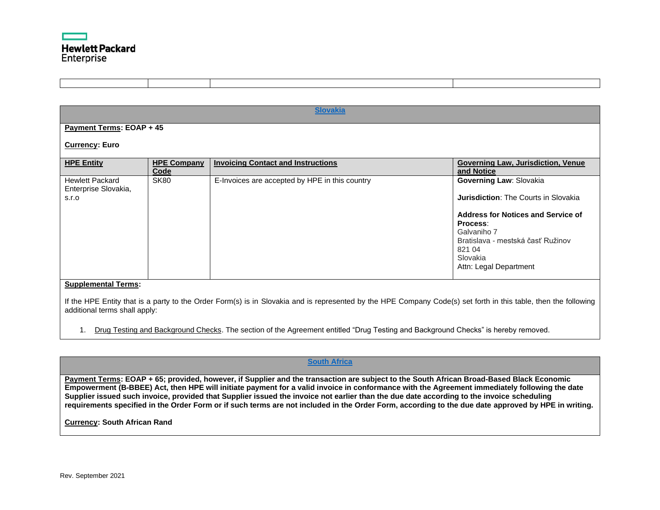

<span id="page-44-1"></span>

|                                                                                      |                            | <b>Slovakia</b>                                |                                                                                                                                                                                                                                     |
|--------------------------------------------------------------------------------------|----------------------------|------------------------------------------------|-------------------------------------------------------------------------------------------------------------------------------------------------------------------------------------------------------------------------------------|
| Payment Terms: EOAP + 45                                                             |                            |                                                |                                                                                                                                                                                                                                     |
| <b>Currency: Euro</b>                                                                |                            |                                                |                                                                                                                                                                                                                                     |
| <b>HPE Entity</b>                                                                    | <b>HPE Company</b><br>Code | <b>Invoicing Contact and Instructions</b>      | Governing Law, Jurisdiction, Venue<br>and Notice                                                                                                                                                                                    |
| <b>Hewlett Packard</b><br>Enterprise Slovakia,<br>S.I.O<br>$\sim$ $\sim$ $\sim$<br>. | <b>SK80</b>                | E-Invoices are accepted by HPE in this country | Governing Law: Slovakia<br><b>Jurisdiction:</b> The Courts in Slovakia<br><b>Address for Notices and Service of</b><br>Process:<br>Galvaniho 7<br>Bratislava - mestská časť Ružinov<br>821 04<br>Slovakia<br>Attn: Legal Department |

If the HPE Entity that is a party to the Order Form(s) is in Slovakia and is represented by the HPE Company Code(s) set forth in this table, then the following additional terms shall apply:

1. Drug Testing and Background Checks. The section of the Agreement entitled "Drug Testing and Background Checks" is hereby removed.

## **[South Africa](#page-0-48)**

<span id="page-44-0"></span>**Payment Terms: EOAP + 65; provided, however, if Supplier and the transaction are subject to the South African Broad-Based Black Economic Empowerment (B-BBEE) Act, then HPE will initiate payment for a valid invoice in conformance with the Agreement immediately following the date Supplier issued such invoice, provided that Supplier issued the invoice not earlier than the due date according to the invoice scheduling requirements specified in the Order Form or if such terms are not included in the Order Form, according to the due date approved by HPE in writing.**

**Currency: South African Rand**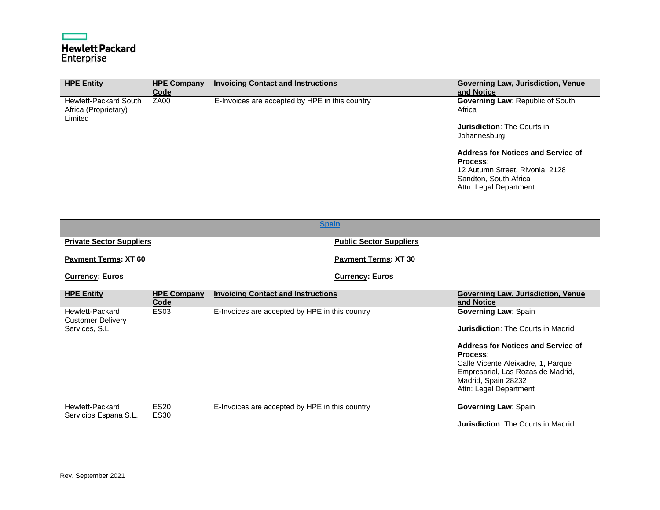|            | <b>Hewlett Packard</b> |
|------------|------------------------|
| Enterprise |                        |

| <b>HPE Entity</b>                                               | <b>HPE Company</b><br>Code | <b>Invoicing Contact and Instructions</b>      | <b>Governing Law, Jurisdiction, Venue</b><br>and Notice                                                                              |
|-----------------------------------------------------------------|----------------------------|------------------------------------------------|--------------------------------------------------------------------------------------------------------------------------------------|
| <b>Hewlett-Packard South</b><br>Africa (Proprietary)<br>Limited | ZA <sub>00</sub>           | E-Invoices are accepted by HPE in this country | Governing Law: Republic of South<br>Africa<br><b>Jurisdiction: The Courts in</b><br>Johannesburg                                     |
|                                                                 |                            |                                                | Address for Notices and Service of<br>Process:<br>12 Autumn Street, Rivonia, 2128<br>Sandton, South Africa<br>Attn: Legal Department |

<span id="page-45-0"></span>

|                                                               |                            |                                                | <b>Spain</b>                   |                                                                                                                                                                                                                                                        |
|---------------------------------------------------------------|----------------------------|------------------------------------------------|--------------------------------|--------------------------------------------------------------------------------------------------------------------------------------------------------------------------------------------------------------------------------------------------------|
| <b>Private Sector Suppliers</b>                               |                            |                                                | <b>Public Sector Suppliers</b> |                                                                                                                                                                                                                                                        |
| <b>Payment Terms: XT 60</b>                                   |                            |                                                | <b>Payment Terms: XT 30</b>    |                                                                                                                                                                                                                                                        |
| <b>Currency: Euros</b>                                        |                            |                                                | <b>Currency: Euros</b>         |                                                                                                                                                                                                                                                        |
| <b>HPE Entity</b>                                             | <b>HPE Company</b><br>Code | <b>Invoicing Contact and Instructions</b>      |                                | Governing Law, Jurisdiction, Venue<br>and Notice                                                                                                                                                                                                       |
| Hewlett-Packard<br><b>Customer Delivery</b><br>Services, S.L. | <b>ES03</b>                | E-Invoices are accepted by HPE in this country |                                | <b>Governing Law: Spain</b><br><b>Jurisdiction: The Courts in Madrid</b><br>Address for Notices and Service of<br>Process:<br>Calle Vicente Aleixadre, 1, Parque<br>Empresarial, Las Rozas de Madrid,<br>Madrid, Spain 28232<br>Attn: Legal Department |
| Hewlett-Packard<br>Servicios Espana S.L.                      | <b>ES20</b><br><b>ES30</b> | E-Invoices are accepted by HPE in this country |                                | <b>Governing Law: Spain</b><br><b>Jurisdiction: The Courts in Madrid</b>                                                                                                                                                                               |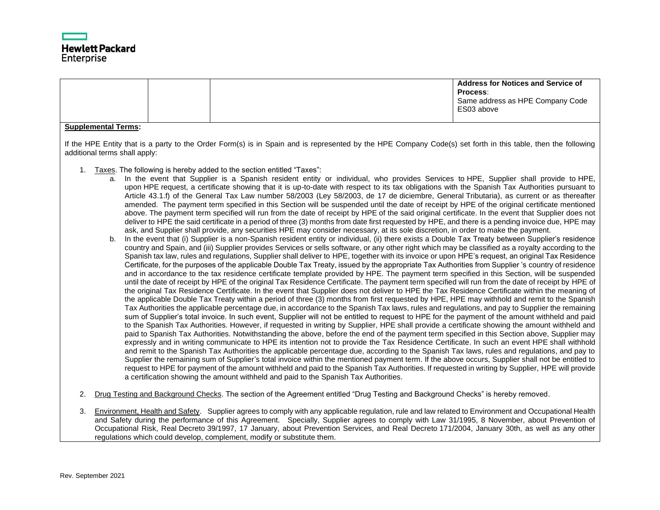

|                               |                                                                                                                                                                                                                                                                                                       | <b>Address for Notices and Service of</b><br>Process:<br>Same address as HPE Company Code                                                                                                                                                                                                                                                                                                                                                                                                                                                                                                                                                                                                                                                                                                                                                                                                                                                                                                                                                                                                                                                                                                                                                                                                                                                                                                                                                                                                                                                                                                                                                                                                                                                                                                                                                                                                                                                                                                                                                                                                                                                                                                                                                                                                                                                                                                                                                                                                                                                                                                                                                                                                                                                                                                                                                                                                                                                                                                                                                                                                                                                                                                                                                                                                                                             |
|-------------------------------|-------------------------------------------------------------------------------------------------------------------------------------------------------------------------------------------------------------------------------------------------------------------------------------------------------|---------------------------------------------------------------------------------------------------------------------------------------------------------------------------------------------------------------------------------------------------------------------------------------------------------------------------------------------------------------------------------------------------------------------------------------------------------------------------------------------------------------------------------------------------------------------------------------------------------------------------------------------------------------------------------------------------------------------------------------------------------------------------------------------------------------------------------------------------------------------------------------------------------------------------------------------------------------------------------------------------------------------------------------------------------------------------------------------------------------------------------------------------------------------------------------------------------------------------------------------------------------------------------------------------------------------------------------------------------------------------------------------------------------------------------------------------------------------------------------------------------------------------------------------------------------------------------------------------------------------------------------------------------------------------------------------------------------------------------------------------------------------------------------------------------------------------------------------------------------------------------------------------------------------------------------------------------------------------------------------------------------------------------------------------------------------------------------------------------------------------------------------------------------------------------------------------------------------------------------------------------------------------------------------------------------------------------------------------------------------------------------------------------------------------------------------------------------------------------------------------------------------------------------------------------------------------------------------------------------------------------------------------------------------------------------------------------------------------------------------------------------------------------------------------------------------------------------------------------------------------------------------------------------------------------------------------------------------------------------------------------------------------------------------------------------------------------------------------------------------------------------------------------------------------------------------------------------------------------------------------------------------------------------------------------------------------------------|
|                               |                                                                                                                                                                                                                                                                                                       | ES03 above                                                                                                                                                                                                                                                                                                                                                                                                                                                                                                                                                                                                                                                                                                                                                                                                                                                                                                                                                                                                                                                                                                                                                                                                                                                                                                                                                                                                                                                                                                                                                                                                                                                                                                                                                                                                                                                                                                                                                                                                                                                                                                                                                                                                                                                                                                                                                                                                                                                                                                                                                                                                                                                                                                                                                                                                                                                                                                                                                                                                                                                                                                                                                                                                                                                                                                                            |
| <b>Supplemental Terms:</b>    |                                                                                                                                                                                                                                                                                                       |                                                                                                                                                                                                                                                                                                                                                                                                                                                                                                                                                                                                                                                                                                                                                                                                                                                                                                                                                                                                                                                                                                                                                                                                                                                                                                                                                                                                                                                                                                                                                                                                                                                                                                                                                                                                                                                                                                                                                                                                                                                                                                                                                                                                                                                                                                                                                                                                                                                                                                                                                                                                                                                                                                                                                                                                                                                                                                                                                                                                                                                                                                                                                                                                                                                                                                                                       |
| additional terms shall apply: |                                                                                                                                                                                                                                                                                                       | If the HPE Entity that is a party to the Order Form(s) is in Spain and is represented by the HPE Company Code(s) set forth in this table, then the following                                                                                                                                                                                                                                                                                                                                                                                                                                                                                                                                                                                                                                                                                                                                                                                                                                                                                                                                                                                                                                                                                                                                                                                                                                                                                                                                                                                                                                                                                                                                                                                                                                                                                                                                                                                                                                                                                                                                                                                                                                                                                                                                                                                                                                                                                                                                                                                                                                                                                                                                                                                                                                                                                                                                                                                                                                                                                                                                                                                                                                                                                                                                                                          |
| $b_{1}$                       | 1. Taxes. The following is hereby added to the section entitled "Taxes":<br>ask, and Supplier shall provide, any securities HPE may consider necessary, at its sole discretion, in order to make the payment.<br>a certification showing the amount withheld and paid to the Spanish Tax Authorities. | a. In the event that Supplier is a Spanish resident entity or individual, who provides Services to HPE, Supplier shall provide to HPE,<br>upon HPE request, a certificate showing that it is up-to-date with respect to its tax obligations with the Spanish Tax Authorities pursuant to<br>Article 43.1.f) of the General Tax Law number 58/2003 (Ley 58/2003, de 17 de diciembre, General Tributaria), as current or as thereafter<br>amended. The payment term specified in this Section will be suspended until the date of receipt by HPE of the original certificate mentioned<br>above. The payment term specified will run from the date of receipt by HPE of the said original certificate. In the event that Supplier does not<br>deliver to HPE the said certificate in a period of three (3) months from date first requested by HPE, and there is a pending invoice due, HPE may<br>In the event that (i) Supplier is a non-Spanish resident entity or individual, (ii) there exists a Double Tax Treaty between Supplier's residence<br>country and Spain, and (iii) Supplier provides Services or sells software, or any other right which may be classified as a royalty according to the<br>Spanish tax law, rules and regulations, Supplier shall deliver to HPE, together with its invoice or upon HPE's request, an original Tax Residence<br>Certificate, for the purposes of the applicable Double Tax Treaty, issued by the appropriate Tax Authorities from Supplier's country of residence<br>and in accordance to the tax residence certificate template provided by HPE. The payment term specified in this Section, will be suspended<br>until the date of receipt by HPE of the original Tax Residence Certificate. The payment term specified will run from the date of receipt by HPE of<br>the original Tax Residence Certificate. In the event that Supplier does not deliver to HPE the Tax Residence Certificate within the meaning of<br>the applicable Double Tax Treaty within a period of three (3) months from first requested by HPE, HPE may withhold and remit to the Spanish<br>Tax Authorities the applicable percentage due, in accordance to the Spanish Tax laws, rules and regulations, and pay to Supplier the remaining<br>sum of Supplier's total invoice. In such event, Supplier will not be entitled to request to HPE for the payment of the amount withheld and paid<br>to the Spanish Tax Authorities. However, if requested in writing by Supplier, HPE shall provide a certificate showing the amount withheld and<br>paid to Spanish Tax Authorities. Notwithstanding the above, before the end of the payment term specified in this Section above, Supplier may<br>expressly and in writing communicate to HPE its intention not to provide the Tax Residence Certificate. In such an event HPE shall withhold<br>and remit to the Spanish Tax Authorities the applicable percentage due, according to the Spanish Tax laws, rules and regulations, and pay to<br>Supplier the remaining sum of Supplier's total invoice within the mentioned payment term. If the above occurs, Supplier shall not be entitled to<br>request to HPE for payment of the amount withheld and paid to the Spanish Tax Authorities. If requested in writing by Supplier, HPE will provide |
| 2.                            | Drug Testing and Background Checks. The section of the Agreement entitled "Drug Testing and Background Checks" is hereby removed.                                                                                                                                                                     |                                                                                                                                                                                                                                                                                                                                                                                                                                                                                                                                                                                                                                                                                                                                                                                                                                                                                                                                                                                                                                                                                                                                                                                                                                                                                                                                                                                                                                                                                                                                                                                                                                                                                                                                                                                                                                                                                                                                                                                                                                                                                                                                                                                                                                                                                                                                                                                                                                                                                                                                                                                                                                                                                                                                                                                                                                                                                                                                                                                                                                                                                                                                                                                                                                                                                                                                       |
|                               |                                                                                                                                                                                                                                                                                                       | Environment, Health and Safety. Supplier agrees to comply with any applicable regulation, rule and law related to Environment and Occupational Health                                                                                                                                                                                                                                                                                                                                                                                                                                                                                                                                                                                                                                                                                                                                                                                                                                                                                                                                                                                                                                                                                                                                                                                                                                                                                                                                                                                                                                                                                                                                                                                                                                                                                                                                                                                                                                                                                                                                                                                                                                                                                                                                                                                                                                                                                                                                                                                                                                                                                                                                                                                                                                                                                                                                                                                                                                                                                                                                                                                                                                                                                                                                                                                 |

3. Environment, Health and Safety. Supplier agrees to comply with any applicable regulation, rule and law related to Environment and Occupational Health and Safety during the performance of this Agreement. Specially, Supplier agrees to comply with Law 31/1995, 8 November, about Prevention of Occupational Risk, Real Decreto 39/1997, 17 January, about Prevention Services, and Real Decreto 171/2004, January 30th, as well as any other regulations which could develop, complement, modify or substitute them.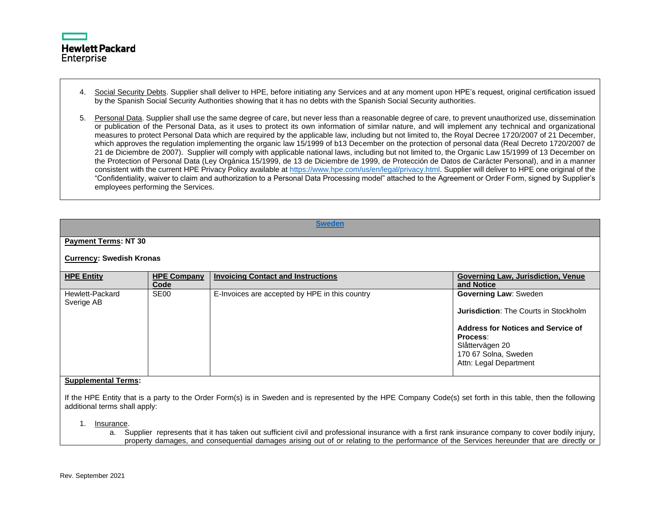

4. Social Security Debts. Supplier shall deliver to HPE, before initiating any Services and at any moment upon HPE's request, original certification issued by the Spanish Social Security Authorities showing that it has no debts with the Spanish Social Security authorities.

5. Personal Data. Supplier shall use the same degree of care, but never less than a reasonable degree of care, to prevent unauthorized use, dissemination or publication of the Personal Data, as it uses to protect its own information of similar nature, and will implement any technical and organizational measures to protect Personal Data which are required by the applicable law, including but not limited to, the Royal Decree 1720/2007 of 21 December, which approves the regulation implementing the organic law 15/1999 of b13 December on the protection of personal data (Real Decreto 1720/2007 de 21 de Diciembre de 2007). Supplier will comply with applicable national laws, including but not limited to, the Organic Law 15/1999 of 13 December on the Protection of Personal Data (Ley Orgánica 15/1999, de 13 de Diciembre de 1999, de Protección de Datos de Carácter Personal), and in a manner consistent with the current HPE Privacy Policy available a[t https://www.hpe.com/us/en/legal/privacy.html.](https://www.hpe.com/us/en/legal/privacy.html) Supplier will deliver to HPE one original of the "Confidentiality, waiver to claim and authorization to a Personal Data Processing model" attached to the Agreement or Order Form, signed by Supplier's employees performing the Services.

<span id="page-47-0"></span>

|                                   | <b>Sweden</b>      |                                                |                                              |  |
|-----------------------------------|--------------------|------------------------------------------------|----------------------------------------------|--|
|                                   |                    |                                                |                                              |  |
| <b>Payment Terms: NT 30</b>       |                    |                                                |                                              |  |
| <b>Currency: Swedish Kronas</b>   |                    |                                                |                                              |  |
| <b>HPE Entity</b>                 | <b>HPE Company</b> | <b>Invoicing Contact and Instructions</b>      | Governing Law, Jurisdiction, Venue           |  |
|                                   | Code               |                                                | and Notice                                   |  |
| Hewlett-Packard<br>Sverige AB     | SE <sub>00</sub>   | E-Invoices are accepted by HPE in this country | <b>Governing Law: Sweden</b>                 |  |
|                                   |                    |                                                | <b>Jurisdiction: The Courts in Stockholm</b> |  |
|                                   |                    |                                                | Address for Notices and Service of           |  |
|                                   |                    |                                                | Process:                                     |  |
|                                   |                    |                                                | Slåttervägen 20                              |  |
|                                   |                    |                                                | 170 67 Solna, Sweden                         |  |
|                                   |                    |                                                | Attn: Legal Department                       |  |
|                                   |                    |                                                |                                              |  |
| Orange Language Lat. The most are |                    |                                                |                                              |  |

#### **Supplemental Terms:**

If the HPE Entity that is a party to the Order Form(s) is in Sweden and is represented by the HPE Company Code(s) set forth in this table, then the following additional terms shall apply:

1. Insurance.

a. Supplier represents that it has taken out sufficient civil and professional insurance with a first rank insurance company to cover bodily injury, property damages, and consequential damages arising out of or relating to the performance of the Services hereunder that are directly or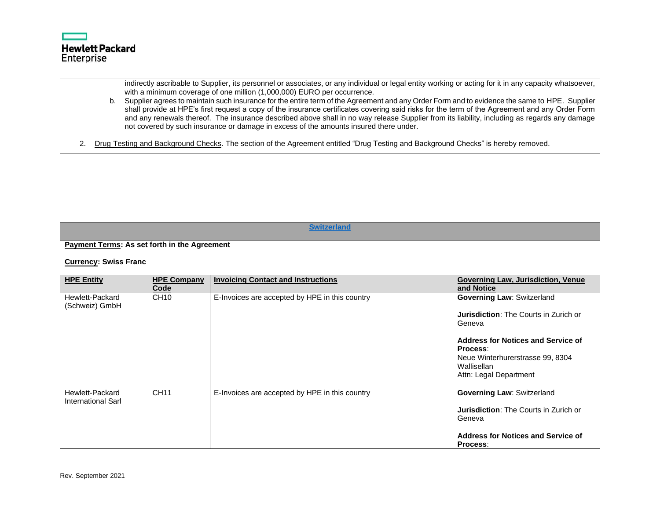

indirectly ascribable to Supplier, its personnel or associates, or any individual or legal entity working or acting for it in any capacity whatsoever, with a minimum coverage of one million (1,000,000) EURO per occurrence.

b. Supplier agrees to maintain such insurance for the entire term of the Agreement and any Order Form and to evidence the same to HPE. Supplier shall provide at HPE's first request a copy of the insurance certificates covering said risks for the term of the Agreement and any Order Form and any renewals thereof. The insurance described above shall in no way release Supplier from its liability, including as regards any damage not covered by such insurance or damage in excess of the amounts insured there under.

2. Drug Testing and Background Checks. The section of the Agreement entitled "Drug Testing and Background Checks" is hereby removed.

<span id="page-48-0"></span>

|                                                     | <b>Switzerland</b>           |                                                |                                                        |  |  |
|-----------------------------------------------------|------------------------------|------------------------------------------------|--------------------------------------------------------|--|--|
| <b>Payment Terms: As set forth in the Agreement</b> |                              |                                                |                                                        |  |  |
|                                                     | <b>Currency: Swiss Franc</b> |                                                |                                                        |  |  |
| <b>HPE Entity</b>                                   | <b>HPE Company</b>           | <b>Invoicing Contact and Instructions</b>      | Governing Law, Jurisdiction, Venue                     |  |  |
|                                                     | Code                         |                                                | and Notice                                             |  |  |
| Hewlett-Packard<br>(Schweiz) GmbH                   | CH <sub>10</sub>             | E-Invoices are accepted by HPE in this country | <b>Governing Law: Switzerland</b>                      |  |  |
|                                                     |                              |                                                | <b>Jurisdiction:</b> The Courts in Zurich or<br>Geneva |  |  |
|                                                     |                              |                                                | Address for Notices and Service of<br>Process:         |  |  |
|                                                     |                              |                                                | Neue Winterhurerstrasse 99, 8304<br>Wallisellan        |  |  |
|                                                     |                              |                                                | Attn: Legal Department                                 |  |  |
| Hewlett-Packard<br><b>International Sarl</b>        | CH11                         | E-Invoices are accepted by HPE in this country | <b>Governing Law: Switzerland</b>                      |  |  |
|                                                     |                              |                                                | <b>Jurisdiction: The Courts in Zurich or</b><br>Geneva |  |  |
|                                                     |                              |                                                | Address for Notices and Service of<br>Process:         |  |  |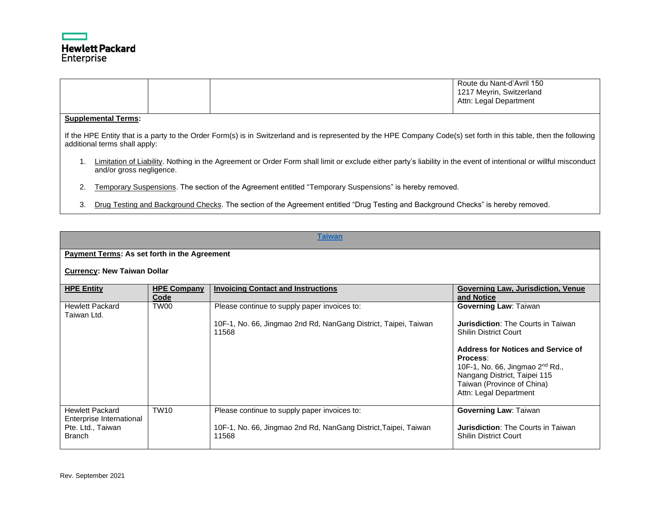

|                                                                                                                                                                                                     |  |  |  | Route du Nant-d'Avril 150<br>1217 Meyrin, Switzerland<br>Attn: Legal Department |
|-----------------------------------------------------------------------------------------------------------------------------------------------------------------------------------------------------|--|--|--|---------------------------------------------------------------------------------|
| <b>Supplemental Terms:</b>                                                                                                                                                                          |  |  |  |                                                                                 |
| If the HPE Entity that is a party to the Order Form(s) is in Switzerland and is represented by the HPE Company Code(s) set forth in this table, then the following<br>additional terms shall apply: |  |  |  |                                                                                 |
| Limitation of Liability. Nothing in the Agreement or Order Form shall limit or exclude either party's liability in the event of intentional or willful misconduct<br>and/or gross negligence.       |  |  |  |                                                                                 |
| Temporary Suspensions. The section of the Agreement entitled "Temporary Suspensions" is hereby removed.<br>2.                                                                                       |  |  |  |                                                                                 |

3. Drug Testing and Background Checks. The section of the Agreement entitled "Drug Testing and Background Checks" is hereby removed.

<span id="page-49-0"></span>

|                                                                                          | <b>Taiwan</b>              |                                                                                                                          |                                                                                                                                                                                                                                                                                   |  |
|------------------------------------------------------------------------------------------|----------------------------|--------------------------------------------------------------------------------------------------------------------------|-----------------------------------------------------------------------------------------------------------------------------------------------------------------------------------------------------------------------------------------------------------------------------------|--|
| Payment Terms: As set forth in the Agreement<br><b>Currency: New Taiwan Dollar</b>       |                            |                                                                                                                          |                                                                                                                                                                                                                                                                                   |  |
| <b>HPE Entity</b>                                                                        | <b>HPE Company</b><br>Code | <b>Invoicing Contact and Instructions</b>                                                                                | Governing Law, Jurisdiction, Venue<br>and Notice                                                                                                                                                                                                                                  |  |
| <b>Hewlett Packard</b><br>Taiwan Ltd.                                                    | TW00                       | Please continue to supply paper invoices to:<br>10F-1, No. 66, Jingmao 2nd Rd, NanGang District, Taipei, Taiwan<br>11568 | <b>Governing Law: Taiwan</b><br>Jurisdiction: The Courts in Taiwan<br><b>Shilin District Court</b><br>Address for Notices and Service of<br>Process:<br>10F-1, No. 66, Jingmao $2nd$ Rd.,<br>Nangang District, Taipei 115<br>Taiwan (Province of China)<br>Attn: Legal Department |  |
| <b>Hewlett Packard</b><br>Enterprise International<br>Pte. Ltd., Taiwan<br><b>Branch</b> | <b>TW10</b>                | Please continue to supply paper invoices to:<br>10F-1, No. 66, Jingmao 2nd Rd, NanGang District, Taipei, Taiwan<br>11568 | <b>Governing Law: Taiwan</b><br>Jurisdiction: The Courts in Taiwan<br><b>Shilin District Court</b>                                                                                                                                                                                |  |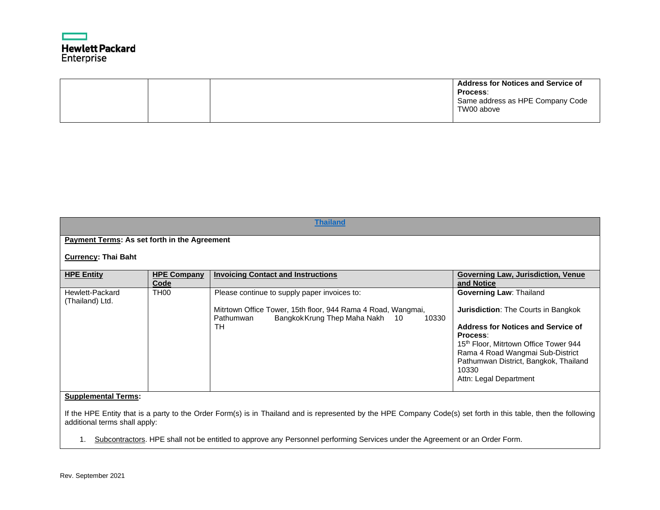# **Hewlett Packard** Enterprise

|  |  | <b>Address for Notices and Service of</b><br>Process:<br>Same address as HPE Company Code<br>TW00 above |
|--|--|---------------------------------------------------------------------------------------------------------|
|  |  |                                                                                                         |

<span id="page-50-0"></span>

| <b>Thailand</b>                                     |                            |                                                                                                                                                                             |                                                                                                                                                                                                                                                                                         |  |  |
|-----------------------------------------------------|----------------------------|-----------------------------------------------------------------------------------------------------------------------------------------------------------------------------|-----------------------------------------------------------------------------------------------------------------------------------------------------------------------------------------------------------------------------------------------------------------------------------------|--|--|
|                                                     |                            |                                                                                                                                                                             |                                                                                                                                                                                                                                                                                         |  |  |
| <b>Payment Terms: As set forth in the Agreement</b> |                            |                                                                                                                                                                             |                                                                                                                                                                                                                                                                                         |  |  |
| <b>Currency: Thai Baht</b>                          |                            |                                                                                                                                                                             |                                                                                                                                                                                                                                                                                         |  |  |
| <b>HPE Entity</b>                                   | <b>HPE Company</b><br>Code | <b>Invoicing Contact and Instructions</b>                                                                                                                                   | Governing Law, Jurisdiction, Venue<br>and Notice                                                                                                                                                                                                                                        |  |  |
| Hewlett-Packard<br>(Thailand) Ltd.                  | TH <sub>00</sub>           | Please continue to supply paper invoices to:<br>Mitrtown Office Tower, 15th floor, 944 Rama 4 Road, Wangmai,<br>Bangkok Krung Thep Maha Nakh 10<br>10330<br>Pathumwan<br>TН | <b>Governing Law: Thailand</b><br><b>Jurisdiction: The Courts in Bangkok</b><br>Address for Notices and Service of<br>Process:<br>15th Floor, Mitrtown Office Tower 944<br>Rama 4 Road Wangmai Sub-District<br>Pathumwan District, Bangkok, Thailand<br>10330<br>Attn: Legal Department |  |  |
| Sunnlamantal Tarme:                                 |                            |                                                                                                                                                                             |                                                                                                                                                                                                                                                                                         |  |  |

#### **Supplemental Terms:**

If the HPE Entity that is a party to the Order Form(s) is in Thailand and is represented by the HPE Company Code(s) set forth in this table, then the following additional terms shall apply:

1. Subcontractors. HPE shall not be entitled to approve any Personnel performing Services under the Agreement or an Order Form.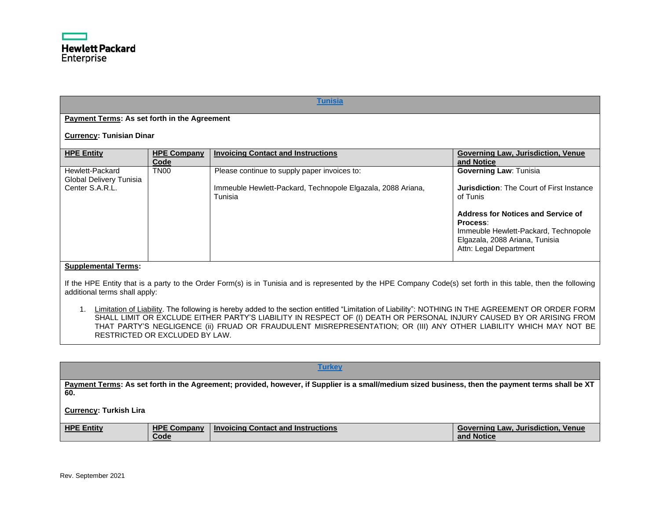<span id="page-51-0"></span>

| <b>Tunisia</b>                                                |                            |                                                                                                                        |                                                                                                                                                                                                                                                     |  |
|---------------------------------------------------------------|----------------------------|------------------------------------------------------------------------------------------------------------------------|-----------------------------------------------------------------------------------------------------------------------------------------------------------------------------------------------------------------------------------------------------|--|
| Payment Terms: As set forth in the Agreement                  |                            |                                                                                                                        |                                                                                                                                                                                                                                                     |  |
| <b>Currency: Tunisian Dinar</b>                               |                            |                                                                                                                        |                                                                                                                                                                                                                                                     |  |
| <b>HPE Entity</b>                                             | <b>HPE Company</b><br>Code | <b>Invoicing Contact and Instructions</b>                                                                              | <b>Governing Law, Jurisdiction, Venue</b><br>and Notice                                                                                                                                                                                             |  |
| Hewlett-Packard<br>Global Delivery Tunisia<br>Center S.A.R.L. | TN <sub>00</sub>           | Please continue to supply paper invoices to:<br>Immeuble Hewlett-Packard, Technopole Elgazala, 2088 Ariana,<br>Tunisia | <b>Governing Law: Tunisia</b><br><b>Jurisdiction:</b> The Court of First Instance<br>of Tunis<br>Address for Notices and Service of<br>Process:<br>Immeuble Hewlett-Packard, Technopole<br>Elgazala, 2088 Ariana, Tunisia<br>Attn: Legal Department |  |
| <b>Supplemental Terms:</b>                                    |                            |                                                                                                                        |                                                                                                                                                                                                                                                     |  |

If the HPE Entity that is a party to the Order Form(s) is in Tunisia and is represented by the HPE Company Code(s) set forth in this table, then the following additional terms shall apply:

1. Limitation of Liability. The following is hereby added to the section entitled "Limitation of Liability": NOTHING IN THE AGREEMENT OR ORDER FORM SHALL LIMIT OR EXCLUDE EITHER PARTY'S LIABILITY IN RESPECT OF (I) DEATH OR PERSONAL INJURY CAUSED BY OR ARISING FROM THAT PARTY'S NEGLIGENCE (ii) FRUAD OR FRAUDULENT MISREPRESENTATION; OR (III) ANY OTHER LIABILITY WHICH MAY NOT BE RESTRICTED OR EXCLUDED BY LAW.

<span id="page-51-1"></span>

| Turkey                                                                                                                                                   |                            |                                           |                                                         |  |  |
|----------------------------------------------------------------------------------------------------------------------------------------------------------|----------------------------|-------------------------------------------|---------------------------------------------------------|--|--|
| Payment Terms: As set forth in the Agreement; provided, however, if Supplier is a small/medium sized business, then the payment terms shall be XT<br>60. |                            |                                           |                                                         |  |  |
| <b>Currency: Turkish Lira</b>                                                                                                                            |                            |                                           |                                                         |  |  |
| <b>HPE Entity</b>                                                                                                                                        | <b>HPE Company</b><br>Code | <b>Invoicing Contact and Instructions</b> | <b>Governing Law, Jurisdiction, Venue</b><br>and Notice |  |  |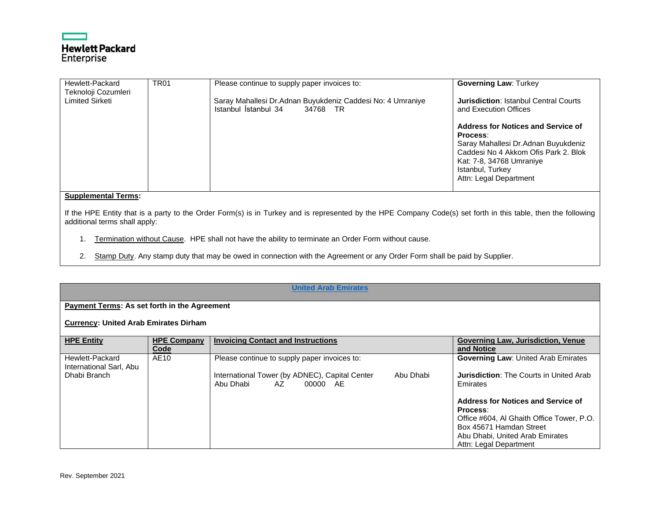

| Hewlett-Packard<br>Teknoloji Cozumleri | <b>TR01</b> | Please continue to supply paper invoices to:                                                   | <b>Governing Law: Turkey</b>                                                                                                                                                                            |
|----------------------------------------|-------------|------------------------------------------------------------------------------------------------|---------------------------------------------------------------------------------------------------------------------------------------------------------------------------------------------------------|
| Limited Sirketi                        |             | Saray Mahallesi Dr.Adnan Buyukdeniz Caddesi No: 4 Umraniye<br>Istanbul İstanbul 34<br>34768 TR | <b>Jurisdiction: Istanbul Central Courts</b><br>and Execution Offices                                                                                                                                   |
|                                        |             |                                                                                                | Address for Notices and Service of<br>Process:<br>Saray Mahallesi Dr.Adnan Buyukdeniz<br>Caddesi No 4 Akkom Ofis Park 2, Blok<br>Kat: 7-8, 34768 Umraniye<br>Istanbul, Turkey<br>Attn: Legal Department |

If the HPE Entity that is a party to the Order Form(s) is in Turkey and is represented by the HPE Company Code(s) set forth in this table, then the following additional terms shall apply:

- 1. Termination without Cause. HPE shall not have the ability to terminate an Order Form without cause.
- 2. Stamp Duty. Any stamp duty that may be owed in connection with the Agreement or any Order Form shall be paid by Supplier.

# **[United Arab Emirates](#page-0-56)**

# <span id="page-52-0"></span>**Payment Terms: As set forth in the Agreement**

#### **Currency: United Arab Emirates Dirham**

| <b>HPE Entity</b>                          | <b>HPE Company</b><br>Code | <b>Invoicing Contact and Instructions</b>                                                  | <b>Governing Law, Jurisdiction, Venue</b><br>and Notice              |
|--------------------------------------------|----------------------------|--------------------------------------------------------------------------------------------|----------------------------------------------------------------------|
| Hewlett-Packard<br>International Sarl, Abu | AE10                       | Please continue to supply paper invoices to:                                               | <b>Governing Law: United Arab Emirates</b>                           |
| Dhabi Branch                               |                            | International Tower (by ADNEC), Capital Center<br>Abu Dhabi<br>Abu Dhabi<br>AZ<br>00000 AE | <b>Jurisdiction:</b> The Courts in United Arab<br>Emirates           |
|                                            |                            |                                                                                            | Address for Notices and Service of<br>Process:                       |
|                                            |                            |                                                                                            | Office #604, AI Ghaith Office Tower, P.O.<br>Box 45671 Hamdan Street |
|                                            |                            |                                                                                            | Abu Dhabi, United Arab Emirates<br>Attn: Legal Department            |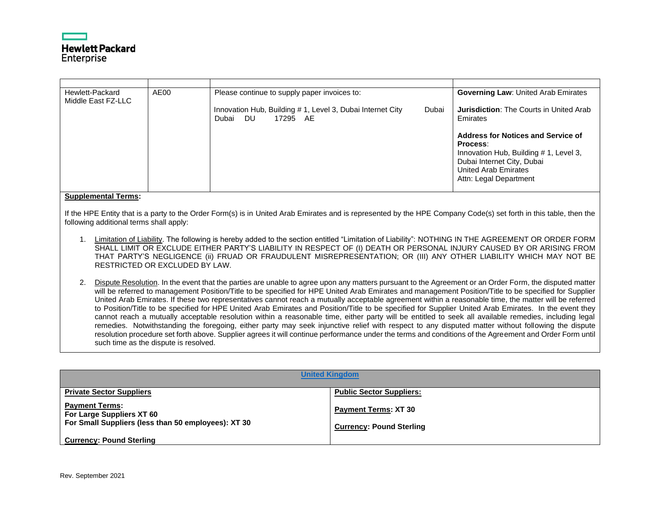

| Hewlett-Packard<br>Middle East FZ-LLC | AE00 | Please continue to supply paper invoices to:                                               | <b>Governing Law: United Arab Emirates</b>                                                                                                                              |
|---------------------------------------|------|--------------------------------------------------------------------------------------------|-------------------------------------------------------------------------------------------------------------------------------------------------------------------------|
|                                       |      | Innovation Hub, Building #1, Level 3, Dubai Internet City<br>Dubai<br>Dubai DU<br>17295 AE | <b>Jurisdiction:</b> The Courts in United Arab<br>Emirates                                                                                                              |
|                                       |      |                                                                                            | Address for Notices and Service of<br>Process:<br>Innovation Hub, Building #1, Level 3,<br>Dubai Internet City, Dubai<br>United Arab Emirates<br>Attn: Legal Department |

If the HPE Entity that is a party to the Order Form(s) is in United Arab Emirates and is represented by the HPE Company Code(s) set forth in this table, then the following additional terms shall apply:

- 1. Limitation of Liability. The following is hereby added to the section entitled "Limitation of Liability": NOTHING IN THE AGREEMENT OR ORDER FORM SHALL LIMIT OR EXCLUDE EITHER PARTY'S LIABILITY IN RESPECT OF (I) DEATH OR PERSONAL INJURY CAUSED BY OR ARISING FROM THAT PARTY'S NEGLIGENCE (ii) FRUAD OR FRAUDULENT MISREPRESENTATION; OR (III) ANY OTHER LIABILITY WHICH MAY NOT BE RESTRICTED OR EXCLUDED BY LAW.
- 2. Dispute Resolution. In the event that the parties are unable to agree upon any matters pursuant to the Agreement or an Order Form, the disputed matter will be referred to management Position/Title to be specified for HPE United Arab Emirates and management Position/Title to be specified for Supplier United Arab Emirates. If these two representatives cannot reach a mutually acceptable agreement within a reasonable time, the matter will be referred to Position/Title to be specified for HPE United Arab Emirates and Position/Title to be specified for Supplier United Arab Emirates. In the event they cannot reach a mutually acceptable resolution within a reasonable time, either party will be entitled to seek all available remedies, including legal remedies. Notwithstanding the foregoing, either party may seek injunctive relief with respect to any disputed matter without following the dispute resolution procedure set forth above. Supplier agrees it will continue performance under the terms and conditions of the Agreement and Order Form until such time as the dispute is resolved.

<span id="page-53-0"></span>

| <b>United Kingdom</b>                                                                                     |                                                         |  |  |  |
|-----------------------------------------------------------------------------------------------------------|---------------------------------------------------------|--|--|--|
| <b>Private Sector Suppliers</b>                                                                           | <b>Public Sector Suppliers:</b>                         |  |  |  |
| <b>Payment Terms:</b><br>For Large Suppliers XT 60<br>For Small Suppliers (less than 50 employees): XT 30 | Payment Terms: XT 30<br><b>Currency: Pound Sterling</b> |  |  |  |
| <b>Currency: Pound Sterling</b>                                                                           |                                                         |  |  |  |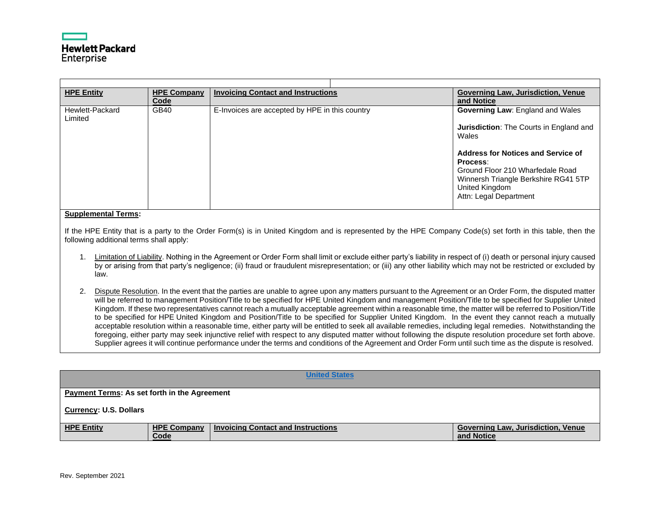| <b>HPE Entity</b>          | <b>HPE Company</b><br>Code | <b>Invoicing Contact and Instructions</b>      | <b>Governing Law, Jurisdiction, Venue</b><br>and Notice                                                                                                                                                                                                               |
|----------------------------|----------------------------|------------------------------------------------|-----------------------------------------------------------------------------------------------------------------------------------------------------------------------------------------------------------------------------------------------------------------------|
| Hewlett-Packard<br>Limited | <b>GB40</b>                | E-Invoices are accepted by HPE in this country | Governing Law: England and Wales<br><b>Jurisdiction:</b> The Courts in England and<br>Wales<br>Address for Notices and Service of<br>Process:<br>Ground Floor 210 Wharfedale Road<br>Winnersh Triangle Berkshire RG41 5TP<br>United Kingdom<br>Attn: Legal Department |

If the HPE Entity that is a party to the Order Form(s) is in United Kingdom and is represented by the HPE Company Code(s) set forth in this table, then the following additional terms shall apply:

- 1. Limitation of Liability. Nothing in the Agreement or Order Form shall limit or exclude either party's liability in respect of (i) death or personal injury caused by or arising from that party's negligence; (ii) fraud or fraudulent misrepresentation; or (iii) any other liability which may not be restricted or excluded by law.
- 2. Dispute Resolution. In the event that the parties are unable to agree upon any matters pursuant to the Agreement or an Order Form, the disputed matter will be referred to management Position/Title to be specified for HPE United Kingdom and management Position/Title to be specified for Supplier United Kingdom. If these two representatives cannot reach a mutually acceptable agreement within a reasonable time, the matter will be referred to Position/Title to be specified for HPE United Kingdom and Position/Title to be specified for Supplier United Kingdom. In the event they cannot reach a mutually acceptable resolution within a reasonable time, either party will be entitled to seek all available remedies, including legal remedies. Notwithstanding the foregoing, either party may seek injunctive relief with respect to any disputed matter without following the dispute resolution procedure set forth above. Supplier agrees it will continue performance under the terms and conditions of the Agreement and Order Form until such time as the dispute is resolved.

<span id="page-54-0"></span>

|                                                     |                            | <b>United States</b>                      |  |                                                         |
|-----------------------------------------------------|----------------------------|-------------------------------------------|--|---------------------------------------------------------|
| <b>Payment Terms: As set forth in the Agreement</b> |                            |                                           |  |                                                         |
| <b>Currency: U.S. Dollars</b>                       |                            |                                           |  |                                                         |
| <b>HPE Entity</b>                                   | <b>HPE Company</b><br>Code | <b>Invoicing Contact and Instructions</b> |  | <b>Governing Law, Jurisdiction, Venue</b><br>and Notice |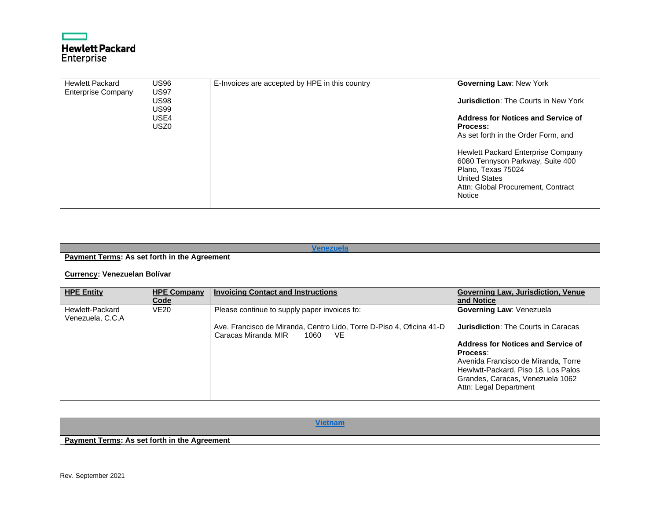# ┍ **Hewlett Packard**<br>Enterprise

| <b>Hewlett Packard</b>    | <b>US96</b>      | E-Invoices are accepted by HPE in this country | <b>Governing Law: New York</b>              |
|---------------------------|------------------|------------------------------------------------|---------------------------------------------|
|                           | <b>US97</b>      |                                                |                                             |
| <b>Enterprise Company</b> |                  |                                                |                                             |
|                           | <b>US98</b>      |                                                | <b>Jurisdiction: The Courts in New York</b> |
|                           |                  |                                                |                                             |
|                           | <b>US99</b>      |                                                |                                             |
|                           | USE4             |                                                | Address for Notices and Service of          |
|                           |                  |                                                |                                             |
|                           | USZ <sub>0</sub> |                                                | <b>Process:</b>                             |
|                           |                  |                                                | As set forth in the Order Form, and         |
|                           |                  |                                                |                                             |
|                           |                  |                                                |                                             |
|                           |                  |                                                |                                             |
|                           |                  |                                                | Hewlett Packard Enterprise Company          |
|                           |                  |                                                | 6080 Tennyson Parkway, Suite 400            |
|                           |                  |                                                |                                             |
|                           |                  |                                                | Plano, Texas 75024                          |
|                           |                  |                                                | <b>United States</b>                        |
|                           |                  |                                                |                                             |
|                           |                  |                                                | Attn: Global Procurement, Contract          |
|                           |                  |                                                | Notice                                      |
|                           |                  |                                                |                                             |
|                           |                  |                                                |                                             |

<span id="page-55-0"></span>

| Venezuela                                    |                            |                                                                                                                                                            |                                                                                                                                                                                                                                                                             |  |
|----------------------------------------------|----------------------------|------------------------------------------------------------------------------------------------------------------------------------------------------------|-----------------------------------------------------------------------------------------------------------------------------------------------------------------------------------------------------------------------------------------------------------------------------|--|
| Payment Terms: As set forth in the Agreement |                            |                                                                                                                                                            |                                                                                                                                                                                                                                                                             |  |
| Currency: Venezuelan Bolívar                 |                            |                                                                                                                                                            |                                                                                                                                                                                                                                                                             |  |
| <b>HPE Entity</b>                            | <b>HPE Company</b><br>Code | <b>Invoicing Contact and Instructions</b>                                                                                                                  | <b>Governing Law, Jurisdiction, Venue</b><br>and Notice                                                                                                                                                                                                                     |  |
| Hewlett-Packard<br>Venezuela, C.C.A          | <b>VE20</b>                | Please continue to supply paper invoices to:<br>Ave. Francisco de Miranda, Centro Lido, Torre D-Piso 4, Oficina 41-D<br>Caracas Miranda MIR<br>1060<br>VE. | <b>Governing Law: Venezuela</b><br><b>Jurisdiction: The Courts in Caracas</b><br>Address for Notices and Service of<br>Process:<br>Avenida Francisco de Miranda, Torre<br>Hewlwtt-Packard, Piso 18, Los Palos<br>Grandes, Caracas, Venezuela 1062<br>Attn: Legal Department |  |

<span id="page-55-1"></span>

| <b>Payment Terms: As set forth in the Agreement</b> |  |  |
|-----------------------------------------------------|--|--|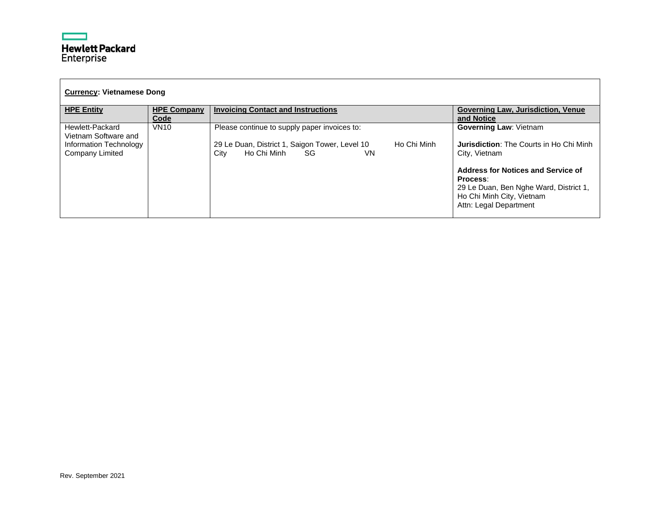| <b>Currency: Vietnamese Dong</b>          |                            |                                                                                                  |                                                                                                                                                 |  |
|-------------------------------------------|----------------------------|--------------------------------------------------------------------------------------------------|-------------------------------------------------------------------------------------------------------------------------------------------------|--|
| <b>HPE Entity</b>                         | <b>HPE Company</b><br>Code | <b>Invoicing Contact and Instructions</b>                                                        | <b>Governing Law, Jurisdiction, Venue</b><br>and Notice                                                                                         |  |
| Hewlett-Packard<br>Vietnam Software and   | <b>VN10</b>                | Please continue to supply paper invoices to:                                                     | <b>Governing Law: Vietnam</b>                                                                                                                   |  |
| Information Technology<br>Company Limited |                            | 29 Le Duan, District 1, Saigon Tower, Level 10<br>Ho Chi Minh<br>Ho Chi Minh<br>SG<br>VN<br>City | <b>Jurisdiction:</b> The Courts in Ho Chi Minh<br>City, Vietnam                                                                                 |  |
|                                           |                            |                                                                                                  | Address for Notices and Service of<br>Process:<br>29 Le Duan, Ben Nghe Ward, District 1,<br>Ho Chi Minh City, Vietnam<br>Attn: Legal Department |  |